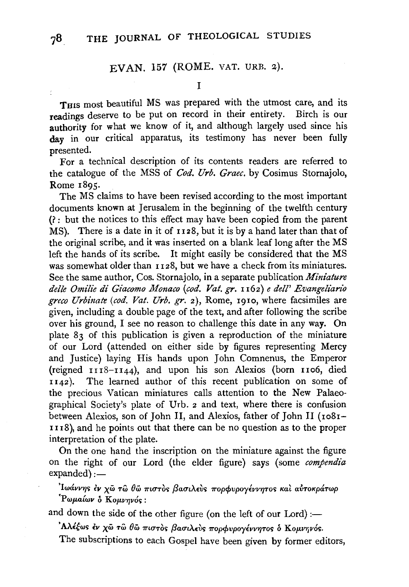# EVAN. 157 (ROME. VAT. URB. z).

I

THIS most beautiful MS was prepared with the utmost care, and its readings deserve to be put on record in their entirety. Birch is our authority for what we know of it, and although largely used since his day in our critical apparatus, its testimony has never been fully presented.

For a technical description of its contents readers are referred to the catalogue of the MSS of *Cod. Urb. Graec.* by Cosimus Stomajolo, Rome I895·

The MS claims to have been revised according to the most important documents known at Jerusalem in the beginning of the twelfth century (? : but the notices to this effect may have been copied from the parent MS). There is a date in it of 1128, but it is by a hand later than that of the original scribe, and it was inserted on a blank leaf long after the MS left the hands of its scribe. It might easily be considered that the MS was somewhat older than 1128, but we have a check from its miniatures. See the same author, Cos. Stornajolo, in a separate publication *Miniature delle Omilie di Giacomo Monaco (cod. Vat. gr.* n62) *e dell' Evangelz'ario greco Urbinaft (cod. Vat. Urb.* gr. 2), Rome, I9IO, where facsimiles are given, including a double page of the text, and after following the scribe over his ground, I see no reason to challenge this date in any way. On plate 83 of this publication is given a reproduction of the miniature of our Lord (attended on either side by figures representing Mercy and Justice) laying His hands upon John Comnenus, the Emperor (reigned  $1118-1144$ ), and upon his son Alexios (born  $1106$ , died <sup>I</sup>142 ). The learned author of this recent publication on some of the precious Vatican miniatures calls attention to the New Palaeographical Society's plate of Urb. 2 and text, where there is confusion between Alexios, son of John II, and Alexios, father of John II (ro8r-III8), and he points out that there can be no question as to the proper interpretation of the plate.

On the one hand the inscription on the miniature against the figure on the right of our Lord (the elder figure) says (some *compendia*   $expanded$ ):-

'Iwárrηs έr χῶ τῶ θῶ πιστὸς βασιλεὺς πορφυρογέννητος καὶ αὐτοκράτωρ  $"P$ ωμαίων δ Κομνηνός:

and down the side of the other figure (on the left of our Lord) :-

' Αλέξως έν χω τώ θω πιστος βασιλεύς πορφυρογέννητος ο Κομνηνός.

The subscriptions to each Gospel have been given by former editors,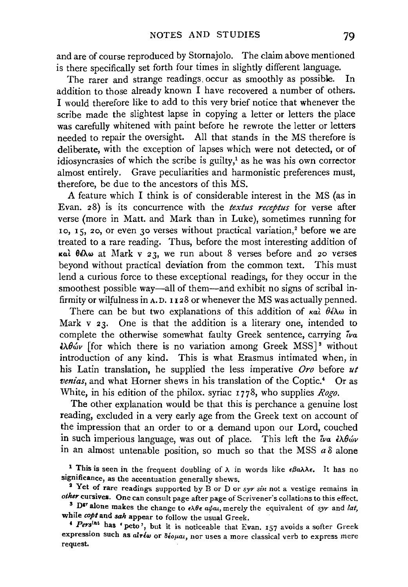and are of course reproduced by Stornajolo. The claim above mentioned is there specifically set forth four times in slightly different language.

The rarer and strange readings occur as smoothly as possible. In addition to those already known I have recovered a number of others. I would therefore like to add to this very brief notice that whenever the scribe made the slightest lapse in copying a letter or letters the place was carefully whitened with paint before he rewrote the letter or letters needed to repair the oversight. All that stands in the MS therefore is deliberate, with the exception of lapses which were not detected, or of idiosyncrasies of which the scribe is guilty,<sup>1</sup> as he was his own corrector almost entirely. Grave peculiarities and harmonistic preferences must, therefore, be due to the ancestors of this MS.

A feature which I think is of considerable interest in the MS (as in Evan. 28) is its concurrence with the *textus receptus* for verse after verse (more in Matt. and Mark than in Luke), sometimes running for 10, IS, 20, or even 30 verses without practical variation,2 before we are treated to a rare reading. Thus, before the most interesting addition of  $\kappa$ ai  $\theta \epsilon \lambda \omega$  at Mark v 23, we run about 8 verses before and 20 verses beyond without practical deviation from the common text. This must lend a curious force to these exceptional readings, for they occur in the smoothest possible way—all of them—and exhibit no signs of scribal infirmity or wilfulness in A.D. 1128 or whenever the MS was actually penned.

There can be but two explanations of this addition of  $\kappa \alpha \hat{i} \theta \hat{\epsilon} \lambda \omega$  in Mark v 23. One is that the addition is a literary one, intended to complete the otherwise somewhat faulty Greek sentence, carrying  $\tilde{i}$ va  $\partial \theta \, d\theta \, d\theta$  [for which there is no variation among Greek MSS]<sup>3</sup> without introduction of any kind. This is what Erasmus intimated when, in his Latin translation, he supplied the less imperative *Oro* before *ut venias*, and what Horner shews in his translation of the Coptic.<sup>4</sup> Or as White, in his edition of the philox. syriac 1778, who supplies *Rogo*.

The other explanation would be that this is perchance a genuine lost reading, excluded in a very early age from the Greek text on account of the impression that an order to or a demand upon our Lord, couched in such imperious language, was out of place. This left the  $\partial u \partial \phi$ in an almost untenable position, so much so that the MSS  $a\delta$  alone

<sup>1</sup> This is seen in the frequent doubling of  $\lambda$  in words like  $\epsilon \beta a \lambda \lambda \epsilon$ . It has no

significance, as the accentuation generally shews. 2 Yet of rare readings supported by B or D or *syr sin* not a vestige remains in *other* cursives. One can consult page after page of Scrivener's collations to this effect.<br><sup>3</sup> D<sup>er</sup> alone makes the change to  $\epsilon \lambda \theta \epsilon a/ a t$ , merely the equivalent of *syr* and *lat*,

while *coptand sah* appear to follow the usual Greek.

<sup>4</sup> Pers<sup>lnt</sup> has 'peto', but it is noticeable that Evan. 157 avoids a softer Greek expression such as *alτέω* or δέομαι, nor uses a more classical verb to express mere request.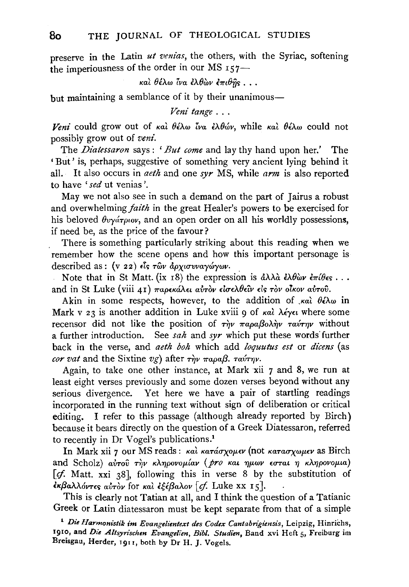preserve in the Latin *ut venias,* the others, with the Syriac, softening the imperiousness of the order in our MS  $157-$ 

καὶ θέλω ἶνα ἐλθὼν ἐπιθῆς...

but maintaining a semblance of it by their unanimous-

*Veni tange ...* 

*Veni* could grow out of  $\kappa a \hat{i} \theta \hat{\epsilon} \lambda \omega \hat{i} \nu a \hat{\epsilon} \lambda \theta \hat{\omega} \nu$ , while  $\kappa a \hat{i} \theta \hat{\epsilon} \lambda \omega$  could not possibly grow out of *veni.* 

The *Diatessaron* says : *'But come* and lay thy hand upon her.' The 'But' is, perhaps, suggestive of something very ancient lying behind it all. It also occurs in *aeth* and one *syr* MS, while *arm* is also reported to have *'sed* ut venias '.

May we not also see in such a demand on the part of Jairus a robust and overwhelming *faith* in the great Healer's powers to be exercised for his beloved  $\theta$ *v* $\alpha$ <sup>*r*</sup> $\alpha$ *v* $\alpha$ *y* $\alpha$ *r* $\alpha$ *v* $\alpha$ *n*<sup> $\alpha$ </sup>*n*<sup> $\alpha$ </sup>*n*<sup> $\alpha$ </sup>*n*<sup> $\alpha$ </sup>*n*<sup> $\alpha$ </sup>*n*<sup> $\alpha$ </sup>*n*<sup> $\alpha$ </sup>*n*<sup> $\alpha$ </sup>*n*<sup> $\alpha$ </sup>*n*<sup> $\alpha$ </sup>*n*<sup> $\alpha$ </sup>*n*<sup> $\alpha$ </sup>*n*<sup> $\alpha$ </sup>*n*<sup> $\alpha$ </sup>*n*<sup> $\alpha$ </sup>*n*<sup> $\alpha$ </sup>*n*<sup> $\alpha$ </sup>*n*<sup> $\alpha$ </sup> if need be, as the price of the favour?

There is something particularly striking about this reading when we remember how the scene opens and how this important personage is described as : (v 22) είς των αρχισυναγώγων.

Note that in St Matt. (ix  $\overline{18}$ ) the expression is  $\partial \lambda \lambda \partial \partial \partial \theta$   $\partial \theta \partial \theta$   $\partial \tau \partial \theta$   $\epsilon$ , ... and in St Luke (viii 41) παρεκάλει αύτον είσελθεΐν είς τον οίκον αύτου.

Akin in some respects, however, to the addition of  $\kappa a \hat{i} \theta \hat{\epsilon} \lambda \omega$  in Mark v 23 is another addition in Luke xviii 9 of kal  $\lambda \epsilon \gamma \epsilon \iota$  where some recensor did not like the position of  $\tau \hat{n} \nu \pi a \rho a \beta o \lambda \hat{n} \nu \tau a \nu \tau \eta \nu$  without a further introduction. See *sah* and *syr* which put these words further back in the verse, and *aeth boh* which add *loquutus est* or *dicens* (as *cor vat* and the Sixtine *vg*) after  $\tau \hat{n}v$   $\pi \alpha \hat{\mu}a\beta$ .  $\tau \alpha \hat{\nu} \tau \eta \nu$ .

Again, to take one other instance, at Mark xii 7 and 8, we run at least eight verses previously and some dozen verses beyond without any serious divergence. Yet here we have a pair of startling readings incorporated in the running text without sign of deliberation or critical editing. I refer to this passage (although already reported by Birch) because it bears directly on the question of a Greek Diatessaron, referred to recently in Dr Vogel's publications.1

In Mark xii 7 our MS reads: καὶ κατάσχομεν (not κατασχωμεν as Birch and Scholz)  $a\dot{v}$ *ro* $\ddot{v}$  *r* $\dot{\gamma}$ *v k* $\lambda \eta \rho \text{ov}$ *play (pro Kat*  $\eta \mu \omega v$  *εσται η κληρονομια)* [cf. Matt. xxi 38], following this in verse 8 by the substitution of ~K{3ali.MvT£<; *avTOV* for Ka~ *£tlf3all.ov* [if. Luke XX Is].

This is clearly not Tatian at all, and I think the question of a Tatianic Greek or Latin diatessaron must be kept separate from that of a simple

<sup>&</sup>lt;sup>1</sup> Die Harmonistik im Evangelientext des Codex Cantabrigiensis, Leipzig, Hinrichs, 1910, and *Die Altsyrischen Evangelien, Bib/. Studien,* Band xvi Heft 5, Freiburg im Breisgau, Herder, 19rr, both by Dr H. J. Vogels.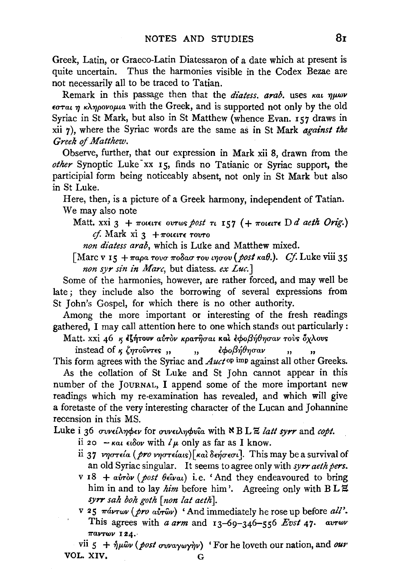Greek, Latin, or Graeco-Latin Diatessaron of a date which at present is quite uncertain. Thus the harmonies visible in the Codex Bezae are not necessarily all to be traced to Tatian.

Remark in this passage then that the *diatess. arab*. uses *kat nuwv £crrat 1J KA1Jpovop.ta* with the Greek, and is supported not only by the old Syriac in St Mark, but also in St Matthew (whence Evan. 157 draws in xii 7 ), where the Syriac words are the same as in St Mark *against the Greek* of *Matthew.* 

Observe, further, that our expression in Mark xii 8, drawn from the *other* Synoptic Luke-xx 15, finds no Tatianic or Syriac support, the participial form being noticeably absent, not only in St Mark but also in St Luke.

Here, then, is a picture of a Greek harmony, independent of Tatian. We may also note

Matt. xxi  $3 + \pi$ otetre ovrws post  $\pi$  157 ( +  $\pi$ otetre D *d aeth Orig.*)  $cf.$  Mark xi  $3 + \pi$ OLELTE  $\tau$ OVTO

*non diatess arab,* which is Luke and Matthew mixed.

[Marc v 15  $+ \pi a \rho a \tau o \nu \sigma \pi o \delta a \sigma \tau o \nu \nu \eta \sigma o \nu$  (*post kaft.*). Cf. Luke viii 35 *non syr sin in Marc*, but diatess. ex Luc.]

Some of the harmonies, however, are rather forced, and may well be late ; they include also the borrowing of several expressions from St John's Gospel, for which there is no other authority.

Among the more important or interesting of the fresh readings gathered, I may call attention here to one which stands out particularly:

Matt. xxi 46 *K is intouv airov Kparijoal* Kat *εφοβήθησαν τους όχλους* 

instead of  $\kappa \zeta \eta \tau \partial \nu \tau \epsilon$  , , ,  $\partial \phi \partial \eta \partial \eta \sigma \alpha \nu$ , This form agrees with the Syriac and *Auct* op imp against all other Greeks.

As the collation of St Luke and St John cannot appear in this number of the JoURNAL, I append some of the more important new readings which my re-examination has revealed, and which will give a foretaste of the very interesting character of the Lucan and Johannine recension in this MS.

Luke i 36 *συνείληφεν* for *συνειληφνία* with <sup>\*</sup> B L *E latt syrr* and *copt*.

- ii 20  $-\kappa a\iota\epsilon\iota\delta o\nu$  with  $l\mu$  only as far as I know.
- ii 37 *νηστεία (pro νηστείαις)*[και δεήσεσι]. This may be a survival of an old Syriac singular. It seems to agree only with *syrr aeth pers*.
- $v I8 + a\dot{v}r\dot{\theta}v$  (*post*  $\theta \epsilon \hat{i}v\alpha t$ ) i.e. 'And they endeavoured to bring him in and to lay *him* before him'. Agreeing only with  $B LZ$ *syrr sah boh goth [non tat aeth].*
- V 25 *7r&.VTwv (pro awwv)* 'And immediately he rose up before *all'.*  This agrees with *a arm* and 13-69-346-556 *Evst* 47· *avrwv 11'BVTWV* 124.·

vii  $5 + \hat{\eta} \mu \hat{\omega} \nu$  (*post ovvaywyir*) 'For he loveth our nation, and *our* VOL. XIV, G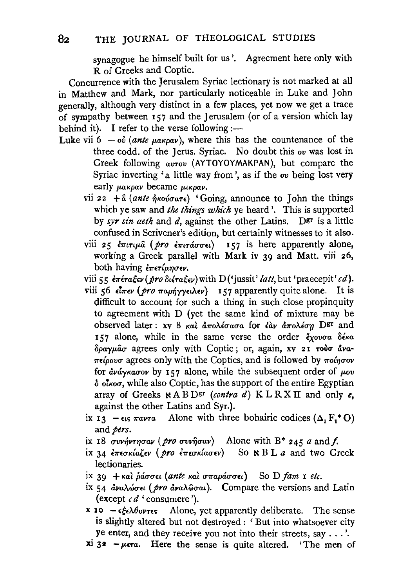synagogue he himself built for us'. Agreement here only with R of Greeks and Coptic.

Concurrence with the Jerusalem Syriac lectionary is not marked at all in Matthew and Mark, nor particularly noticeable in Luke and John enerally, although very distinct in a few places, yet now we get a trace of sympathy between  $\overline{157}$  and the Jerusalem (or of a version which lay behind it). I refer to the verse following :-

- Luke vii  $6 o\dot{v}$  (ante  $\mu$ akpav), where this has the countenance of the three codd. of the Jerus. Syriac. No doubt this ov was lost in Greek following *avrov* (AYTOYOYMAKPAN), but compare the Syriac inverting 'a little way from ', as if the *ov* being lost very early  $\mu$ akpav became  $\mu$ <sub>kpav</sub>.
	- vii 22 + å (ante ήκούσατε) 'Going, announce to John the things which ye saw and *the things which* ye heard'. This is supported by *syr sin aeth* and *d*, against the other Latins. Der is a little confused in Scrivener's edition, but certainly witnesses to it also.
	- viii 25  $\epsilon \pi i \tau \mu \hat{a}$  (pro  $\epsilon \pi i \tau \hat{a} \tau \hat{b}$  is here apparently alone, working a Greek parallel with Mark iv 39 and Matt. viii 26, both having επετίμησεν.

viii 55  $\epsilon \pi \epsilon \tau a \xi \epsilon \nu (pro\ \delta \iota \epsilon \tau a \xi \epsilon \nu)$  with D('jussit' *latt*, but 'praecepit' *cd*).

- viii 56 είπεν (pro παρήγγειλεν) 157 apparently quite alone. It is difficult to account for such a thing in such close propinquity to agreement with D (yet the same kind of mixture may be observed later : xv 8 *Kal &.7roA.iuaua* for *liiv hoA.irro* Dgr and 157 alone, while in the same verse the order  $\tilde{\epsilon}_{\chi o\nu\sigma a}$   $\delta \epsilon \kappa a$  $\delta$ *ραγμασ* agrees only with Coptic; or, again, xv 21 τούσ άνα- $\pi\epsilon \omega_0$ *i* agrees only with the Coptics, and is followed by  $\pi\omega$ *n* $\omega$ for  $\frac{\partial y}{\partial y}$  *avá* $\gamma$ *kaov* by 157 alone, while the subsequent order of  $\mu_{0}v$  $\delta$  olkoo, while also Coptic, has the support of the entire Egyptian array of Greeks  $R \triangle B$  D<sup>gr</sup> (contra d) K L R X II and only  $e$ , against the other Latins and Syr.).
- ix  $I_3$   $\epsilon_{15}$   $\pi a \nu \tau a$  Alone with three bohairic codices ( $\Delta_1 F_1^* O$ ) and pers.
- ix 18  $\sigma$ vv $\gamma$ v $\tau \gamma \sigma \alpha \nu$  (pro  $\sigma$ vv $\hat{\eta} \sigma \alpha \nu$ ) Alone with B\* 245 *a* and f.
- ix 34 επεσκίαζεν (pro επεσκίασεν) So **κ** B L *a* and two Greek lectionaries.
- ix 39 + και ράσσει (ante και σπαράσσει) So D fam *I etc.*
- ix 54 *αναλώσει (pro αναλ*ώσαι). Compare the versions and Latin (except  $c d$  'consumere').
- x 10  $-\epsilon \xi \epsilon \lambda \theta$ ov $\tau \epsilon$ s Alone, yet apparently deliberate. The sense is slightly altered but not destroyed : 'But into whatsoever city ye enter, and they receive you not into their streets, say ... '.
- $xi$   $3$ <sup>2</sup>  $\mu$ era. Here the sense is quite altered. 'The men of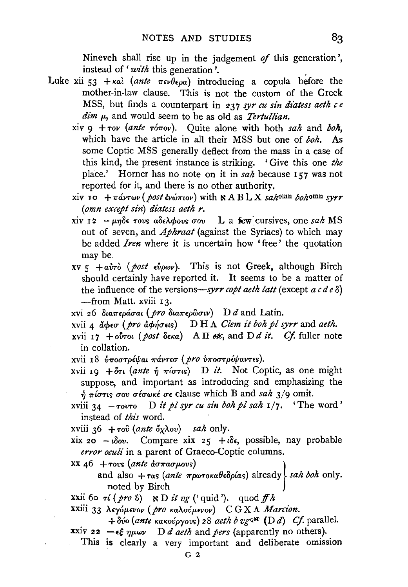Nineveh shall rise up in the judgement of this generation', instead of 'with this generation'.

- Luke xii 53 +  $\kappa a\lambda$  (ante  $\pi \epsilon \nu \theta \epsilon \rho a$ ) introducing a copula before the mother-in-law clause. This is not the custom of the Greek MSS, but finds a counterpart in 237 syr cu sin diatess aeth ce  $\dim \mu$ , and would seem to be as old as *Tertullian*.
	- xiv  $9 + \tau o v$  (ante  $\tau o \pi o v$ ). Quite alone with both sah and boh, which have the article in all their MSS but one of boh. As some Coptic MSS generally deflect from the mass in a case of this kind, the present instance is striking. 'Give this one the place.' Horner has no note on it in  $sa\bar{h}$  because 157 was not reported for it, and there is no other authority.
	- xiv 10 +  $\pi$ ávτων (post ένώπιον) with NABLX sahomn bohomn syrr  $(omn$  except sin) diatess aeth  $r$ .
	- xiv 12 μηδε τους αδελφους σου L a few cursives, one sah MS out of seven, and *Aphraat* (against the Syriacs) to which may be added *Iren* where it is uncertain how 'free' the quotation may be.
	- xv 5 +  $a\dot{v}\dot{\sigma}$  (post  $\epsilon\dot{v}\rho\omega v$ ). This is not Greek, although Birch should certainly have reported it. It seems to be a matter of the influence of the versions—syrr copt aeth latt (except  $a c d e \delta$ ) -from Matt. xviii 13.
	- xvi 26 διαπεράσαι (*pro* διαπερώσιν) D d and Latin.
	- xvii 4 άφεσ (pro άφήσεις) DH  $\Lambda$  Clem it boh pl syrr and aeth.
	- xvii 17 + ούτοι (post δεκα) A Π etc, and D d it. Cf. fuller note in collation.
	- xvii 18 υποστρέψαι πάντεσ (pro υποστρέψαντες).
	- xvii 19 +  $\delta\tau\iota$  (ante  $\eta \tau$   $\pi$ ίστις) D it. Not Coptic, as one might suppose, and important as introducing and emphasizing the  $\eta$   $\pi$ *i*  $\sigma$ <sub>1</sub>  $\sigma$ <sub>5</sub>  $\sigma$ <sup>2</sup>  $\sigma$ <sup>2</sup>  $\sigma$ <sup>2</sup>  $\sigma$ <sup>2</sup>  $\sigma$ <sup>2</sup>  $\sigma$ <sup>2</sup>  $\sigma$ <sup>2</sup>  $\sigma$ <sup>2</sup>  $\sigma$ <sup>2</sup> $\sigma$ <sup>2</sup> $\sigma$ <sup>2</sup> $\sigma$ <sup>2</sup> $\sigma$ <sup>2</sup> $\sigma$ <sup>2</sup> $\sigma$ <sup>2</sup> $\sigma$ <sup>2</sup> $\sigma$ <sup>2</sup> $\sigma$ <sup>2</sup> $\sigma$ <sup>2</sup> $\sigma$ <sup>2</sup> $\sigma$ <sup>2</sup> $\sigma$ <sup>2</sup> $\sigma$ <sup>2</sup> $\sigma$ <sup>2</sup> $\sigma$ <sup>2</sup> $\sigma$ <sup>2</sup> $\$
	- xviii 34  $-\tau$ ovro D it pl syr cu sin boh pl sah  $1/7$ . 'The word' instead of this word.

xviii 36 +  $\tau$ ov (ante  $\delta \chi \lambda$ ov) sah only.

- xix 20 ιδου. Compare xix 25 + ιδε, possible, nay probable error oculi in a parent of Graeco-Coptic columns.
- $\frac{1}{46}$  +  $\frac{1}{40}$  (ante  $\frac{1}{40}$   $\frac{1}{40}$   $\frac{1}{40}$   $\frac{1}{40}$ 
	- and also  $+\tau$  as (ante  $\pi \rho \omega \tau$  or  $\alpha \theta \epsilon \delta \rho(\alpha s)$  already  $\alpha h$  only. noted by Birch

xxii 60  $\tau i$  (pro 8) N D it vg ('quid'). quod ff h

XXIII 33 λεγόμενον (pro καλούμενον) CGXA Marcion.

<sup>+</sup>  $\delta$ νο (ante κακούργους) 28 aeth b vg ow (D d) Cf. parallel.

xxiv 22  $-\epsilon \xi \eta \mu \omega \nu$  D *d aeth* and *pers* (apparently no others).

This is clearly a very important and deliberate omission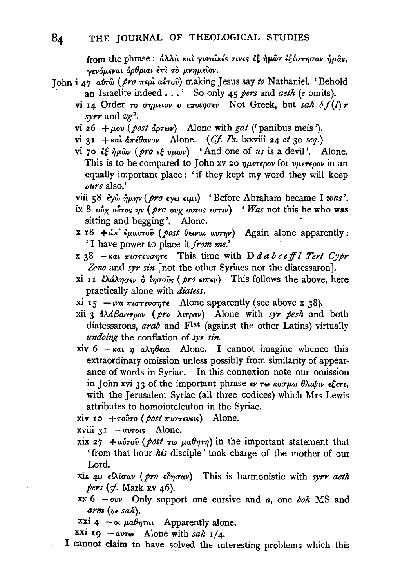from the phrase:  $d\lambda\lambda\dot{\alpha}$  και γυναικές τινες εξ ήμων εξέστησαν ήμας, γενόμεναι δρθριαι έπι το μνημείον.

- John i 47 aυτώ (pro περί αυτού) making Jesus say to Nathaniel, 'Behold an Israelite indeed ... ' So only 4S *pers* and *aeth* (e omits).
	- vi 14 Order  $\tau_0$  *σημειον* ο εποιησεν Not Greek, but *sah bf(l) r* svrr and  $v_{\mathcal{E}}^R$ .
	- vi 26 +  $\mu$ ov (post  $\tilde{d}$ *prwv*) Alone with *gat* (' panibus meis').
	- vi 31 + Kal  $d\pi \in \theta$ avov Alone. (Cf. Ps. lxxviii 24 et 30 seq.)
	- vi 70 εξ ήμων (pro εξ υμων) 'And one of us is a devil'. Alone. This is to be compared to John xv 20  $\eta\mu\epsilon\tau\epsilon\rho o\nu$  for  $\nu\mu\epsilon\tau\epsilon\rho o\nu$  in an equally important place : 'if they kept my word they will keep *ours* also.'

viii 58 έγὼ ήμην (pro εγω ειμι) 'Before Abraham became I was'.

- ix 8  $\partial y$   $\partial y$   $\partial \sigma$  *ovy ovtos*  $\partial \sigma$  *(wiresgluary iii) 'Was not this he who was* sitting and begging'. Alone.
- x 18 + $d\pi$ <sup>2</sup>  $\epsilon \mu a v \tau o \hat{v}$  (post  $\theta \epsilon v \alpha u$  avrive) Again alone apparently: 'I have power to place it *from me.'*
- x  $38$  -Kat  $\pi$ 10 $\pi$ ενσητε This time with D *d a b c eff l Tert Cypr* Zeno and syr sin [not the other Syriacs nor the diatessaron].
- xi 11 ελάλησεν δ ίησοῦς (pro ειπεν) This follows the above, here practically alone with *diatess.*
- xi 15  $-wa \pi \omega \tau \epsilon \omega \omega \tau \epsilon$  Alone apparently (see above x 38).
- xii 3  $d\lambda d\beta a\sigma\tau\rho o\nu$  (pro  $\lambda$ *troav*) Alone with *syr pesh* and both diatessarons, *arab* and Flat (against the other Latins) virtually *undoing* the conflation of *syr sin.*
- xiv 6  $-\kappa a_i \eta_i a_i \lambda_i \theta_{\epsilon i} a_i$  Alone. I cannot imagine whence this extraordinary omission unless possibly from similarity of appearance of words in Syriac. In this connexion note our omission in John xvi 33 of the important phrase  $\epsilon v \tau \omega \kappa \sigma \mu \omega \theta \lambda \omega \nu \kappa \epsilon \tau \epsilon$ , with the Jerusalem Syriac (all three codices) which Mrs Lewis attributes to homoioteleuton in the Syriac.

xiv 10 + Tobro (post  $\pi$ 10Tevels) Alone.

 $xviii$   $3I - avrows$  Alone.

- xix  $27 + a\dot{v}$ <sup>To</sup> (post  $\tau\omega$   $\mu a\theta\eta\tau\eta$ ) in the important statement that ' from that hour his disciple' took charge of the mother of our Lord.
- xix 40  $\epsilon\hbar\bar{\omega}a\nu$  (pro  $\epsilon\delta\eta\sigma a\nu$ ) This is harmonistic with *syrr aeth pers (cf. Mark xv 46).*
- xx 6 ovv Only support one cursive and *a,* one *boh* MS and  $arm (x \in sah)$ .

xxi 4 - ot  $\mu a \theta \eta \tau a \iota$  Apparently alone.

 $xxi$  19  $-$ avr<sub>w</sub> Alone with *sah*  $1/4$ .

I cannot claim to have solved the interesting problems which this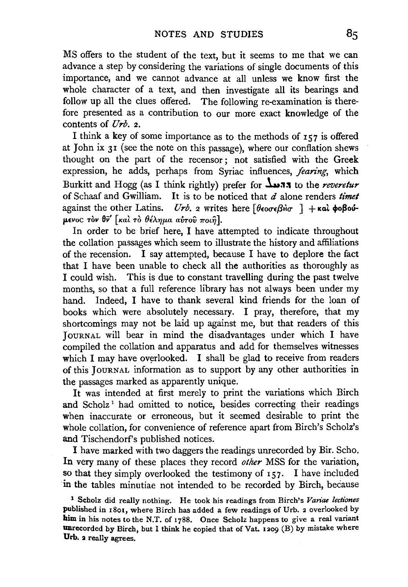MS offers to the student of the text, but it seems to me that we can advance a step by considering the variations of single documents of this importance, and we cannot advance at all unless we know first the whole character of a text, and then investigate all its bearings and follow up all the clues offered. The following re-examination is therefore presented as a contribution to our more exact knowledge of the contents of *llrb.* 2.

I think a key of some importance as to the methods of  $157$  is offered at John ix 31 (see the note on this passage), where our conflation shews thought on the part of the recensor; not satisfied with the Greek expression, he adds, perhaps from Syriac influences, *fearing*, which Burkitt and Hogg (as I think rightly) prefer for  $\Delta_{\mathbf{11}}$ , to the *reveretur* of Schaaf and Gwilliam. It is to be noticed that *d* alone renders *timet*  against the other Latins. *Urb.* 2 writes here  $\theta$ eo $\sigma \epsilon \beta$ H $\sigma$  ] + Kat  $\phi$ o $\beta$ ouμενος τον θν' [και το θέλημα αυτού ποιή].

In order to be brief here, I have attempted to indicate throughout the collation passages which seem to illustrate the history and affiliations of the recension. I say attempted, because I have to deplore the fact that I have been unable to check all the authorities as thoroughly as I could wish. This is due to constant travelling during the past twelve months, so that a full reference library has not always been under my hand. Indeed, I have to thank several kind friends for the loan of books which were absolutely necessary. I pray, therefore, that my shortcomings may not be laid up against me, but that readers of this JoURNAL will bear in mind the disadvantages under which I have compiled the collation and apparatus and add for themselves witnesses which I may have overlooked. I shall be glad to receive from readers of this JOURNAL information as to support by any other authorities in the passages marked as apparently unique.

It was intended at first merely to print the variations which Birch and Scholz<sup>1</sup> had omitted to notice, besides correcting their readings when inaccurate or erroneous, but it seemed desirable to print the whole collation, for convenience of reference apart from Birch's Scholz's and Tischendorf's published notices.

I have marked with two daggers the readings unrecorded by Bir. Scho. In very many of these places they record *other* MSS for the variation, so that they simply overlooked the testimony of  $157$ . I have included in the tables minutiae not intended to be recorded by Birch, because

1 Scholz did really nothing. He took his readings from Birch's *Variae lectiones*  published in 18o1, where Birch has added a few readings of Urb. 2 overlooked by him in his notes to the N.T. of 1788. Once Scholz happens to give a real variant unrecorded by Birch, but I think he copied that of Vat. 1209 (B) by mistake where Urb. 2 really agrees.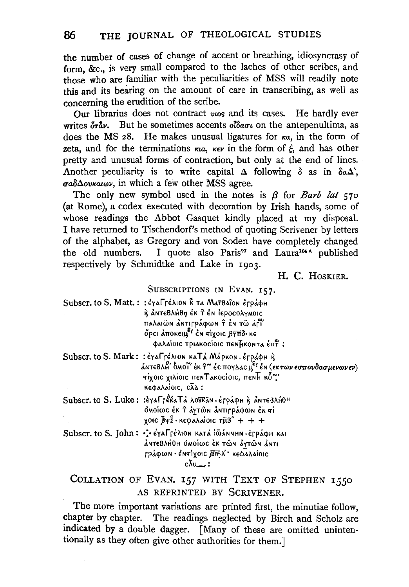the number of cases of change of accent or breathing, idiosyncrasy of form, &c., is very small compared to the laches of other scribes, and those who are familiar with the peculiarities of MSS will readily note this and its bearing on the amount of care in transcribing, as well as concerning the erudition of the scribe.

Our librarius does not contract wos and its cases. He hardly ever writes  $\delta r \dot{\alpha}$ . But he sometimes accents  $\delta \delta \alpha \sigma \iota$  on the antepenultima, as does the MS 28. He makes unusual ligatures for  $\kappa a$ , in the form of zeta, and for the terminations  $\kappa u$ ,  $\kappa \epsilon \nu$  in the form of  $\xi$ , and has other pretty and unusual forms of contraction, but only at the end of lines. Another peculiarity is to write capital  $\Delta$  following  $\delta$  as in  $\delta a \Delta$ .  $\sigma a \delta \Delta o v \kappa a \omega v$ , in which a few other MSS agree.

The only new symbol used in the notes is  $\beta$  for *Barb lat* 570 (at Rome), a codex executed with decoration by Irish hands, some of whose readings the Abbot Gasquet kindly placed at my disposal. I have returned to Tischendorf's method of quoting Scrivener by letters of the alphabet, as Gregory and von Soden have completely changed I quote also Paris<sup>97</sup> and Laura<sup>104 A</sup> published the old numbers. respectively by Schmidtke and Lake in 1903.

H. C. HOSKIER.

### SUBSCRIPTIONS IN EVAN. 157.

| Subscr. to S. Matt. :: έγαΓτέλιον κ τα Ματθαΐον έτράφμ |
|--------------------------------------------------------|
| ή ΔΝΤΕΒλΗθη έκ τ έν ΙεροσολγΜΟΙΟ                       |
| παλαιῶΝ ΔΝΤΙΓΡΑΦωΝ Τ ἐΝ Τῶ ΔΙΤ                         |
| όρει λποκειμ <sup>ες</sup> έν σίχοις βγπδ· κε          |
| φαλαίοις τριακοςίοις πενβκοντα έπτ :                   |
|                                                        |

Subscr. to S. Mark: : έγαΓτέλιοn καΤά Μάρκοn. έτράφμ ή ΔΝΤΕΒΛΗ ΌΜΟΙ ΕΚ Τ<sup>ο</sup> ές πογλας μ<sup>ει</sup> έν (εκτων εσπουδασμενωνεν) τίχοις χιλίοις πεν Τακοςίοις, πεν Η κό" κεφαλαίοις,  $c\bar{\lambda}\Delta$ :

Subscr. to S. Luke: : έγαΓρέκαΤά λούκαν·έρράφη ή αΝτεΒλήθη δΜΟΊως έκ τ άγτων αντιτράφων έν τί χοις  $\bar{B}\psi\hat{z}\cdot$ κεφαλαίοις τμ $B^{\circ}$  + + +

Subscr. to S. John: : eral rélion ката iwannun eppaon ка ΔΝΤΕΒλΗθΗ ΟΜΟΙΩΟ ΕΚ ΤΩΝ ΔΥΤΩΝ ΔΝΤΙ ΓράφωΝ · έΝτίχοις άπλ' κεφαλαίοις  $c\bar{\lambda}$ u $\qquad$ :

# COLLATION OF EVAN. 157 WITH TEXT OF STEPHEN 1550 AS REPRINTED BY SCRIVENER.

The more important variations are printed first, the minutiae follow, chapter by chapter. The readings neglected by Birch and Scholz are indicated by a double dagger. [Many of these are omitted unintentionally as they often give other authorities for them.]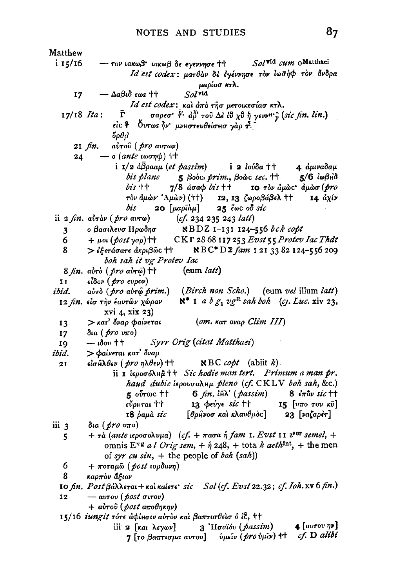Matthew Solvid cum oMatthaei  $i$  15/16 - τον ιακωβ' ιακωβ δε εγεννησε ++ Id est codex: ματθάν δε έγέννησε τον ιωσήφ τον άνδρα μαρίασ κτλ.  $-\Delta a\beta \iota \delta$  εως tt  $Sol$ vid 17 Id est codex: και άπο τησ μετοικεσίασ κτλ. ř σαρεσ<sup>· ξ.</sup> αδ' του Δε ίθ χθ ή γενν<sup>η</sup> ; (sic fin. lin.)  $17/18$  *Ita*:  $\epsilon$ ίς ή Ουτως ήν μνηστευθείσησ γάρ τ.  $\delta \rho \theta \rho$  $2I$   $fin.$  $a\dot{v}$ τού (*pro avr*ων)  $\rightarrow$  0 (ante woon $\phi$ ) ++ 24 i 1/2  $\hat{a}\overline{\hat{B}}$ paaµ (et passim) i 2 Ιούδα ++ 4 αμιναδαμ bis plane  $5$  Booc, prim., Booc sec.  $H$  $5/6$   $\omega$  $\beta$ H $\delta$  $b$ *is*  $++$  $7/8$   $d$ σα $\phi$   $b$ *is*  $\dagger$   $\dagger$ 10 τον άμως άμωσ (pro τὸν ἀμών' 'Αμὼν) (††) 12, 13 ζωροβάβελ <sup>††</sup>  $14 \frac{dy}{y}$ bis 20 [μαρΐὰμ]  $25 \text{ e}$   $\omega$   $\alpha$   $\beta$   $\alpha$ ii  $2 \nfin. a\overrightarrow{v}$  (pro avro)  $(cf. 234 235 243 lat)$ ο βασιλευσ Ηρωδησ RBDZ 1-131 124-556 bck copt 3 CKF 28 68 117 253 Evst 55 Protev Iac Thdt 6  $+ \mu$ ot (post yap) ++ NBC<sup>\*</sup>DΣ fam 121 33 82 124-556 209 8 > εξετάσατε άκριβως ++ boh sah it vg Protev Iac (eum latt) 8 *fin.* aυτό (*pro* aυτώ) ++ είδον (*pro* ευρον)  $\mathbf{I}$ (Birch non Scho.) (eum vel illum latt) ibid. aὐrò (*pro a*ὐ<del>r</del>@ *prim*.)  $\aleph^*$  1 a  $b g_1 v g^R$  sah boh (c). Luc. xiv 23, 12 fin. είσ την έαυτών χώραν xvi 4, xix 23) > κατ' όναρ φαίνεται  $(om.$  Kat ovap Clim  $III$ ) 13 δια (*pro* υπο)  $17<sup>7</sup>$ Syrr Orig (citat Matthaei) 10  $-$  ιδου ++ > Φαίνεται κατ' όναρ ibid.  $\epsilon$ ίσ $\hat{\mu} \lambda \theta \epsilon \nu$  (  $\hat{\rho}$ ro  $\eta \lambda \theta \epsilon \nu$ ) ††  $RBC \; cobt$  (abiit k)  $21$ ii I lepooon hut + Sic hodie man tert. Primum a man pr. haud dubie iepovoalnu pleno (cf. CKLV boh sah, &c.) 5 ούτως ††  $6$  fin.  $\hbox{th}$  (passim)  $8 \epsilon \pi \hat{a} \nu$  sic tt 13 φεύγε sic ++ 15  $\lceil v\pi o \rceil$  rov  $\kappa \bar{v}$ εὖρμται †† 18  $\delta$ aµà sic 23 [ναζαρέτ]  $\lceil \theta$ ρήνοσ και κλαυ $\theta$ μος] iii 3 δια ( *pro υ*πο)  $+ \tau \dot{a}$  (ante ιεροσολυμα) (cf. + πασα ή fam 1. Evst 11 z<sup>sor</sup> semel, + 5 omnis E<sup>vg</sup> al Orig sem,  $+$   $\hat{\eta}$  248,  $+$  tota k aeth<sup>tnt</sup>,  $+$  the men of syr cu sin, + the people of boh  $(sah)$ 6  $+ π$ οταμῶ (post ιορδανη) 8 καρπόν άξιον 10 fin. Post  $\beta$ á $\lambda$  $\lambda$ erai + και καίετε sic Sol (cf. Evst 22.32; cf. Ioh. xv 6 fin.) 12  $-\arccos(\phi_{0}t\sigma_{\text{u}T}\omega)$ + αύτου (post αποθηκην) 15/16 iungit τότε άφίμσιν αύτον και βαπτισθείσ ό ίε, ++ 3 'Hoaïóv (passim) 4 [ $avorov \eta v$ ] iii 2 [Kat λεγων] cf. D alibi 7 [το βαπτισμα αυτου] *ύμεῖν ( pro ύμῖν*) ++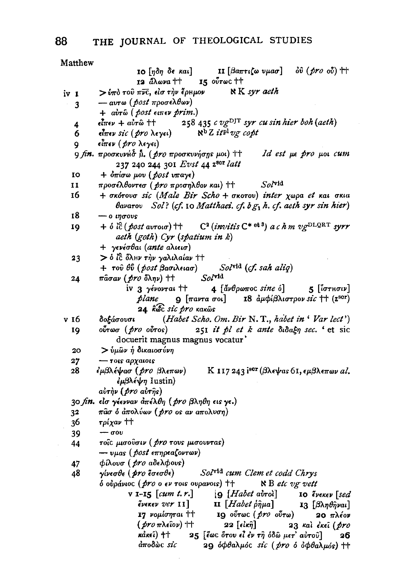| Matthew                                                                              |                                                                                                                                                                           |  |  |  |
|--------------------------------------------------------------------------------------|---------------------------------------------------------------------------------------------------------------------------------------------------------------------------|--|--|--|
|                                                                                      | <b>II</b> [βαπτιζω υμασ] $\partial \hat{v}$ (pro $\partial \hat{v}$ ) ++<br><b>10</b> [ηδη δε και]                                                                        |  |  |  |
|                                                                                      | 15 ούτως ++<br>12 <i>ἄ</i> λωνα ††                                                                                                                                        |  |  |  |
| iv 1                                                                                 | $\aleph K$ syr aeth<br>$>$ ύπο του πνε, είσ την έρκμον                                                                                                                    |  |  |  |
| 3                                                                                    | — αυτω ( <i>post πρ</i> οσελθων)                                                                                                                                          |  |  |  |
|                                                                                      | + αυτώ (post ειπεν prim.)                                                                                                                                                 |  |  |  |
| 4                                                                                    | εἶπεν + αὐτῶ †† 258 435 $\iota$ vg <sup>DJT</sup> syr $\iota$ u sin hier boh (aeth)                                                                                       |  |  |  |
| 6                                                                                    | $\aleph^{\text{b}} Z$ it <sup>pl</sup> vg copt<br>είπεν sic (pro λεγει)                                                                                                   |  |  |  |
| 9                                                                                    | είπεν ( <i>pro</i> λεγει)                                                                                                                                                 |  |  |  |
|                                                                                      | 9 fin. προσκυνή δ β. (pro προσκυνήσης μοι) ††<br>Id est με pro μοι cum                                                                                                    |  |  |  |
|                                                                                      | 237 240 244 301 Evst 44 z <sup>ser</sup> latt                                                                                                                             |  |  |  |
| IO                                                                                   | + όπίσω μου (post υπαγε)                                                                                                                                                  |  |  |  |
| 11                                                                                   | προσέλθοντεσ ( <i>pro προσηλθον και</i> ) ++<br>$Sol^{\text{vid}}$                                                                                                        |  |  |  |
| 16                                                                                   | + σκότουσ sic (Male Bir Scho + σκοτου) inter χωρα et και σκια                                                                                                             |  |  |  |
|                                                                                      | $\theta$ avarov Sol? (cf. 10 Matthaei. cf. $b g_1 h$ . cf. aeth syr sin hier)                                                                                             |  |  |  |
| 18                                                                                   | $- o \text{ }$ $\eta \sigma$ ovs                                                                                                                                          |  |  |  |
| 19                                                                                   | + $\delta$ ic $(\text{post avrou} + \text{C}^2(\text{in } \mathbb{C}^*)$ a c h m vg <sup>DLQRT</sup> syrr                                                                 |  |  |  |
|                                                                                      | aeth (goth) Cyr (spatium in k)                                                                                                                                            |  |  |  |
|                                                                                      | + γενέσθαι (ante αλιεισ)                                                                                                                                                  |  |  |  |
| 23                                                                                   | > ό ίζ όλιν την γαλιλαίαν ††                                                                                                                                              |  |  |  |
|                                                                                      | + τοῦ θῦ (post βασιλειασ)<br>Sol <sup>yid</sup> (cf. sah aliq)                                                                                                            |  |  |  |
| 24                                                                                   | $Sol$ vid<br><i>π</i> âσαν ( <i>pro</i> δλην) ††                                                                                                                          |  |  |  |
|                                                                                      | iv 3 yévovrai ††<br>$4$ [av $\theta$ ρωπος sine ό]<br>$5$ [ιστησιν]                                                                                                       |  |  |  |
|                                                                                      | <i>plane</i> <b>9</b> $[\pi a \nu \tau a \sigma o \tau]$ <b>18</b> $\frac{\partial \mu}{\partial \lambda} \nu \sigma \tau \rho o \nu \text{ }$ sic †† (z <sup>sor</sup> ) |  |  |  |
|                                                                                      | 24. köc sic pro rarôs                                                                                                                                                     |  |  |  |
| v 16                                                                                 | (Habet Scho. Om. Bir N.T., habet in 'Var lect')<br>δοξάσουσι                                                                                                              |  |  |  |
| 19                                                                                   | 251 it pl et k ante didagn sec. ' et sic<br>ούτωσ ( <i>pro</i> ούτος)                                                                                                     |  |  |  |
|                                                                                      | docuerit magnus magnus vocatur'                                                                                                                                           |  |  |  |
| 20                                                                                   | > ύμῶν ή δικαιοσύνη                                                                                                                                                       |  |  |  |
| 27                                                                                   | $-$ τοις αρχαιοις                                                                                                                                                         |  |  |  |
| 28                                                                                   | Κ 117 243 isor (βλεψας 61, εμβλεπων al.<br>έμβλέψασ ( <i>pro</i> βλεπων)                                                                                                  |  |  |  |
|                                                                                      | εμβλέψη Iustin)                                                                                                                                                           |  |  |  |
|                                                                                      | αύτην (pro αύτης)                                                                                                                                                         |  |  |  |
|                                                                                      | 30 fin. είσ γέενναν απέλθη (pro βληθη εις γε.)                                                                                                                            |  |  |  |
| 32                                                                                   | πάσ ό άπολύων (pro os av απολυση)<br>τρίχαν ††                                                                                                                            |  |  |  |
| 36                                                                                   | $-\sigma$ ov                                                                                                                                                              |  |  |  |
| 39                                                                                   | τοΐς μισούσιν ( <i>pro</i> τους μισουντας)                                                                                                                                |  |  |  |
| 44                                                                                   | $-$ υμας ( <i>post</i> επηρεαζοντων)                                                                                                                                      |  |  |  |
| 47                                                                                   | φίλουσ (pro αδελφους)                                                                                                                                                     |  |  |  |
| 48                                                                                   | Solvid cum Clem et codd Chrys<br>γίνεσθε ( pro έσεσθε)                                                                                                                    |  |  |  |
|                                                                                      | δ ουράνιος (pro ο εν τοις ουρανοις) ++<br>$\aleph$ B etc vg vett                                                                                                          |  |  |  |
| $v$ 1-15 $[cum \ t.r.]$                                                              |                                                                                                                                                                           |  |  |  |
|                                                                                      | $[9$ [Habet avrol] 10 ένεκεν [sed]<br>$\tilde{\epsilon}$ vekev $ver$ II $]$<br>$\mathbf{u}$ [Habet $\hat{\rho} \hat{\eta} \mu a$ ]<br><b>13</b> [βληθῆναι]                |  |  |  |
|                                                                                      | 17 νομίσηται ††<br>19 ούτως ( <i>pro</i> ούτω)<br>20 $\pi\lambda$ έον                                                                                                     |  |  |  |
| $22$ [είκ $\hat{\eta}$ ]<br>$(\not p$ ro $\pi$ λεΐον) ††<br>23 Kai EKEI ( <i>pro</i> |                                                                                                                                                                           |  |  |  |
| κάκεῖ) ††<br>25 [έως ότου εί έν τη όδω μετ' αύτου]<br>26                             |                                                                                                                                                                           |  |  |  |
|                                                                                      | άποδὼς sic                                                                                                                                                                |  |  |  |
|                                                                                      | 29 όφθαλμός sic (pro ο όφθαλμός) ++                                                                                                                                       |  |  |  |

88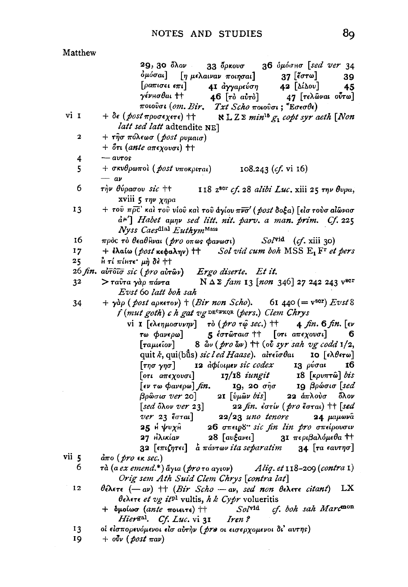$33 \theta$ Kov $\sigma$ 

41 αγγαρεύση

 $46$   $\lceil \tau \delta \right|$   $a\dot{v} \tau \dot{\delta}$ 

 $\lceil \eta \mu \epsilon \lambda a \nu a \nu \pi o \eta \sigma a \iota \rceil$ 

### Matthew 29,30 ὄλον όμόσαι]  $\lceil$ oa $\pi$ ισει ε $\pi$ ι] γένнσθαι †† ποιούσι (om. Bir, Txt Scho ποιούσι; "Εσεσθε) vi 1  $+ \delta \epsilon$  (post προσεχετε) ++ latt sed latt adtendite NE] + τησ πόλεωσ (post ρυμαισ)  $\mathbf 2$

- $+$   $\delta \pi$  (ante a $\pi$ εχουσι) ††  $avros$ 4
- $+$  σκυθρωπολ ( post υποκριται) 5  $108.243$  (cf. vi 16)  $- av$
- 6 τὴν θύρασου sic ++ 118 z<sup>scr</sup> cf. 28 alibi Luc. xiii 25 rnv θυρα, xviii 5  $\tau\eta\nu\chi\eta\rho a$
- 13  $+$  του πρε' και του νίου και του άγίου πνσ' (post δοξα) [είσ τουσ αίωνασ d<sup>u'</sup>] Habet aunv sed litt. nit. parv. a man. prim. Cf. 225 Nyss Caesdial EuthymMass
- 16 πρός τὸ θεαθἣναι (*pro* οπως φανωσι)  $Sol^{\text{vid}}$  (cf. xiii 30)
- $17$  $+$  ελαίω (post κεφαλην)  $\uparrow\uparrow$  Sol vid cum boh MSS  $E_1 F r$  et pers  $25$  $\hat{h}$  τί πίμτε' μή δε ++
- $26 \text{ fin. } \vec{a} \cdot \vec{b} \cdot \vec{a} \cdot \vec{b}$  sic (  $\text{ tr } a \cdot \vec{a} \cdot \vec{b}$ Ergo diserte, Et it.
- > ταύτα γάρ πάντα  $N Δ Σ$  fam 13 [non 346] 27 242 243  $v^{scr}$ 32 Evst 60 latt boh sah
- $+$   $\gamma$ àp ( post apkerov)  $+$  (Bir non Scho). 61 440 (=  $v^{scr}$ )  $E v^{st}$  8 34 f (mut goth) c h gat vg DECPRQR (pers.) Clem Chrys

vi I  $\lceil \epsilon \lambda \epsilon \eta \mu_0 \sigma \nu \nu \eta \nu \rceil$   $\tau \delta$  (*pro*  $\tau \omega$  *sec.*)  $\dagger \dagger$  $\mu$  *fin.* 6 *fin.* [ev  $5.6$ στώταισ <sup>††</sup> [οτι απεχουσι] τω Φανερω] 6  $8$   $\delta$ ν (*pro*  $\delta$ ν) <sup>††</sup> (ov *syr sah vg codd* 1/2, [ταμιεῖον] quit *k*, qui(bûs) *sic l ed Haase*). al<del>r</del>eîo baı **10** [ελθετω]  $\lceil \tau \eta \sigma \gamma \eta \sigma \rceil$ 12 apiouuev sic codex 13 ρύσαι 16 Γοτι απεχουσι]  $17/18$  iungit  $18$  [ $\kappa \rho \nu \pi \tau \hat{\omega}$ ] bis  $\lceil \epsilon v \rceil$  as  $\phi$  ave  $\omega$   $\lceil \ell n \rceil$ . IQ, 20  $σ<sub>n</sub>σ$ 10 βρώσισ [sed βρῶσισ ver 20] 21  $\lceil \hat{v} \mu \hat{\omega} \nu \, bi \, s \rceil$ 22  $\dot{a}\pi\lambda$ ούσ όλον  $[sed\ 5$ λον ver 23] 22 fin. έστίν (pro έσται) ++ [sed *ver* 23 έσται]  $22/23$  uno tenore 24 μαμωνα 25 H VVYH 26 σπειρδ" sic fin lin pro σπείρουσιν 27 Ηλικίαν  $28$   $\lceil av\xi av\epsilon\iota \rceil$ 31 περιβαλόμεθα ττ 32  $\lceil \epsilon \pi \iota(n\tau \epsilon \iota) \rceil$  a  $\pi \acute{a} \nu \tau \omega \nu$  it a separatim 34  $\lceil \tau a \epsilon a v \tau \eta \sigma \rceil$ 

- vii 5  $\dot{a}\pi$ o (*pro*  $\epsilon$ *k sec.*)
	- 6 τὰ (a ex emend.\*) ἅγια ( pro το αγιον) Aliq. et  $118-209$  (contra 1) Orig sem Ath Suid Clem Chrys [contra lat]
	- $12$ θέλετε  $(-a\nu)$  + (Bir Scho - av, sed non θελετε citant) LX  $\theta$ ελετε et vg it<sup>pl</sup> vultis, h k Cypr volueritis
		- cf. boh sah Marcmon  $+$  δμοίωσ (ante ποιειτε)  $+$  $Sol$ <sup>vid</sup> Hier<sup>gal</sup>. Cf. Luc. vi 31 Iren?

19  $+$  ovv (post  $\pi a \nu$ ) 39

45

36 δμόσησ [sed ver 34

47 [τελώναι ούτω]

 $37$  [ $\epsilon$ στω]

 $42$  [ $\Delta$ ( $\Delta$ ov]

 $\aleph$  L Z  $\geq$  min<sup>16</sup>  $g_1$  copt syr aeth [Non

<sup>13</sup> οι είσπορευόμενοι είσ αυτήν ( pre οι εισερχομενοι δι' αυτης)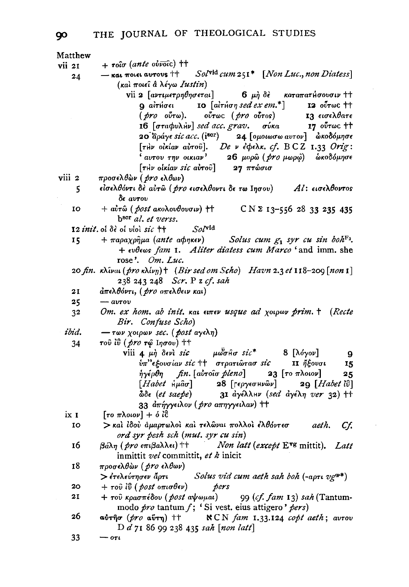|        | Matthew |                                                                                                                        |
|--------|---------|------------------------------------------------------------------------------------------------------------------------|
| vii 21 |         | $+$ roio (ante obvoic) $+$                                                                                             |
|        | 24      | Sol <sup>vid</sup> cum 251 <sup>*</sup> [Non Luc., non Diatess]<br>- και ποιει αυτους ++                               |
|        |         | (και ποιεί α λέγω Iustin)                                                                                              |
|        |         | vii 2 [αντιμετρηθησεται] 6 μη δε καταπατήσουσιν ++                                                                     |
|        |         | $9$ airioes $10$ [airion sed ex em.*] $12$ ovrwe tt                                                                    |
|        |         | <i>( pro</i> ούτω). ούτως ( <i>pro</i> ούτος) 13 εισελθατε<br>16 [σταφυλήν] sed acc. grav. σύκα 17 ούτως ††            |
|        |         |                                                                                                                        |
|        |         | 20 άράγε sic acc. (i <sup>sor</sup> ) 24 [ομοιωσω αυτον] · ώκοδόμησε                                                   |
|        |         | [THV olklav avrou]. De v é $\phi$ eλk. cf. BCZ 1.33 Orig:                                                              |
|        |         | $\frac{1}{2}$ αυτου την οικιαν' 26 μορώ ( $\cancel{p}$ το μωρώ) δικοδόμησε                                             |
|        |         | $[\tau$ Hv olklav sic aυτού] 27 πτώσισ                                                                                 |
| viii 2 |         | προσελθών ( <i>pro</i> ελθων)                                                                                          |
|        | 5.      | είσελθόντι δε αύτω ( <i>pro</i> εισελθοντι δε τω Ιησου) Αl: εισελθοντος                                                |
|        |         | δε αυτου                                                                                                               |
|        | 10      | + αύτω (post ακολουθουσιν) ++ CN Σ 13-556 28 33 235 435                                                                |
|        |         | b <sup>scr</sup> al. et verss.                                                                                         |
|        |         | $Sol$ vid<br>12 init, of $\delta\epsilon$ of viol sic $\pm\pm$                                                         |
|        | 15      | + $\pi$ арахр $\hat{\eta}$ μа (ante аф $\eta$ кеν) Solus cum $g_1$ syr cu sin boh <sup>F2</sup> .                      |
|        |         | + evbews fam 1. Aliter diatess cum Marco ' and imm. she                                                                |
|        |         | rose'. $Om. Luc.$                                                                                                      |
|        |         | 20 fin. κλίναι (pro κλίνη) + (Bir sed om Scho) Havn 2.3 et 118-209 [non 1]                                             |
|        |         | 238 243 248 Scr. P z cf. sah                                                                                           |
|        | 21      | άπελθόντι, ( <i>pro απελθειν και</i> )                                                                                 |
|        | 25      | $ avrov$                                                                                                               |
|        | 32      | Om. ex hom. ab init. Kat Eurev usque ad xotpov prim. † (Recte                                                          |
|        |         | Bir. Confuse Scho)                                                                                                     |
| ibid.  |         | $-$ των χοιρων sec. (post αγελη)                                                                                       |
|        | 34      | τοῦ ἰΰ ( <i>pro</i> τῷ Ιησου) ††                                                                                       |
|        |         | viii 4 $\mu \dot{\eta}$ devi sic $\mu \ddot{\omega} \sigma$ io sic <sup>*</sup> 8 [ $\lambda \dot{\sigma}$ yov]<br>- 9 |
|        |         | υπ" εξουσίαν sic ++ στρατιώτασ sic<br>ΙΙ ἤξουσι<br>- 15                                                                |
|        |         | $\eta$ γέρθη fin. [αὐτοῖσ pleno] 23 [το πλοιον]<br>25                                                                  |
|        |         | [Habet $\hat{H} \hat{\mu} \hat{a} \sigma$ ] 28 [ $F \in \mathcal{P}$ $Y \in \mathcal{P}$ ] 29 [Habet $\hat{H}$ ]       |
|        |         | $\phi$ doe (et saepe) 31 aye $\lambda$ Hv (sed aye $\lambda$ n ver 32) ++                                              |
|        |         | 33 απήγγειλον ( <i>pro απηγγειλαν</i> ) ++                                                                             |
| ix 1   |         | [το πλοιον] + ό ίδ                                                                                                     |
|        | 10      | > και ίδου άμαρτωλοι και τελώναι πολλοι έλθόντεσ aeth.<br>Cf.                                                          |
|        |         | ord syr pesh sch (mut. syr cu sin)                                                                                     |
|        | 16      | $\beta$ άλη (pro επιβαλλει) ++ Non latt (except E <sup>vg</sup> mittit). Latt                                          |
|        |         | inmittit vel committit, et k inicit                                                                                    |
|        | 18      | προσελθὼν ( <i>pro ε</i> λθων)                                                                                         |
|        |         | $>$ έτελεύτησεν άρτι Solus vid cum aeth sah boh (-aρτι vg <sup>or*</sup> )                                             |
|        | 20      | $+ \tau$ ού ίΰ (post οπισθεν) pers                                                                                     |
|        | 21      | + του κρασπέδου (post αψωμαι) 99 (cf. fam 13) sah (Tantum-                                                             |
|        |         | modo pro tantum f; 'Si vest. eius attigero' pers)                                                                      |
|        | 26      | αύτησ (pro αύτη) ++ NCN fam 1.33.124 copt aeth; αυτου                                                                  |
|        |         | D d 71 86 99 238 435 sah [non latt]                                                                                    |
|        | 33      | $-$ 07t                                                                                                                |

90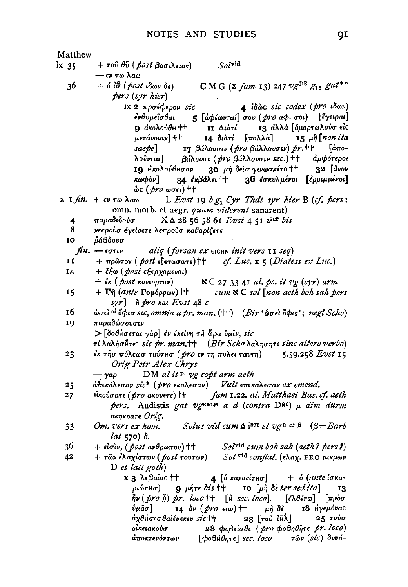Matthew  $+ \tau$ ού θΰ (post βασιλειας)  $Sol^{\text{vid}}$  $ix<sub>35</sub>$ - εν τω λαω C M G ( $\Sigma$  fam 13) 247  $v g^{DR} g_{12} g^{at**}$ 36  $+$   $\delta$   $\hat{i}\hat{\sigma}$  (post  $\hat{i}\delta\omega\nu$   $\delta\epsilon$ ) pers (syr hier) ix 2 πρσέφερον sic 4 lowc sic codex (pro idwv) 5 [αφέωνταί] σου (pro αφ. σοι) [έγειραι] ένθυμεῖσθαι 13 άλλά [άμαρτωλούσ είς 9 άκολούθη ++  $\Pi$   $\Delta t$ *ati* μετάνοιαν] †† 14 διάτί [πολλά]  $15 \mu\hbar$  non ita 17 βάλουσιν (*pro βάλλουσιν*) pr.++  $\int d\pi$ osaebel λοῦνται] βάλουσι (*pro βάλλουσιν sec.*) ++ *άμφότεροι*  $32$   $\left[\frac{d}{d}y\right]$ ΙΟ Ηκολούθησαν 30 μή δείσ γινωσκέτο ++ 36 έσκυλμένοι [ερριμμένοι] κωφόν] 34  $\epsilon \kappa \beta$ άλει ††  $\&c$  (*pro* ωσει) ++ x 1 fin. + εν τω λαω L Evst 19  $bg_1$  Cyr That syr hier B (cf. pers: omn. morb. et aegr. quam viderent sanarent) παραδιδούσ  $X \triangle 28$  56 58 61 Evst 4 51 2<sup>8CP</sup> bis 4 8 νεκρούσ έγείρετε λεπρούσ καθαρίζετε 10 ράβδουσ  $\hbar n$ .  $-\epsilon \sigma \tau \iota \nu$ aliq (forsan ex EICHN init vers 11 seq)  $\mathbf{I}$  $+$  πρώτον (*post* εξετασατε) † + cf. Luc.  $x \in (Diates \text{ } ex \text{ } Luc.)$ + έξω (post εξερχομενοι) 14  $+$   $\epsilon \kappa$  (post κονιορτον)  $N C$  27 33 41 al. pc. it vg (syr) arm +  $\Gamma \hat{\eta}$  (ante  $\Gamma$ oμόρρων) ++  $cum \& C sol$  [non aeth boh sah pers 15 syr]  $\hat{\eta}$  pro kai Evst 48 c 16 ώσει <sup>οι</sup> όφισ sic, omnia a pr. man.  $($ ††) (Bir 'ώσει όφις'; negl Scho) παραδώσουσιν 19 > [δοθήσεται γάρ] έν έκείνη τη ώρα ύμιν, sic  $\tau$ ί λαλήσ $\tilde{\theta}$ τε sic pr. man.  $\uparrow \uparrow$  (Bir Scho λαλησητε sine altero verbo) 23 έκ τῆσ πόλεωσ ταύτμσ ( pro εν τη πολει ταυτη)  $5.59.258$  Evst 15 Orig Petr Alex Chrys DM al it <sup>pl</sup> vg copt arm aeth – ναο 25  $d\hat{\pi}$ εκάλεσαν sic\* (pro εκαλεσαν) Vult επεκαλεσαν ex emend.  $\mathcal{H}$ κούσατε ( $\mathit{pro}$  aκουετε)  $\dagger\dagger$  fam 1.22. al. Matthaei Bas. cf. aeth  $27$ pers. Audistis gat vg<sup>ETLM</sup> a d (contra D<sup>gr</sup>)  $\mu$  dim durm акпкоате Orig. Solus vid cum  $\Delta i^{\text{Bcr}}$  et vg et  $\beta$  ( $\beta =$ Barb 33 Om, vers ex hom, lat 570)  $\delta$ . 36  $+$  είσιν, (post ανθρωπου) ++  $Sol^{\text{vid}}$  cum boh sah (aeth? pers?) + τῶν ἐλαχίστων ( post τουτων) Sol vid conflat. (ελαχ. PRO μικρων 42  $D$  et latt goth) x 3 λεβαῖος †† 4 [ο κανανίτησ]  $+$   $\delta$  (ante lowa $ριώτH $σ)$$  $9$   $\mu$ *n* $\tau \epsilon$  *bis*  $\dagger$   $\dagger$ 10  $\lceil \mu \hat{\theta} \rceil$  deter sed it a 13  $\frac{3}{7}\nu$  (pro  $\frac{3}{11}$ ) pr. loco ++ [ $\frac{3}{11}$  sec. loco]. [έλθέτω] [προσ ύμᾶσ] 14  $\Delta \nu$  (pro eav) ++  $\mu$ *n*  $\delta$ <sup>2</sup> 18 Ηγεμόνας ἀχθήσεσθαἰένεκεν sic†† 23 Γτοῦ ἰπλΤ 25 τούσ οἰκειακοὺσ 28 φοβείσθε (pro φοβηθήτε pr. loco) άποκτενόντων  $[$  $\phi$ o $\beta$  $\theta$  $\eta$  $\tau$  $\epsilon$  $]$  sec. loco τῶν (sic) δυνά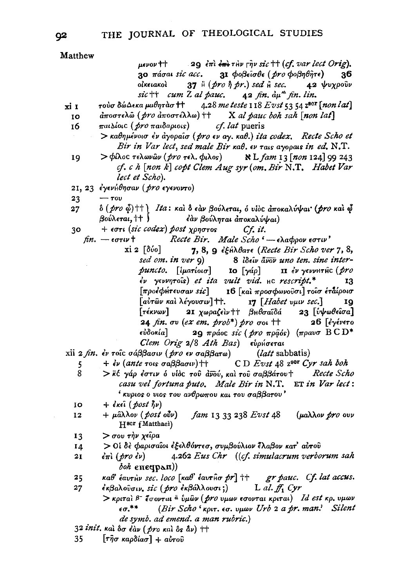Matthew

 $\mu\epsilon\nu$ ov $+\pm$ 29  $\epsilon \pi i \epsilon \hat{m}$  the right sic <sup>++</sup> (cf. var lect Orig). 31 φοβείσθε (pro φοβηθήτε) 30 πάσαι sic acc. 36  $37 \nparallel (pro \nparallel pr.)$  sed  $\parallel$  sec. οίκειακοί  $42 \frac{1}{2}$ sic ++ cum Z al pauc.  $42 \text{ fm. } d\mu^{\ast\ast}$  fin. lin.

- 4.28 me teste 118 Evst 53 54 zeor [non lat] τούσ δώΔεκα μαθητὰσ †† xi 1
	- άποστελώ ( pro άποστέλλω) †† X al pauc boh sah [non lat] 10
	- παιλίοις (pro παιδαριοις) 16 cf. lat pueris
		- > καθημένοισ έν άγοραΐσ (pro εν αγ. καθ.) ita codex. Recte Scho et Bir in Var lect, sed male Bir  $\kappa a\theta$ .  $\epsilon \nu$  rais ayopais in ed. N.T.
	- 19  $>$  φίλος τελωνῶν ( pro τελ. φιλος) N L fam 13 [non 124] 99 243 cf. c h [non k] copt Clem Aug syr (om. Bir N.T. Habet Var lect et Scho).
	- 21. 23 εγενήθησαν (pro εγενοντο)
	- $-\tau$ ou 23
	- δ (pro φ)++) Ita: και δ εαν βούλεται, ό υίος αποκαλύψαι (pro και φ  $27$ βούλεται, †† ) έαν βούληται αποκαλύψαι)
	- $+$  εστι (sic codex) post χρηστος  $Cf$ , it. 30
		- $fin. \epsilon \sigma \tau \nu$ + Recte Bir. Male Scho  $-\epsilon \lambda a \phi \rho o \nu \epsilon \sigma \tau \nu'$ 
			- xi 2 [δύο] 7, 8, 9  $\epsilon \xi$ Hildare (Recte Bir Scho ver 7, 8, sed om. in ver 9) 8 lồcu ăvov uno ten. sine inter $p$ uncto. [ $iparíoa$ ]  $\mathbf{IO}$   $\lceil \gamma a \rho \rceil$  $\mathbf{u}$  έν γεννητής (pro  $\omega$  yevvnrois) et ita vult vid. HC rescript.\* 13 16 [και προσφωνούσι] τοισ ετάίροισ  $\lceil \pi \rho$ οέφήτευσαν sic $\rceil$ [aὐτων και λέγουσιν] ++.  $I7$  [Habet vuw sec.] 10 21 χωραζεὶ톆 βμθσαϊδά 23 [ὑψωθεῖσα]  $\lceil$ τέκνων $\rceil$ 24 fin. ov (ex em. prob\*) pro ooi  $\pm$ 26 Γένένετο **29** πράος sic (pro πράός) (πραυσ  $BCD^*$ εὐδοκία] Clem Orig 2/8 Ath Bas) ευρήσεται

xii 2 fin. έν τοι σάββασιν (pro εν σαββατω) (latt sabbatis)

- $+$   $\epsilon \nu$  (ante rois  $\sigma$ a $\beta \beta$ a $\sigma$ iv)  $\uparrow \uparrow$  $CD Evst$  48 z<sup>sor</sup> Cyr sah boh 5
- $\overline{8}$ > κέ γάρ έστιν ό υίδε του άνού, και του σαββάτου + Recte Scho casu vel fortuna puto. Male Bir in N.T. ET in Var lect:  $'$  κυριος ο υιος του ανθρωπου και του σαββατου'
- $+$  έκει (post  $\hat{h}$ ν) IO
- $+ \mu \hat{a} \lambda \lambda o \nu$  (post  $o \hat{v} \nu$ )  $f$ am 13 33 238 Evst 48 (μαλλον *pro* ουν 12 H<sup>scr</sup> (Matthaei)
- > σου την χείρα 13
- > Οι δε φαρισαΐοι εξελθόντεσ, συμβούλιον έλαβον κατ' αυτού  $I\Lambda$
- $2I$  $\epsilon \pi i$  (pro  $\epsilon \nu$ ) 4.262 Eus Chr ((cf. simulacrum verborum sah boh eneqpan))

gr pauc. Cf. lat accus.  $\kappa a\theta$  έαυτήν sec. loco [καθ' έαυτήσ pr] ++ 25

 $27$ εκβαλούσιν, sic (pro εκβάλλουσι;) L al.  $f_1$  Cyr > κριταί β<sup>-</sup> έσονται <sup>δ</sup>ύμων (*pro υμων* εσονται κριται) Id est κρ. υμων  $\epsilon \sigma$ <sup>\*\*</sup> (Bir Scho 'крит.  $\epsilon\sigma$ . vuov Urb 2 a pr. man.' Silent de symb. ad emend. a man rubric.)

 $32$  init.  $\kappa a\hat{i} \, \delta\sigma \, \hat{\epsilon} \hat{a} \nu$  (pro  $\kappa a\hat{i} \, \delta\sigma \, \hat{a} \nu$ )  $\uparrow \uparrow$ 

35  $[\tau \hat{\eta} \sigma \; \kappa a \rho \delta a \sigma] + a \nu \sigma \hat{\nu}$ 

92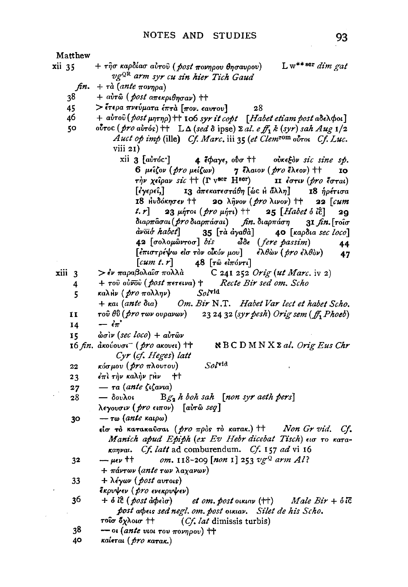- 93 Matthew + τῆσ καρδίασ αὐτοῦ ( post πονηρου θησαυρου)  $L w^{***}$ sor dim gat xii 35 vg<sup>QR</sup> arm syr cu sin hier Tich Gaud  $fin. + \tau \dot{a}$  (ante  $\pi \circ \nu \eta \rho a$ ) 38 + αύτω (post απεκριθησαν) ++  $>$  έτερα πνεύματα έπτα [πον. εαυτου] 45  $28$ 46  $+$  aυτου (post  $\mu$ ητηρ) + 106 syr it copt [Habet etiam post aδελφοι] ovroc (pro airós) ++  $L\Delta$  (sed  $\delta$  ipse)  $\Sigma$  al. e ff, k (syr) sah Aug 1/2 5O Auct op imp (ille) Cf. Marc. iii 35 (et Clem<sup>rom</sup> ovrou Cf. Luc.  $viii 21)$ xii 3 [avróc·]  $4$  *idays*,  $_{000}$  <sup>++</sup> oùkeEov sic sine sp.  $6$   $\mu\epsilon\zeta$ ov (pro  $\mu\epsilon\zeta$ ων) 7 έλαιον (*pro* έλεον) ++ IO την χείραν sic ++ (Γ v<sup>scr</sup> Η<sup>sor</sup>) II έστιν (pro έσται)  $\left[\epsilon\gamma\epsilon\rho\epsilon\hat{\iota},\right]$ 13 απεκατεστάθη [ώς Η άλλη] 18 ήρέτισα 18 Ηνδόκησεν †† 20  $\lambda \hat{\eta}$ vov (pro  $\lambda$ ivov) ††  $22$   $\lceil$ *cum* 23 μήτοι (pro μήτι) ++  $t, r$  $25$  [*Habet*  $\delta$  *i* $\tilde{c}$ ] 29 διαρπάσαι ( pro διαρπάσαι) fin. διαρπάση  $3I$  fin.  $\lceil \text{roio} \rceil$ avoit habet 35  $\lceil$ τά άγαθά] 40 [καρδια sec loco] 42 [σολομώντοσ] bis  $\delta \delta \epsilon$  (fere passim) 44 [επιστρέψω είσ τον οίκύν μου]  $\epsilon \lambda \theta \omega \nu$  (pro  $\epsilon \lambda \theta \omega$ ) 47  $\lceil$ cum t. r $\rceil$ 48 [τῶ εἰπόντι] xiii 3 > έν παραβολαΐσ πολλά C 241 252 Orig (ut Marc. iv 2)  $+$  του ούνου (*post* πετεινα) + Recte Bir sed om. Scho 4  $SoV^{\text{rid}}$ καλ<sub>Ην</sub> (*pro* πολλην) 5  $+$   $\kappa$ ai (ante δια) Om. Bir N.T. Habet Var lect et habet Scho. τού θΰ (pro των ουρανων) 23 24 32 (syr pesh) Orig sem (ff, Phoeb)  $\mathbf{I}$  $-i\pi$ 14  $\dot{\omega}$ σίν (sec loco) + αύτων 15 16 *fin.* ακούουσι<sup>-</sup> (pro aκουει) <sup>++</sup> NBCDMNXΣal. Orig Eus Chr Cyr (cf. Heges) latt  $Sol$ vid κόσμου (*pro* πλουτου) 22  $23$ έπι την καλήν γίν ተተ  $\tau$ a (ante  $\zeta$ i $\zeta$ avia)  $27$  $Bg_2$  h boh sah [non syr aeth pers]  $-\delta$ ουλοι 28 λεγουσιν (*pro* ειπον) [αὐτῶ seq]  $-$  τω (ante καιρω) 30 είσ το κατακαύσαι (*pro* πρός το κατακ.) ++ Non Gr vid. Cf. Manich apud Epiph (ex Ev Hebr dicebat Tisch) εισ το καταkanval. Cf. latt ad comburendum. Cf. 157 ad vi 16 om. 118-209 [non 1] 253 vg2 arm Al?  $\mu$ ev  $+$ 32
	- $+$  πάντων (ante των λαχανων)

33 + λέγων (*post* avrois)

- έκρυψεν (*pro* ενεκρυψεν)
- 36  $+$   $\delta$  *i*c (*post abelo*) *et om. post ouxiav*  $($ <sup>++</sup>) Male  $Bir + \delta$ ic post abels sed negl. om. post olklav. Silet de his Scho. τοΐσ ὄχλοισ †† (Cf. lat dimissis turbis)
- 38  $-$  or (ante vior rov πονηρου) ++
- 40 καίεται (*pro* κατακ.)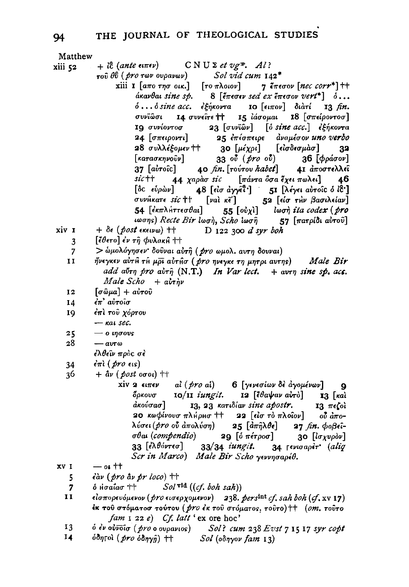| Matthew      |                                                                                                                                                                                            |
|--------------|--------------------------------------------------------------------------------------------------------------------------------------------------------------------------------------------|
| xiii 52      | $+ i\hat{c}$ (ante einev) $\qquad \qquad \text{C} \text{ N} \text{ U } \Sigma \text{ et } \nu g^2$ . Al?                                                                                   |
|              | τού θύ ( <i>pro</i> των ουρανων) Sol vid cum 142 <sup>*</sup>                                                                                                                              |
|              | xiii 1 [απο τησ οικ.] [το πλοιον] 7 έπεσον [nec corr*] ++                                                                                                                                  |
|              | $\alpha$ and $\alpha$ sine sp. 8 [ $\epsilon$ $\pi$ e $\sigma$ ev $\epsilon$ $\pi$ $\epsilon$ $\sigma$ ov $\alpha$ $\epsilon$ $\tau$ <sup>*</sup> ] $\delta$                               |
|              | ό όsine acc. εξήκοντα 10 [ειπον] διατί<br>$13 \text{ fm.}$                                                                                                                                 |
|              | συνΐωσι 14 συνείτε ++ 15 ιάσομαι 18 [σπείροντοσ]                                                                                                                                           |
|              | 19 συνίοντοσ 23 [συνϊών] [ο sine acc.] εξήκοντα                                                                                                                                            |
|              |                                                                                                                                                                                            |
|              | 24 [σπειροντι] 25 επέσπειρε αναμέσον uno verbo                                                                                                                                             |
|              | 28 συλλέξομεν ††<br>30 [μέχρι] [εἰσδεσμὰσ] 32                                                                                                                                              |
|              | $[\kappa a \tau a \sigma \kappa \eta \nu o \hat{v} \nu]$<br>33 ού (pro ού) 36 [φράσον]                                                                                                     |
|              | 37 [αύτοι c] (40 fin. [τούτου habet] (41 άποστελλεί                                                                                                                                        |
|              | sic++ 44 χαράσ sic [πάντα ῧσα έχει πωλει] 46                                                                                                                                               |
|              | [δc εύρων] 48 [είσ άγγεΐ <sup>,</sup> ] 51 [λέγει αυτοίς δ ίδ']                                                                                                                            |
|              | συνήκατε sic †   [val κε'] 52 [είσ την βασιλείαν]<br>54 [εκπλήττεσθαι] 55 [ούχι] Ιωσή ita codex (pro                                                                                       |
|              |                                                                                                                                                                                            |
|              | ιωσης) Recte Bir lωσή, Scho ίωση 57 [πατρίδι αυτού]                                                                                                                                        |
| xiv 1        | $+$ $\delta \epsilon$ ( <i>post</i> εκεινω) $+$<br>D 122 300 d syr boh                                                                                                                     |
| 3            | [ἔθετο] ἐν τῆ φυλακĤ ††                                                                                                                                                                    |
| 7            | > ώμολόγησεν δούναι αύτη (pro ωμολ. αυτη δουναι)                                                                                                                                           |
| $\mathbf{I}$ | ήνεγκεν αὐτĤ τH μρι αὐτĤσ (pro ηνεγκε τη μητρι αυτης) Μale Bir                                                                                                                             |
|              | add abry pro abry $(N, T)$ In Var lect. $+$ avry sine sp. acc.                                                                                                                             |
|              | $Male$ $Scho + a\dot{v}\tau\dot{\eta}\nu$                                                                                                                                                  |
| 12           | $\lceil \sigma \hat{\omega} \mu a \rceil + a \hat{\nu} \tau o \hat{\nu}$                                                                                                                   |
| 14           | έπ' αύτοισ                                                                                                                                                                                 |
| 19           | έπι του χόρτου                                                                                                                                                                             |
|              | $ \kappa$ at sec.                                                                                                                                                                          |
| 25           | $-$ 0 $\eta \sigma$ ovs                                                                                                                                                                    |
| 28           | $ avro$                                                                                                                                                                                    |
|              | έλθεῖν πρὸς σὲ                                                                                                                                                                             |
| 34           | $\epsilon \pi i$ (pro $\epsilon$ is)                                                                                                                                                       |
| 36           | $+$ $\hat{a}\nu$ ( <i>post</i> or oi) $+$                                                                                                                                                  |
|              |                                                                                                                                                                                            |
|              | xiv 2 ειπεν $ai (pro a i)$ 6 [γενεσίων δε άγομένων] 9<br>όρκουσ 10/11 iungit. 12 [έθαψαν αύτο] 13 [και                                                                                     |
|              |                                                                                                                                                                                            |
|              | άκούσασ]<br>13, 23 κατιδίαν sine apostr. 13 πεζοί                                                                                                                                          |
|              | 20 κωφίνουσ πλήρισ + $\bf{22}$ [είσ τὸ πλοΐον] οὖ ἀπο-<br>λύσει ( <i>pro</i> οὖ ἀπολύση) 25 [ἀπῆλθε] 27 <i>fin</i> . φοβεΐ-                                                                |
|              |                                                                                                                                                                                            |
|              | σθαι (compendio) 29 [ο πέτροσ] 30 [lσχυρον]                                                                                                                                                |
|              | 33 [ελθόντεσ] 33/34 iungit. 34 Γενισαρετ' (aliq                                                                                                                                            |
|              | Scr in Marco) Male Bir Scho γεννησαρέθ.                                                                                                                                                    |
| XV I         | $-$ of $^{\dagger\dagger}$                                                                                                                                                                 |
| 5            | $\epsilon$ àv (pro àv pr loco) ††                                                                                                                                                          |
| 7            | $\delta$ Hoatao ++ Sol vid ((cf. boh sah))                                                                                                                                                 |
| 11           | είσπορευόμενον ( <i>pro</i> εισερχομενον) 238. pers <sup>lat</sup> cf. sah boh (cf. xv 17)                                                                                                 |
|              | έκ του στόματοσ τούτου ( <i>pro έκ</i> του στόματος, τουτο) ++ (om. τουτο                                                                                                                  |
| 12           | $fam \perp 22 e$ Cf. latt 'ex ore hoc'<br>$\delta$ dy $\delta v\overline{v}$ ( $\delta v\overline{a}$ a successed) $\qquad$ Call company $\delta v$ From $\pi$ $\tau$ $\pi$ $\pi$ and sold |
|              |                                                                                                                                                                                            |

<sup>δ</sup> ἐν οὐνδίσ (*pro* ο ουρανιος) *Sol? cum 238 Evst 7 15 17 syr copt*<br>δδητολ (*pro δδηγ*ŷ) †† Sol (οδηγον fam 13)  $\frac{1}{14}$ 

94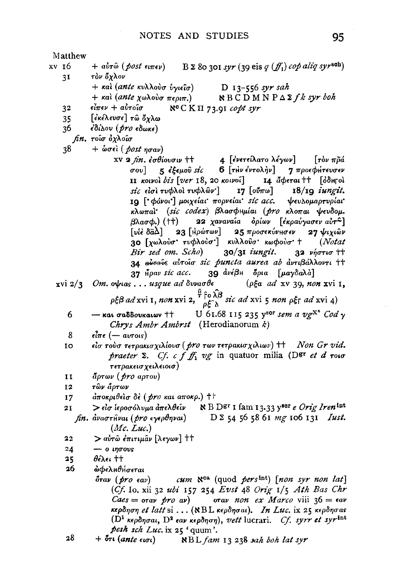Matthew  $B \Sigma$  80 301 syr (39 eis q  $(f_1)$  cop aliq syrseh) xv 16  $+$  aυτώ (*post* ειπεν) 31 τὸν ὄχλον + και (ante κυλλούσ ύγιείσ)  $D_{13-556}$  syr sah  $+$  και (ante χωλούσ περιπ.)  $R B C D M N P \Delta \Sigma f k syr$  boh  $\epsilon$ ίπεν + αυτοΐσ  $N^c$ C K  $\Pi$  73.91 copt syr 32 35 [ἐκέλευσε] τῶ ὄχλω 36 έδίλου (*pro* εδωκε) *fin.* τοίσ όχλοίσ  $38$  $+$  ώσει (post ησαν) xv 2 fin. έσθίουσιν + + 4 [ένετείλατο λέγων] [τὸν πρά<br>
σου] 5 έξεμοῦ sic 6 [τὴν ἐντολὴν] 7 προεφήτευσεν II κοινοὶ bis [ver 18, 20 κοινοῖ] 14 άφεται ++ [όδιγοι sic είσι τυφλοί τυφλών']  $17\left[\omega\pi\omega\right]$   $18/\log i$ ungit. 19 [ φόνοι'] μοιχείαι πορνείαι sic acc. ψευλομαρτυρίαι κλωπαί (sic codex) βλασφημίαι (pro κλοπαι ψευδομ. 22 χαναναία δρίων [εκραύγασεν αυτ<sup>2</sup>] βλασφ.) (††)  $\lceil$ υίέ δ $\bar{a}\lambda$ ] 23  $\lceil$ Ηρώτων] 25 προσεκύνησεν  $27$   $\psi$ <sub>1</sub> $\hat{\omega}$ v 30 [χωλούσ' τυφλούσ'] κυλλούσ' κωφούσ' +  $(Notat$ Bir sed om. Scho)  $30/31$  iungit.  $32$  vήστισ  $11$ 34 αυτούς αυτοίσ sic puncta aurea ab αντιβάλλοντι ++ 37 ήραν sic acc. 39 ανέβη δρια [μαγδαλά] ( $\rho \xi a$  ad xv 39, non xvi 1.  $xvi$  2/3 Om. orbias . . . usque ad  $\delta v$ vao  $\theta \epsilon$  $\rho\xi\beta$  ad xvi 1, non xvi 2,  $\frac{\beta}{\rho}\hat{f}^\text{o}\hat{\lambda}\hat{\beta}$  sic ad xvi 5 non  $\rho\xi$ f ad xvi 4) U 61.68 115 235 year sem a vg<sup>X\*</sup> Cod v - και σαδδουκαιων ++ 6 Chrys Ambr Ambrst (Herodianorum k)  $\boldsymbol{8}$  $\epsilon \hat{l} \pi \epsilon$  (  $-$  avrois) είσ τούσ τετρακισχιλίουσ (pro των τετρακισχιλιων) ++ Non Gr vid. **IO** praeter  $\Sigma$ . Cf. c f  $f_1$  vg in quatuor milia (Dgr et d roio τετρακεισχειλειοισ) TT.  $\partial \rho \tau \omega \nu$  (pro aprov) τῶν ἄρτων 12  $d$ ποκριθείσ δε (pro και αποκρ.) ++ 17  $>$ είσ ίεροσόλυμα άπελθείν  $\qquad$  N B D<sup>gr</sup> I fam 13.33 y<sup>100r</sup> e Orig Iren<sup>int</sup>  $2I$  $fin.$   $\frac{d}{dx}$  $\frac{d}{dx}$  $\frac{d}{dx}$  $\frac{d}{dx}$  $\frac{d}{dx}$  $\frac{d}{dx}$  $\frac{d}{dx}$  $\frac{d}{dx}$  $\frac{d}{dx}$  $\frac{d}{dx}$  $\frac{d}{dx}$  $\frac{d}{dx}$  $\frac{d}{dx}$  $(Mc, Luc.)$  $22$ > αὐτῶ ἐπιτιμᾶν [λεγων] ++  $24$  $-$  0  $\iota$ ngovs  $\theta$ έλει ++ 25 26 ώφελμθήσεται  $\mathcal{L}$ um  $\aleph^{\text{ca}}$  (quod pers<sup>int</sup>) [non syr non lat]  $\delta$ rav ( $\mathit{bro}$   $\epsilon$ av) (Cf. Io. xii 32 ubi 157 254 Evst 48 Orig  $1/5$  Ath Bas Chr  $\textit{Caes} = \text{orav}$  pro av) orav non ex Marco viii 36 =  $\epsilon$ av κερδηση et latt si... (NBL κερδησαι). In Luc. ix 25 κερδησας  $(D<sup>1</sup>$  κερδησαι,  $D<sup>2</sup>$  εαν κερδηση), vett lucrari. *Cf. syrr et syr*<sup>int</sup> pesh sch Luc. ix 25 'quum'.

28  $+$  ότι (ante  $\epsilon$ ισι) NBL fam 13 238 sah boh lat syr 95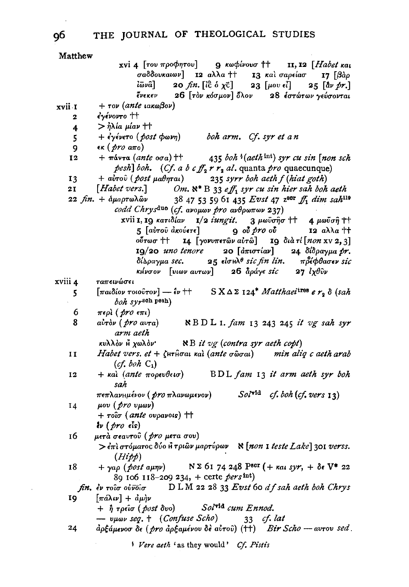| Matthew      |                                                                                                                                                                                                                                            |
|--------------|--------------------------------------------------------------------------------------------------------------------------------------------------------------------------------------------------------------------------------------------|
|              | xvi 4 [του προφητου] 9 κωφίνουσ ++ 11, 12 [Habet και                                                                                                                                                                                       |
|              | σαδδουκαιων] <b>12</b> αλλα + + <b>13</b> και σαρείασ <b>17</b> [βαρ<br><i>ί</i> ωνα] <b>20</b> fm. [ίξ ό χσ] <b>23</b> [μου εί] <b>25</b> [αν pr.]                                                                                        |
|              |                                                                                                                                                                                                                                            |
|              | ένεκεν 26 [τον κόσμον] όλον 28 έστώτων γεύσονται                                                                                                                                                                                           |
|              |                                                                                                                                                                                                                                            |
| xvii 1       | $+$ $\tau$ ov (ante ιακωβον)                                                                                                                                                                                                               |
| $\mathbf{2}$ | έγένοντο ††                                                                                                                                                                                                                                |
| 4            | $>$ $\eta$ λία μίαν ††                                                                                                                                                                                                                     |
|              | $+ \epsilon \gamma \epsilon$ νετο (post $\phi \omega n$ ) boh arm. Cf. syr et an                                                                                                                                                           |
| 5            |                                                                                                                                                                                                                                            |
| 9.           | $\epsilon \kappa$ (pro ano)                                                                                                                                                                                                                |
| 12           | $+$ πάντα (ante oσa) + $+$ 435 boh $\{(aeth^{int})$ syr cu sin [non sch                                                                                                                                                                    |
|              | pesh] boh. (Cf. a b cff <sub>2</sub> r r <sub>2</sub> al. quanta pro quaecunque)                                                                                                                                                           |
| 13           | 235 syrr boh aeth f (hiat goth)<br>+ αὐτοῦ ( post μαθηται)                                                                                                                                                                                 |
|              |                                                                                                                                                                                                                                            |
|              | 21 <i>[Habet vers.]</i> $Om. \aleph^* B$ 33 <i>eff</i> <sub>1</sub> syr cu sin hier sah boh aeth<br>22 fm. + $\alpha_{\mu}$ aprod $\alpha_{\mu}$ 38 47 53 59 61 435 <i>Evst</i> 47 z <sup>sor</sup> ff <sub>1</sub> dim sah <sup>119</sup> |
|              |                                                                                                                                                                                                                                            |
|              | codd Chrys <sup>duo</sup> (cf. aνομων pro ανθρωπων 237)                                                                                                                                                                                    |
|              | xvii 1, 19 κατιδίαν 1/2 iungit. 3 μωϋσησ ++ 4 μωϋση ++                                                                                                                                                                                     |
|              | 12 αλλα ††                                                                                                                                                                                                                                 |
|              | ούτωσ †† 14 [γονυπετών αύτώ] 19 διά τί $[non xv 2, 3]$                                                                                                                                                                                     |
|              |                                                                                                                                                                                                                                            |
|              | 19/20 uno tenore 20 $\left[\frac{d}{d\pi}$ 10 $\frac{d\pi}{d\sigma}$ 24 δίδραγμα pr.                                                                                                                                                       |
|              | δίλραγμα sec. 25 είσικλ <sup>ο</sup> sic fin lin. πρέφθασεν sic                                                                                                                                                                            |
|              | κιίνσον [υιων αυτων] 26 άράγε sic 27 ίχθυν                                                                                                                                                                                                 |
| xviii 4      | ταπεινώσει                                                                                                                                                                                                                                 |
| 5            | $[\pi a d \delta \omega \tau \omega \omega \tau \omega \tau \omega]$ $ \epsilon \nu$ $+$ $\sigma$ $\Delta \Sigma$ 124 <sup>*</sup> <i>Matthaei</i> <sup>tros</sup> $e r_2 \delta$ (sah                                                     |
|              | boh syrsch pesh)                                                                                                                                                                                                                           |
|              |                                                                                                                                                                                                                                            |
| 6            | περλ (pro επι)                                                                                                                                                                                                                             |
| 8            | $a\dot{v}$ rdv $(pro \ a v \tau a)$ NBDL 1. fam 13 243 245 it vg sah syr                                                                                                                                                                   |
|              | arm aeth                                                                                                                                                                                                                                   |
|              | $\aleph B$ it vg (contra syr aeth copt)<br>κυλλόν Η χωλόν"                                                                                                                                                                                 |
| 11           | Habet vers. et + $\zeta$ Hr $\hat{H}$ oat kal (ante o $\hat{\omega}$ oat) min alig c aeth arab                                                                                                                                             |
|              |                                                                                                                                                                                                                                            |
|              | $(cf, both C_1)$                                                                                                                                                                                                                           |
| 12           | + και (ante πορευθεισ) BDL fam 13 it arm aeth syr boh                                                                                                                                                                                      |
|              | sah                                                                                                                                                                                                                                        |
|              | πεπλανημένον ( <i>pro</i> πλανωμενον) Sol <sup>γid</sup><br>$cf.$ boh $(cf.$ vers $13)$                                                                                                                                                    |
| 14           | $\mu$ ov $(\text{pro v}\mu\omega\nu)$                                                                                                                                                                                                      |
|              |                                                                                                                                                                                                                                            |
|              | $+ \tau o \hat{\iota} \sigma$ (ante ovpavois) $+$                                                                                                                                                                                          |
|              | $\mathbf{i}\nu$ (pro $\epsilon$ is)                                                                                                                                                                                                        |
| 16           | μετά σεαυτοῦ ( pro μετα σου)                                                                                                                                                                                                               |
|              | $>$ έπι στόματος δύο Η τριών μαρτύρων $\aleph$ [non I teste Lake] 301 verss.                                                                                                                                                               |
|              | (Hipp)                                                                                                                                                                                                                                     |
|              | + $\gamma a \rho$ (post $a\mu \eta \nu$ ) N $\Sigma$ 61 74 248 P <sup>scr</sup> (+ $\kappa a \iota$ syr, + $\delta \epsilon$ V* 22                                                                                                         |
| 18           |                                                                                                                                                                                                                                            |
|              | 89 106 118-209 234, + certe persint)                                                                                                                                                                                                       |
|              | fin. Ev roio obvoio $DLM$ 22 28 33 Evst 60 df sah aeth boh Chrys                                                                                                                                                                           |
| 19.          | $[\pi \acute{a} \lambda \iota \nu] + \dot{a} \mu \grave{\eta} \nu$                                                                                                                                                                         |
|              | $+$ $\hat{\eta}$ τρείσ (post δυο) Sol <sup>τια</sup> cum Ennod.                                                                                                                                                                            |
|              | — vµwv seq. † (Confuse Scho)                                                                                                                                                                                                               |
|              | 33 cf. lat                                                                                                                                                                                                                                 |
| 24           | άρξάμενοσ δε (pro αρξαμένου δε αύτου) (++) Bir Scho - αυτου sed.                                                                                                                                                                           |
|              | Vere aeth 'as they would' Cf. Pistis                                                                                                                                                                                                       |
|              |                                                                                                                                                                                                                                            |

 $\cdot$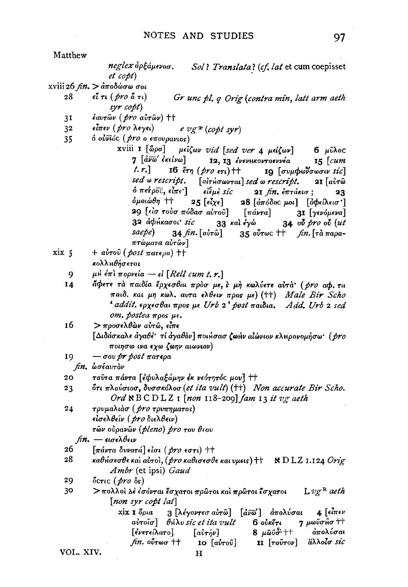Matthew

neglex ἀρξάμενοσ. Sol? Translata? (cf. lat et cum coepisset  $et \; copt$ 

xviii 26  $δώσω σοι$ 

- 28  $\epsilon$ ί τι (*pro* δ τι) Gr unc pl. q Orig (contra min, latt arm aeth  $syr \; copt$
- $\frac{1}{2}$   $\frac{1}{2}$   $\frac{1}{2}$   $\frac{1}{2}$   $\frac{1}{2}$   $\frac{1}{2}$   $\frac{1}{2}$   $\frac{1}{2}$   $\frac{1}{2}$   $\frac{1}{2}$   $\frac{1}{2}$   $\frac{1}{2}$   $\frac{1}{2}$   $\frac{1}{2}$   $\frac{1}{2}$   $\frac{1}{2}$   $\frac{1}{2}$   $\frac{1}{2}$   $\frac{1}{2}$   $\frac{1}{2}$   $\frac{1}{2}$   $\frac{1}{2}$   $31$
- είπεν (*pro* λεγει) 32  $e \, v \, g \cdot ( \omega \rho t \, s \nu r)$
- ό ούνιός (*pro* ο επουρανιος) 35

xviii I [ώρα] μείζων vid [sed ver 4 μείζων] 6 μύλος 7 <sup>[</sup>άνω' ἐκείνω] 12, 13 ένενικονταεννέα  $15$   $\lceil$ *cum*  $t, r$ 16  $\epsilon \tau \eta$  (*pro* ετι) ++ 19 [συμφωνσωσιν sic] sed *w* rescript. [alrhowral] sed a rescript. 21  $a$ υτώ  $\delta$  πετρος, είπε]  $\epsilon$ i $\epsilon$ μè sic  $2I$  fin,  $\epsilon\pi\tau$ ákt $\sigma$ : 23 δμοιώθη ++  $25$  [ $\epsilon \zeta \gamma \epsilon$ ] 28  $\lceil \hat{a}\pi \hat{o} \hat{o}$ ος μοι |  $\lceil \hat{0} \phi \hat{e} \hat{a} \lambda \hat{e} \hat{a} \sigma \hat{a} \rceil$ 29 [είσ τούσ πόδασ αύτοῦ] [πάντα] 31 [γενόμενα] 32 άφήκασοι sic 34 ov pro ov (ut 33 και έγώ saepe) 34 *fin*. [aὐ<del>r</del>ῶ] 35 ούτως <sup>††</sup> *fin*. [τα παραπτώματα αὐτῶν]

$$
xix 5 + a\delta\tau o\delta (post \pi a\tau \epsilon \rho a) \dagger\dagger
$$

κολλμθήσεται

9 μΗ έπι πορνεία – εί [Rell cum t. r.]

- άφετε τα παιδία έρχεσθαι πρόσ με, έ μή κωλύετε αυτά (pro aφ. τα 14 παιδ. και μη κωλ. αυτα ελθειν προς με) (++) Male Bir Scho ' addit. ερχεσθαι προς με Urb 2' post παιδια. Add. Urb 2 sed om. postea  $\pi$ pos  $\mu$ e.
- 16 > προσελθών αὐτῶ, εἶπε [Διδάσκαλε άγαθε τί άγαθον] ποι ίσασ ζωήν αιώνιον κληρονομήσω (pro ποιησω ινα εχω ζωην αιωνιον)
- $-\sigma$ ov pr post  $\pi$ atega 19

fin. ωσέαυτον

- ταύτα πάντα [εφυλαξάμην έκ νεότητός μου] ++  $20<sub>o</sub>$
- ότι πλούσιοσ, δυσσκόλοσ (et ita vult) (++) Non accurate Bir Scho. 23 Ord  $\aleph$  BCDLZ<sub>1</sub> [non 118-209] fam 13 it vg aeth
- τρυμαλιάσ ( pro τρυπηματος) 24 είσελθεΐν ( pro διελθειν) τῶν οὐρανῶν (*pleno*) pro του θεου

 $\hbar n$ . — εισελθειν

- 26  $\lceil \pi \Delta v \tau \alpha \, \delta v \nu \alpha \tau \Delta \rceil$  είσι ( $\beta r \sigma$  εστι) ++
- 28 καθήσεσθε καὶ αὐτοὶ, (*pro καθισεσθε και υμει*ς) †† N D LZ 1.124 *Orig* Ambr (et ipsi) Gaud

29 όςτις (pro δs)

30 > πολλοί Δέ έσόνται έσχατοι πρώτοι και πρώτοι έσχατοι  $L v g^R$  aeth [non syr copt lat]

xix 1 όρια 3 [λέγοντεσ αύτῶ] [ανω'] απολύσαι  $4 \int \epsilon \overline{\iota} \pi \epsilon \nu$ aὐτοῖσ] θήλυ sic et ita vult 6 ουκέτι 7 μωϋσ<sub>θ</sub>σ ++  $8 \mu \bar{\omega} \ddot{\omega} + 1$ άπολύσαι [ένετείλατο]  $[a\mathbf{v}\tau\mathbf{n}\nu]$ άλλοίσ sic  $fin. o<sup>o</sup>$ rωσ ††  $\overline{10}$   $\left[a\overline{v} \tau o\hat{v}\right]$ **II** [τοῦτον]

VOL. XIV.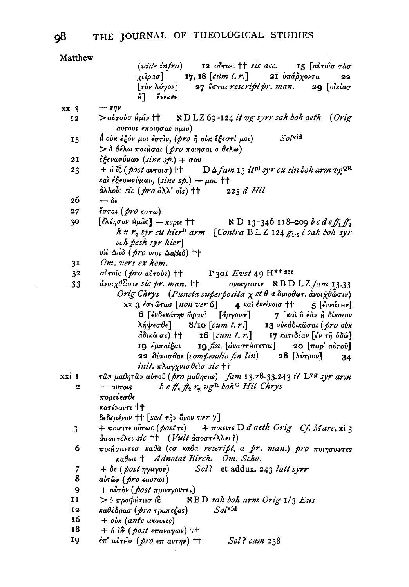| Matthew         |                                                                                                                                                             |  |  |  |  |
|-----------------|-------------------------------------------------------------------------------------------------------------------------------------------------------------|--|--|--|--|
|                 | (vide infra) 12 $\omega \tau \omega c$ + is acc. 15 $\omega \tau \omega \sigma$ $\tau \omega \sigma$                                                        |  |  |  |  |
|                 | $\chi$ είρασ] 17, 18 [cum t. r.] 21 ύπάρχοντα<br>22                                                                                                         |  |  |  |  |
|                 | [τον λόγον] 27 έσται rescript pr. man. 29 [οικίασ                                                                                                           |  |  |  |  |
|                 | Η ένεκεν                                                                                                                                                    |  |  |  |  |
| xx <sub>3</sub> | $-\tau\eta\nu$                                                                                                                                              |  |  |  |  |
| 12              | $>$ avrovo $\hat{h}$ µîv †† $\qquad$ NDLZ 69-124 it vg syrr sah boh aeth (Orig                                                                              |  |  |  |  |
|                 | aυτους εποιησας ημιν)                                                                                                                                       |  |  |  |  |
| 15              | $Sol$ vid<br>Η ούκ έξόν μοι έστιν, (pro ή ούκ έξεστί μοι)                                                                                                   |  |  |  |  |
|                 | $>$ δ θέλω ποιήσαι ( <i>pro</i> ποιησαι ο θελω)                                                                                                             |  |  |  |  |
| <b>21</b>       | εξευωνύμων (sine sp.) + σου                                                                                                                                 |  |  |  |  |
| 23              |                                                                                                                                                             |  |  |  |  |
|                 | και έξευωνύμων, (sine sp.) - μου ++                                                                                                                         |  |  |  |  |
|                 | άλλοίς sic (pro άλλ' οίς) ++ 225 d Hil                                                                                                                      |  |  |  |  |
| 26              | $-\delta\epsilon$                                                                                                                                           |  |  |  |  |
| 27              | έσται (pro εστω)                                                                                                                                            |  |  |  |  |
| 30              | [έλέησον ήμας] — κυριε ††<br><b>N</b> D <sub>13</sub> -346 118-209 bc deff <sub>1</sub> f <sub>2</sub>                                                      |  |  |  |  |
|                 |                                                                                                                                                             |  |  |  |  |
|                 | h n $r_2$ syr cu hier <sup>B</sup> arm [Contra BLZ 124 $g_1,$ <sub>2</sub> l sah boh syr<br>sch pesh syr hier]                                              |  |  |  |  |
|                 | vie Δαδ (pro vios Δαβιδ) ++                                                                                                                                 |  |  |  |  |
| 3 <sup>T</sup>  | Om. vers ex hom.                                                                                                                                            |  |  |  |  |
| 32              | $\Gamma$ 301 $E vst$ 49 $H^{**}$ ser<br>ai roic (pro airois) ++                                                                                             |  |  |  |  |
| 33              | $d$ νοιχθώσιν sic pr. man. ++                                                                                                                               |  |  |  |  |
|                 | ανοιγωσιν $\setminus$ Β D L Z fam 13.33                                                                                                                     |  |  |  |  |
|                 | Orig Chrys (Puncta superposita $\chi$ et $\theta$ a διορθωτ. ανοιχθώσιν)                                                                                    |  |  |  |  |
|                 | XX 3 εστώτασ [non ver 6] 4 και έκείνοισ ++ 5 [εννάτην]                                                                                                      |  |  |  |  |
|                 | 6 [ένδεκάτην ώραν] [ἄργουσ] 7 [καὶ ὃ ἐὰν Η δίκαιον                                                                                                          |  |  |  |  |
|                 | λήψεσθε] 8/10 [cum t. r.] 13 ούκαδικώσαι (pro ούκ                                                                                                           |  |  |  |  |
|                 | $\frac{d\delta_{ik}\hat{\omega}}{\sigma\epsilon}$ ( <i>tum t. r.</i> j τη κατιδίαν [εν τῆ ὁδῶ]<br>19 εμπαίξαι 19 <i>fin</i> . [αναστήσεται] 20 [παρ' αὐτοῦ] |  |  |  |  |
|                 | <b>22</b> δύνασθαι (compendio fin lin) 28 [λύτρον]                                                                                                          |  |  |  |  |
|                 | 34<br>init. πλαγχνισθείσ sic ++                                                                                                                             |  |  |  |  |
| xxi 1           | τῶν μαθητῶν αὐτοῦ (pro μαθητας) fam 13.28.33.243 it L <sup>yg</sup> syr arm                                                                                 |  |  |  |  |
| 2               | $b$ e $f_1$ $f_2$ $r_2$ $v g$ <sup>R</sup> boh <sup>G</sup> Hil Chrys<br>$-$ avrois                                                                         |  |  |  |  |
|                 | πορεύεσθε                                                                                                                                                   |  |  |  |  |
|                 | κατέναντι ††                                                                                                                                                |  |  |  |  |
|                 | $\delta$ εδεμένον †† [sed την όνον ver 7]                                                                                                                   |  |  |  |  |
|                 | $+$ ποιείτε ούτως (post τι) $+$ ποιειτε D d aeth Orig Cf. Marc. xi 3                                                                                        |  |  |  |  |
| 3               | $d$ ποστέλει sic †† (Vult αποστέλλει?)                                                                                                                      |  |  |  |  |
| 6               | ποιήσαντεσ καθά (εσ καθα rescript. a pr. man.) pro ποιησαντες                                                                                               |  |  |  |  |
|                 | kabws + Adnotat Birch. Om. Scho.                                                                                                                            |  |  |  |  |
| 7               | Sol? et addux. 243 latt syrr<br>$+ \delta \epsilon$ (post ηγαγον)                                                                                           |  |  |  |  |
| 8               | αυτών (pro εαυτων)                                                                                                                                          |  |  |  |  |
| 9               | $+$ $a\dot{v}\tau\dot{\delta}\nu$ (post $\pi\rho$ oayov $\tau\epsilon s$ )                                                                                  |  |  |  |  |
| 11              | $>$ δ προφήτησ ίξ<br>NBD sah boh arm Orig 1/3 Eus                                                                                                           |  |  |  |  |
| 12              | $SoV$ vid<br>καθέδρασ (pro τραπεζας)                                                                                                                        |  |  |  |  |
| 16              | + oùk (ante akovets)                                                                                                                                        |  |  |  |  |
| 18              | $+$ $\delta$ is (post $\epsilon \pi$ avaywv) $\dagger\dagger$                                                                                               |  |  |  |  |
| 19              | Sol? cum 238<br>έπ' αύτησ ( <i>pro ε</i> π αυτην) ††                                                                                                        |  |  |  |  |
|                 |                                                                                                                                                             |  |  |  |  |

98

l,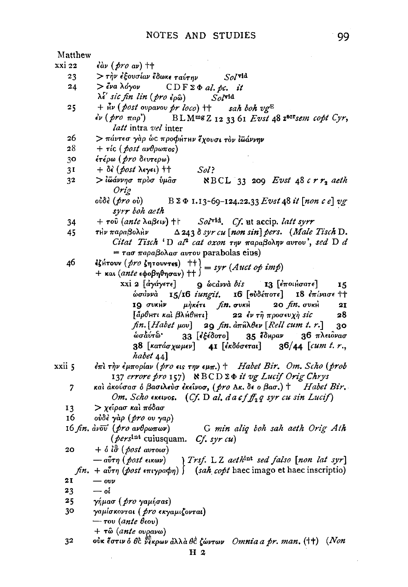| Matthew                                                      |                                                                                                                       |  |  |
|--------------------------------------------------------------|-----------------------------------------------------------------------------------------------------------------------|--|--|
| xxi 22                                                       | $\epsilon$ àv $(\rho$ ro av) ††                                                                                       |  |  |
| 23                                                           | > τὴν ἐξουσίαν ἔδωκε ταύτην<br>$Sol$ vid                                                                              |  |  |
| 24                                                           | $>$ ένα λόγον $CDF\Sigma \Phi$ al. pc. it                                                                             |  |  |
|                                                              | λέ' sic fin lin (pro έρω)<br>$Sol$ <sup>vid</sup>                                                                     |  |  |
| 25                                                           | + $\mathbf{u} \cdot \mathbf{v}$ (post ovpavov pr loco) ++ sah boh vg <sup>E</sup>                                     |  |  |
|                                                              | $\epsilon \nu$ (pro $\pi a \rho$ ) BLM <sup>mg</sup> Z <sub>12</sub> 3361 Evst 48 <sup>28cr</sup> sem copt Cyr,       |  |  |
|                                                              | <i>latt</i> intra vel inter                                                                                           |  |  |
| 26                                                           | > πάντεσ γάρ ώς προφήτην έχουσι τον ίωάννην                                                                           |  |  |
| 28                                                           | $+$ τίς (post ανθρωπος)                                                                                               |  |  |
| 30                                                           | έτέρω ( <i>pro</i> δευτερω)                                                                                           |  |  |
| 31                                                           | $+ \delta \epsilon$ (post $\lambda \epsilon \gamma \epsilon \iota$ ) $+ +$<br>Sol?                                    |  |  |
| 32                                                           | > ἰῶάννησ πρὸσ ὑμᾶσ<br>$NBCL$ 33 209 Evst 48 crr2 aeth<br>Orig                                                        |  |  |
|                                                              | oủôè ( <i>pro</i> oủ)<br>$B \Sigma \Phi$ 1.13-69-124.22.33 Evst 48 it [non c e] vg<br>syrr boh aeth                   |  |  |
| 34                                                           | + $\tau$ ού (ante λαβειν) +   Sol <sup>γid</sup> , Cf. ut accip. latt syrr                                            |  |  |
| 45                                                           | τλν παραβολλν Δ243 δ syr cu [non sin] pers. (Male Tisch D.                                                            |  |  |
|                                                              | Citat Tisch 'D al <sup>2</sup> cat oxon την παραβολην αυτου', sed D d                                                 |  |  |
|                                                              | = τασ παραβολασ αυτου parabolas eius)                                                                                 |  |  |
| 46                                                           | <i>iζi</i> +τουν ( <i>pro ζητουντες</i> ) $\downarrow$ + $\uparrow$ = syr ( <i>Auct op imp</i> )                      |  |  |
|                                                              | + και <i>(ante</i> εφοβηθησαν) ++ )                                                                                   |  |  |
|                                                              | xxi 2 [ <i>άγάγετε</i> ]<br><b>9</b> ώcαννά bis <b>13</b> [εποιήσατε]<br>15                                           |  |  |
|                                                              | ώσάννα 15/16 iungit. 16 [ούδέποτε] 18 έπίνασε ++                                                                      |  |  |
|                                                              | μήκέτι fin. συκή 20 fin. συκή<br>IQ OUKHV<br>21                                                                       |  |  |
|                                                              | [ἄρθμτι καὶ βλήθμτι]<br>22 έν τῆ προσευχὴ sic<br>28                                                                   |  |  |
|                                                              | $fn.[Habet \mu ov]$ 29 $fn.$ $\hat{a}\pi\hat{n}\lambda\hat{\theta}\epsilon\nu$ [Rell cum t. r.]<br>30                 |  |  |
|                                                              | 35 έδηραν 36 πλειδνασ<br>ωσάντω '<br>33 [ἐξέδοτο]                                                                     |  |  |
|                                                              | 38 [κατάσχωμεν] 41 [εκδόσεται] 36/44 [cum t. r.,                                                                      |  |  |
|                                                              | habet 44]                                                                                                             |  |  |
| xxii 5                                                       | $\epsilon$ πι την έμπορίαν (pro εις την εμπ.) + Habet Bir. Om. Scho (prob                                             |  |  |
|                                                              | 137 errore pro 157) NBCD 2 $\Phi$ it vg Lucif Orig Chrys                                                              |  |  |
| 7                                                            | και ακούσασ ο βασιλεύσ εκείνοσ, (pro Aκ. δε ο βασ.) + Habet Bir.                                                      |  |  |
|                                                              | Om. Scho exeivos. (Cf. D al. d a cf $f_2$ q syr cu sin Lucif)                                                         |  |  |
| 13                                                           | > χείρασ και πόδασ                                                                                                    |  |  |
| 16                                                           | ούδε γαρ (pro ov γαρ)                                                                                                 |  |  |
| 16 fin. ανού (pro aνθρωπων) G min aliq boh sah aeth Orig Ath |                                                                                                                       |  |  |
|                                                              | (persint cuiusquam. Cf. syr cu)                                                                                       |  |  |
| 20                                                           | $+$ $\delta$ $\delta\vec{\sigma}$ ( post avroio)                                                                      |  |  |
|                                                              | Trsf. L Z aethint sed falso [non lat syr]<br>— αὖτη ( post εικων)                                                     |  |  |
|                                                              | $fn. + a\sigma\tau\eta$ (post $\epsilon\pi\tau\gamma\rho a\phi\eta$ ) $\int$ (sah copt haec imago et haec inscriptio) |  |  |
| 21                                                           | $-$ ovv                                                                                                               |  |  |
| 23                                                           | — oi                                                                                                                  |  |  |
| 25                                                           | γήμασ (pro yaμήσαs)                                                                                                   |  |  |
| 30                                                           | γαμίσκονται ( pro εκγαμιζονται)                                                                                       |  |  |
|                                                              | — του (ante θεου)                                                                                                     |  |  |
|                                                              | $+$ τῶ (ante ovρavω)                                                                                                  |  |  |
| 32                                                           | ούκ έστιν ό θὲ θέκρων ἀλλὰ θὲ ζώντων <i>Omnia a pr. man.</i> (††) (Non                                                |  |  |
|                                                              | H 2                                                                                                                   |  |  |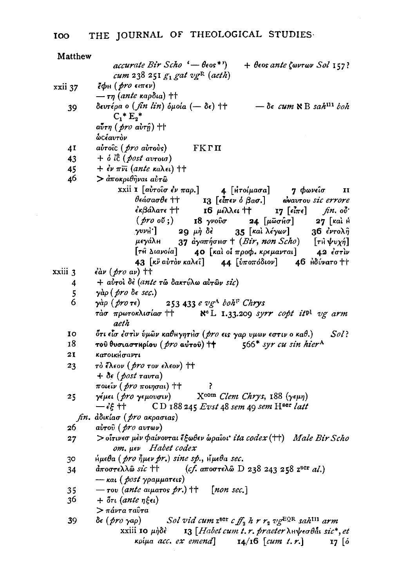| Matthew               |                                                                                                                           |  |  |  |
|-----------------------|---------------------------------------------------------------------------------------------------------------------------|--|--|--|
|                       | $\mathit{accurate}$ Bir Scho $\left($ $-\theta$ $\mathit{eos}$ *')<br>$+$ θεος ante ζωντων Sol 157?                       |  |  |  |
|                       | cum 238 251 $g_1$ gat vgR (aeth)                                                                                          |  |  |  |
| xxii 37               | έφη ( <i>pro</i> ειπεν)                                                                                                   |  |  |  |
|                       | $-\tau$ η (ante καρδια) ††                                                                                                |  |  |  |
| 39                    | δευτέρα ο (fin lin) δμοία (- δε) ++ -δε cum R B sah <sup>111</sup> boh                                                    |  |  |  |
|                       | $C_1^*E_2^*$                                                                                                              |  |  |  |
|                       | $a\tilde{v}$ τη ( <i>pro</i> $a\tilde{v}$ τῆ) ††                                                                          |  |  |  |
|                       | <b>ώ</b> Cέαυτὸν                                                                                                          |  |  |  |
|                       |                                                                                                                           |  |  |  |
| 41                    | αὐτοῖς ( <i>pro</i> αὐτοὺs)<br>— ҒКГП                                                                                     |  |  |  |
| 43                    | $+$ $\delta$ $\hat{i}$ $\hat{c}$ (post avroid)                                                                            |  |  |  |
| 45                    | $+$ $\epsilon \nu \pi \overline{\nu}$ (ante καλει) $\dagger$ +                                                            |  |  |  |
| 46                    | > ἀποκριθῆναι αὐτῶ                                                                                                        |  |  |  |
|                       | xxii I [αὐτοῖσ ἐν παρ.] $\bf{4}$ [Ητοίμασα] $\bf{7}$ Φωνεῖσ II<br>θεάσασθε †† I3 [εἶπεν ὁ βασ.] εναυτου sic errore        |  |  |  |
|                       |                                                                                                                           |  |  |  |
|                       | $\epsilon$ κβάλατε †† 16 μέλλει †† 17 [εἶπε] fin. οδ'                                                                     |  |  |  |
|                       | $(\text{pro } \tilde{\mathfrak{o}}\mathfrak{v})$<br>18 γνούσ 24 [μωσήσ] 27 [και ή                                         |  |  |  |
|                       | 35 [και λέγων] 36 έντολη<br>$\gamma$ <sup>v</sup> $\nu$ H <sup>'</sup> ] 29 $\mu$ η δέ                                    |  |  |  |
|                       |                                                                                                                           |  |  |  |
|                       | μεγάλη 37 αγαπήσησ † (Bir, non Scho) [τῆ ψυχή]<br>[τῆ διανοία] 40 [καὶ οἱ προφ. κρεμανται] 42 ἐστὶν                       |  |  |  |
|                       | 43 [κν αύτον καλεί] 44 [υποπόδιον] 46 Αδύνατο ++                                                                          |  |  |  |
| $\overline{x}$ xiii 3 | $\epsilon$ àν (pro aν) ++                                                                                                 |  |  |  |
| 4                     | + αύτοι δε (ante τω δακτύλω αύτων sic)                                                                                    |  |  |  |
| 5                     | γάρ (pro δε sec.)                                                                                                         |  |  |  |
| 6                     | γàρ ( pro τε)<br>253 433 e vg <sup>A</sup> boh <sup>F</sup> Chrys                                                         |  |  |  |
|                       | N <sup>e</sup> L 1.33.209 syrr copt it <sup>pl</sup> vg arm<br>τάσ πρωτοκλισίασ ††                                        |  |  |  |
|                       | aeth                                                                                                                      |  |  |  |
| ΙO                    | ότι είσ έστιν ύμων καθιιγητιίσ (pro εις γαρ υμων εστιν ο καθ.)<br>Sol?                                                    |  |  |  |
| 18                    | τού θυσιαστηρίου (pro αύτού) ++ 566* syr cu sin hier <sup>A</sup>                                                         |  |  |  |
| 21                    | κατοικήσαντι                                                                                                              |  |  |  |
| 23                    | τό έλεον (pro τον ελεον) ++                                                                                               |  |  |  |
|                       | $+ \delta \epsilon$ (post ravra)                                                                                          |  |  |  |
|                       | $\pi$ οιεΐν ( <i>pro</i> $\pi$ οιησαι) †† ?                                                                               |  |  |  |
|                       | γέμει (pro γεμουσιν) Χ <sup>com</sup> Clem Chrys, 188 (γεμη)                                                              |  |  |  |
| 25                    | $-\epsilon \xi$ ++ CD 188 245 Evst 48 sem 49 sem H <sup>ser</sup> latt                                                    |  |  |  |
|                       |                                                                                                                           |  |  |  |
|                       | fin. ἀδικίασ (pro aκρασιας)                                                                                               |  |  |  |
| 26                    | αύτου (pro αυτων)                                                                                                         |  |  |  |
| 27                    | > οΐτινεσ μεν φαίνονται έξωθεν ωραΐοι ita codex (++) Male Bir Scho                                                        |  |  |  |
|                       | om. µev Habet codex                                                                                                       |  |  |  |
| 30                    | Hμεθα (pro ήμεν pr.) sine sp., Hμεθα sec.                                                                                 |  |  |  |
| 34                    | άποστελλῶ <i>sic</i> ††<br>(cf. αποστελώ D 238 243 258 $z^{scr}$ al.)                                                     |  |  |  |
|                       | — και ( <i>post γραμματεις</i> )                                                                                          |  |  |  |
| 35                    | $-\tau$ ov (ante aiµa $\tau$ os pr.) †† [non sec.]                                                                        |  |  |  |
| 36                    | $+ \delta$ τι (ante ηξει)                                                                                                 |  |  |  |
|                       | > πάντα ταῢτα                                                                                                             |  |  |  |
| 39                    | Sol vid cum z <sup>sor</sup> c $f_2$ h r r <sub>2</sub> vg <sup>EQR</sup> sah <sup>111</sup> arm<br>δε ( <i>pro γ</i> aρ) |  |  |  |
|                       | xxiii 10 $\mu \delta \epsilon$<br>13 [Habet cum t.r. praeter $\lambda$ H $\psi$ eo $\theta$ åt sic*, et                   |  |  |  |
|                       | κρίμα acc. ex emend] $I_4/I6$ [cum t.r.]<br>17 [ó                                                                         |  |  |  |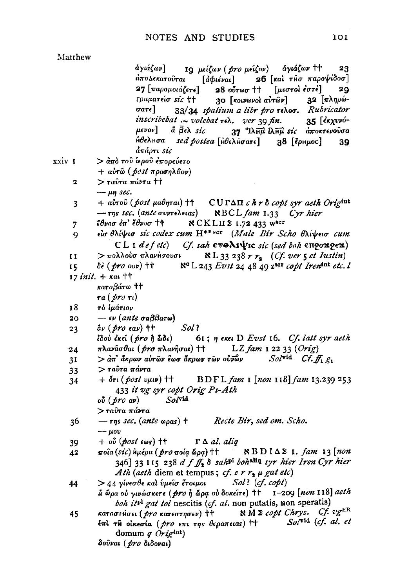## Matthew

άγιάζων] 10 μείζων (*pro μείζον*) άγιάζων <sup>++</sup> 23 26 [και τησ παροψίδοσ] άπολεκατούται [ả $\phi$ ιέναι] 27 [παρομοιάζετε] 28 ούτωσ ++ [μεστοι έστε] 20 32  $[πληρώ-$ Γραματείσ sic ++ 30 [κοινωνοὶ αὐτῶν] 33/34 spatium a libr pro rehoo. Rubricator oa<del>r</del>e] inscribebat  $\sim$  volebat  $\tau$ ελ. ver 39 fin. 35 [έκχυνό- $\mu$ evov] ά  $\bar{\beta}$ ελ sic 37 <sup>4</sup>ΙλΗμ ελΗμ sic αποκτενούσα ήθελμσα sed postea [ μθελμσατε] 38 [ερημος] 39 απάρτι sic xxiv 1  $>$  από του ίερου έπορεύετο  $+$  αὐτῶ (post προσηλθον)  $>$ ταύτα πάντα ††  $\mathbf{z}$  $\mu$ n sec. + aυτού (post μαθηται) ++ CUΓΔΠ c h r δ copt syr aeth Origint 3  $-$ της sec. (ante συντελειας) NBCL fam 1.33 Cyr hier έθνοσ έπ' έθνοσ †† **NCKLII 2 1.72 433 WSCF**  $\overline{7}$ είσθλίψισ sic codex cum H<sup>\*\*</sup><sup>ECT</sup> (Male Bir Scho θλίψεισ cum  $\mathbf Q$ CL I defetc) Cf. sah  $\epsilon \overline{v}$ Ar $\Psi$ ic sic (sed boh  $\epsilon \overline{v}$ ox $\phi \in \mathbb{R}$ )  $>$  πολλούσ πλανήσουσι  $N L$  33 238  $r r<sub>s</sub>$  (Cf. ver 5 et Iustin)  $\mathbf{I}$  $\delta\epsilon$  (pro ovv)  $\dagger\dagger$   $\aleph$ <sup>c</sup> L 243 *Evst* 24 48 49 z<sup>scr</sup> copt Iren<sup>tat</sup> etc. 15.  $17$  init.  $+$   $\kappa a$ .  $+$ καταβάτω ††  $ra($  *(tro*  $\tau_l)$ 18 τὸ ἱμάτιον  $\epsilon \nu$  (ante  $\sigma$ a $\beta$  $\beta$ ar $\omega$ ) 20  $\hat{a}\nu$  (pro eav) tt Sol?  $23$ 61; η εκει D Evst 16. Cf. latt syr aeth ίδού ἐκεῖ ( pro ἣ ὧδε) πλανᾶσθαι (*pro* πλανῆσαι) ++ LZ fam 1 22 33  $(Orig)$ 24  $S_0/\sqrt{\mathbf{v}}$ id Cf.  $f_1$   $g_1$  $3I$  $>$  άπ' ἄκρων αὐτῶν ἕωσ ἄκρων τῶν οὐνῶν > ταῢτα πάντα  $33<sup>°</sup>$  $+$   $\delta \tau \iota$  ( post vµw)  $+$ + BDFL fam 1 [non 118] fam 13.239 253  $34$ 433 it vg syr copt Orig Ps-Ath  $S_{\alpha}$ /vid  $\omega$  (*pro*  $\omega$ ) > ταῦτα πάντα  $-\tau$ ns sec. (ante  $\omega_{\rho}$ as) † Recte Bir, sed om. Scho. 36  $-\mu$ ov  $\Gamma \Delta$  al. aliq  $+$  ov (post eas)  $+$ 39 ποΐα (sic) hμέρα (pro ποία δρα) ++ NBDIΔΣ I. fam 13 [non 42 346] 33 115 238 d f ff, 8 sahpl bohaliq syr hier Iren Cyr hier Ath (aeth diem et tempus; cf. e r  $r<sub>2</sub> \mu$  gat etc) > 44 γίνεσθε καὶ ὑμεῖσ ἔτοιμοι  $Sol$ ? (cf. copt) 44  $\hat{h}$  ωρα ού γινώσκετε ( pro  $\hat{h}$  ωρα ού δοκείτε) ++ 1-209 [non 118] aeth boh it<sup>pl</sup> gat tol nescitis (cf. al. non putatis, non speratis) καταστήσει (*pro κα*τεστησεν) ++  $\aleph M \geq$  copt Chrys. Cf.  $v g^{ER}$ 45 Solvid (cf. al. et έπι τη οικεσία (*pro επι της θεραπειας*) tt domum  $q$  Origint)

δούναι (pro διδοναι)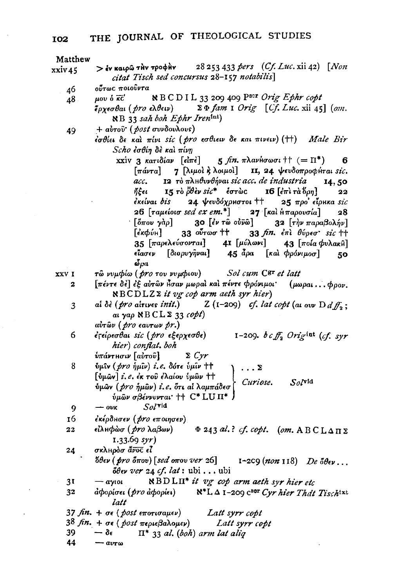Matthew

- > έν καιρώ την τροφήν 28 253 433 pers  $(Cf. Luc. xii 42)$  [Non  $xxiv45$ citat Tisch sed concursus 28-157 notabilis] ούτως ποιούντα 46
	- NBCDIL 33 209 409 P<sup>scr</sup> Orig Ephr copt μου ό κα' 48
		- $\Sigma \Phi$  fam I Orig [Cf. Luc. xii 45] (om. έρχεσθαι (*pro ελθειν*)  $NB$  33 sah boh Ephr Iren<sup>int</sup>)
	- $+$  αυτού' (post συνδουλους) 49
		- $i\sigma$ θίει δε καλ πίνι sic (pro εσθιειν δε και πινειν) (++) Male Bir Scho έσθίη δε και πίνη
			- xxiv 3 κατιδίαν [είπε] 5 fin.  $\pi \lambda a\nu$ Howoi |  $(= \Pi^*)$ 6 7 [λιμοί κ λοιμοί] II, 24 ψευδοπροφήται sic.  $\lceil \pi \omega \tau a \rceil$ 12 το πληθυνθήναι sic acc. de industria acc. 14,50 ήξει 15 rò  $\ddot{\theta}$ èv sic\* έστως 16 [έπι τα δρη] 22 čkelvai bis 24 ψευδόχρηστοι ++  $25\text{ }\pi\mathrm{po'}$  єї́рнка sic 26 [ταμείοισ sed ex em.\*] 27 [και ήπαρουσία] 28  $\lceil \delta \pi \omega \gamma \alpha \rho \rceil$ 30  $\lceil \epsilon \nu \rceil$   $\omega$   $\bar{\nu}$   $\omega$   $\lceil$ 32 [την παραβολήν]  $\left[\epsilon k\phi\acute{v}\right]$  33  $\sigma\sigma\phi$  then 33  $fin.$   $\epsilon \pi i$   $\theta \nu \rho \epsilon \sigma$  sic  $\tau +$ 35 [παρελεύσονται] 41 [μύλωνι] 43 [ποία φυλακιλ]  $\left[\delta\iota o\rho\nu\gamma\hat{\eta}\nu a\right]$  45 άρα [και φρόνιμοσ] είασεν 50  $\delta \rho a$

**XXVI** 

τω νυμφίω (pro του νυμφιου) Sol cum Cgr et latt

- [πέντε δε] εξ αυτών ήσαν μωραί και πέντε φρόνιμοι  $\overline{\mathbf{2}}$  $(\mu\omega\rho\omega\ldots\phi\rho\omega\mu)$ NBCDLZ2 it vg cop arm aeth syr hier)
- $Z(1-209)$  cf. lat copt (at our  $D d f_0$ ; ai δè (pro airives init.) 3  $a$ ι γαρ ΝΒCLΣ 33  $\text{copt}$ )  $u\dot{v}$ των (*pro εαυτων pr.*)
- 6 εγείρεσθαι sic (pro εξερχεσθε) 1-209. bcff<sub>a</sub> Origint (cf. syr hier) conflat. boh

ύπάντησιν [αύτου]  $\Sigma$  Cyr

8 ύμιν (*pro ήμιν*) i.e. δότε ύμιν ++ . . . Σ  $[v\mu\hat{\omega}v]$  i. e. έκ του έλαίου υμών  $\pm\uparrow$  $Sol^{\text{vid}}$ Curiose. ύμων (pro ήμων) i.e. ότι αί λαμπάδεσ (  $\psi$ μῶν σβέννυνται' †† C\* LU Π\* )

 $Sol$ vid 9  $-$  ovk

- εκέρδησεν (pro εποιησεν) 16
- είλμφώσ (*pro* λαβων)  $\Phi$  243 al.? cf. copt. (om. ABCLA $\pi$ )  $22$  $1.33.69$  syr)
- 24 σκληρόσ άνος εί  $\delta \theta \epsilon \nu$  (pro δπου) [sed οπου ver 26] 1-2C9 (non 118) De  $\delta \theta \epsilon \nu$ ...  $\delta \theta \epsilon \nu$  ver 24 cf. lat: ubi... ubi
- $\aleph$ BDLII<sup>\*</sup> it vg cop arm aeth syr hier etc  $3<sup>T</sup>$  $-a$ *y*<sup>10</sub></sup>
- αφορίσει (pro αφορίει)  $N^*L \Delta$  1-209 c<sup>sor</sup> Cyr hier That Tischtxt 32 latt

37 fin. + σε ( post εποτισαμεν) Latt syrr copt

- $38 \text{ fin.} + \sigma \epsilon$  ( post περιεβαλομεν) Latt syrr copt
	- $\Pi^*$  33 al. (boh) arm lat aliq 39  $-\delta \epsilon$

44  $av_{T\omega}$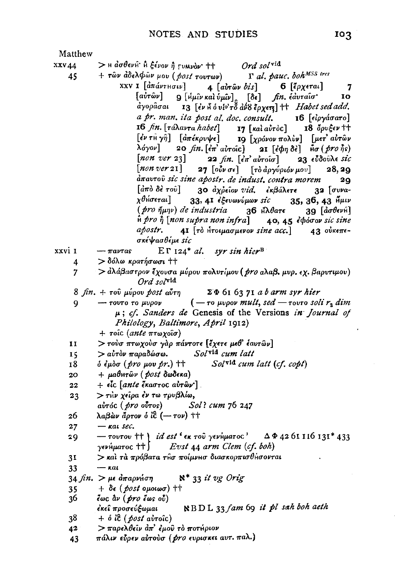$\overline{a}$ 

| Matthew |                                                                                                                                                                                                    |
|---------|----------------------------------------------------------------------------------------------------------------------------------------------------------------------------------------------------|
| xxv44   |                                                                                                                                                                                                    |
| 45      | > Η ασθενή ή ξένον ή <sub>Γ</sub> υμνόν + + Ord sol <sup>vid</sup><br>+ τῶν ἀδελφῶν μου (post τουτων) Γ al. pauc. boh <sup>MSS</sup> tres                                                          |
|         | XXV I [ἀπάντμσιν]<br>4 $[a\dot{v}r\hat{\omega}v\ \dot{v}is]$ 6 $[\tilde{\epsilon}\rho\chi\epsilon\tau\alpha\epsilon]$<br>$\overline{7}$                                                            |
|         | $[a\grave{v}\tau\overset{\sim}{\omega}v]$ 9 $[i\mu\overset{\sim}{u}\nu$ καὶ $\overset{\sim}{v}\mu\overset{\sim}{u}\nu]$ [δε] fin. έ $d$ υτα $i\sigma$<br>10                                        |
|         | αγορασαι 13 [εν Α ό υίο το αύδερχετε] + <i>Habet sed add.</i>                                                                                                                                      |
|         | a pr. man. ita post al. doc. consult. 16 [είργάσατο]                                                                                                                                               |
|         | 16 fin. [τάλαντα habet] 17 [και αυτός] 18 δρυξεν ττ                                                                                                                                                |
|         |                                                                                                                                                                                                    |
|         | $[\dot{\epsilon}\nu\tau$ Η γη $]$ $[\dot{a}\pi\dot{\epsilon}\kappa\rho v\psi\epsilon]$ IQ $[\chi\rho\dot{o}v\sigma\nu\pi o\lambda\dot{v}\nu]$ $[\mu\epsilon\tau'\dot{a}\dot{v}\tau\hat{\omega}\nu$ |
|         | λόγον] 20 fin. [επ' αὐτοίς] 21 [εφη δε] $\tilde{\mathbf{H}}$ θσ (pro ής)                                                                                                                           |
|         | $[non \; ver \; 23]$ 22 $fin. [\epsilon \pi \; a \nu \tau o \bar{a} \sigma]$ 23 $\epsilon \bar{v} \delta o \bar{v} \lambda \epsilon \; s \bar{i} \epsilon$                                         |
|         | $[non \, ver \, 21]$ 27 $[ο\delta\nu σε]$ $[τδ \, dργύριόν μου] 28, 29$                                                                                                                            |
|         | dπav <del>r</del> oῦ sic sine apostr. de indust, contra morem<br>20                                                                                                                                |
|         | [άπο δε του] 30 άχρείον vid. εκβάλετε 32 [συνα-                                                                                                                                                    |
|         | χθήσεται]<br>33, 41 εξευωνύμων sic 35, 36, 43 Ημιν                                                                                                                                                 |
|         | $(pro \ \nparallel \mu \eta \nu)$ de industria $\qquad 36 \ \nparallel \lambda \theta$ are<br>39 $\lceil \dot{a} \sigma \theta \epsilon \nu \hat{n} \rceil$                                        |
|         | $\hat{\mathfrak{n}}$ pro $\hat{\eta}$ [non supra non infra] 40, 45 $\hat{\epsilon}$ $\phi$ óσον sic sine                                                                                           |
|         | 41 [το Ητοιμασμενον sine acc.] 43 ούκεπε-<br>apostr.                                                                                                                                               |
|         | σκέψασθέμε sic                                                                                                                                                                                     |
| xxvi 1  | $ET 124* al.$ syr sin hier <sup>B</sup><br>$-\pi a \nu \tau a s$                                                                                                                                   |
| 4       | > δόλω κρατήσωσι ††                                                                                                                                                                                |
| 7       | > αλάβαστρον έχουσα μύρου πολυτίμου (pro αλαβ. μυρ. εχ. βαρυτιμου)                                                                                                                                 |
|         | $Ord$ solvid                                                                                                                                                                                       |
|         | $8 \text{ fin.} + \text{ root } \mu\acute{\psi}$ ρου <i>post</i> αύτη ΣΦ 61 63 71 a b arm syr hier                                                                                                 |
| 9       | $-$ τουτο το μυρον (- το μυρον mult, sed - τουτο soli $r_2$ dim                                                                                                                                    |
|         | $\mu$ ; cf. Sanders de Genesis of the Versions in Journal of                                                                                                                                       |
|         | Philology, Baltimore, April 1912)                                                                                                                                                                  |
|         | + τοίς (ante πτωχοΐσ)                                                                                                                                                                              |
| 11      | > τούσ πτωχούσ γάρ πάντοτε [έχετε μεθ' έαυτών]                                                                                                                                                     |
| 15      | > αύτον παραδώσω. Solvid cum latt                                                                                                                                                                  |
| 18      | ό ἐμὸσ ( <i>pro μ</i> ου pr.) ††<br>Solvid cum latt (cf. copt)                                                                                                                                     |
| 20      | $+ \mu a \theta$ Ητών (post δωδεκα)                                                                                                                                                                |
|         | $+$ είς [ante έκαστος αυτών'].                                                                                                                                                                     |
| 22      |                                                                                                                                                                                                    |
| 23      | > τΗν χείρα έν τω τρυβλίω,                                                                                                                                                                         |
|         | aυτός (pro oύτος) Sol? cum 76 247                                                                                                                                                                  |
| 26      | λαβών άρτον ό ίε (- τον) ++                                                                                                                                                                        |
| 27      | $ \kappa$ at sec.                                                                                                                                                                                  |
| 29      | - τουτου ++ <i>\ id est</i> ' εκ του γενήματος' ΔΦ4261116131*433                                                                                                                                   |
|         | $\gamma$ ενήματος †† $\int$ Evst 44 arm Clem (cf. boh)                                                                                                                                             |
| 31      | $>$ και τα πρόβατα τησ ποίμνησ διασκορπισθήσονται                                                                                                                                                  |
| 33      | $ k$ at                                                                                                                                                                                            |
|         | $N^*$ 33 it vg Orig<br>34 fin. $>$ με απαρνήση                                                                                                                                                     |
| 35      | $+ \delta \epsilon$ (post opolog) $\dagger\dagger$                                                                                                                                                 |
| 36.     | έως $\hat{a}$ ν ( $\hat{p}$ ro έως ού)                                                                                                                                                             |
|         | $\mathbb{R}$ BDL 33 fam 69 it pl sah boh aeth<br>έκει προσεύξωμαι                                                                                                                                  |
| 38      | $+$ $\delta$ it ( <i>post ai</i> roic)                                                                                                                                                             |
| 42      | $>$ παρελθεῖν ἀπ' ἐμοῦ τὸ ποτήριον                                                                                                                                                                 |
| 43      | πάλιν εύρεν αύτούσ ( <i>pro</i> ευρισκει αυτ. παλ.)                                                                                                                                                |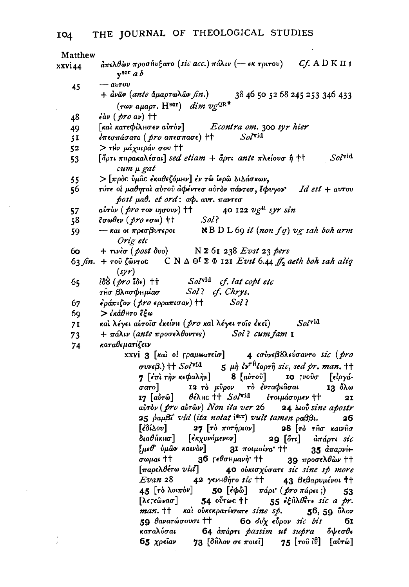$\lambda$ 

 $\frac{1}{2}$ 

 $\ddot{\phantom{a}}$ 

| Matthew | $\frac{\partial}{\partial \pi} \epsilon$ λθών προσήυξατο (sic acc.) πάλιν (- εκ τριτου) Cf. A D K Π I                                                                                         |
|---------|-----------------------------------------------------------------------------------------------------------------------------------------------------------------------------------------------|
| xxvi44  | $v^{scr}$ a b                                                                                                                                                                                 |
| 45      | $ avrov$                                                                                                                                                                                      |
|         | + ἀνῶν (ante δμαρτωλῶν fin.)<br>38 46 50 52 68 245 253 346 433                                                                                                                                |
|         | (των αμαρτ. Η <sup>sor</sup> ) $dim\ vg^{\mathrm{QR}}$                                                                                                                                        |
| 48      | $\partial$ av (pro av) ++                                                                                                                                                                     |
| 49      | [και κατεφίλισεν αυτόν] <i>Econtra om.</i> 300 syr hier                                                                                                                                       |
| 51      | $\epsilon$ πεσπάσατο ( <i>pro</i> απεσπασε) ++ Solvid                                                                                                                                         |
| 52      | > τΗν μάχαιράν σου ††                                                                                                                                                                         |
| 53      | $\mathit{Sol}^\mathrm{vid}$<br>[άρτι παρακαλέσαι] sed etiam + άρτι ante πλείουσ ή ++                                                                                                          |
|         | cum µ gat                                                                                                                                                                                     |
| 55      | $>$ [πρός ύμας έκαθεζόμην] έν τω ίερω διδάσκων,                                                                                                                                               |
| 56      | τότε οι μαθηταί αύτου αφέντεσ αυτόν πάντεσ, έφυγον Id est + αυτου                                                                                                                             |
|         | $post$ $\mu$ a $\theta$ , $et$ $ord$ ; $a\phi$ , $a\nu\tau$ , $\pi$ a $\nu\tau$ $\epsilon\sigma$                                                                                              |
| 57      |                                                                                                                                                                                               |
| 58      |                                                                                                                                                                                               |
| 59      |                                                                                                                                                                                               |
|         | Orig etc                                                                                                                                                                                      |
| 60.     | + $\tau$ <i>via</i> (post δvo) N $\Sigma$ 61 238 Evst 23 pers                                                                                                                                 |
|         | 63 fin. + του ζώντος CNΔΘ <sup>ε</sup> ΣΦ 121 Evst 6.44 ff <sub>2</sub> aeth boh sah aliq<br>(syr)                                                                                            |
| 65      | $i\delta\delta$ (pro $i\delta\epsilon$ ) $\dagger$ Sol <sup>vid</sup> cf. lat copt etc                                                                                                        |
|         | τησ βλασφημίασ Sol? cf. Chrys.                                                                                                                                                                |
| 67      | Sol<br>έράπιζον ( <i>pro ερρα</i> πισαν) ††                                                                                                                                                   |
| 69      | > ἐκάθμτο ἔξω                                                                                                                                                                                 |
| 71      | και λέγει αυτοίσ έκείνη (pro και λέγει τοίς έκει) Solvid                                                                                                                                      |
| 73      | + πάλιν (ante προσελθοντες) Sol? cum fam 1                                                                                                                                                    |
| 74      | καταθεματίζειν                                                                                                                                                                                |
|         | xxvi 3 [και οι ΓραμΜατείσ] 4 εσύνεβδλεύσαντο sic (pro                                                                                                                                         |
|         | $\sigma$ vve $\beta$ .) †† $Sol^{\text{vid}}$ 5 $\mu$ $\dot{\eta}$ $\epsilon$ v <sup><math>\dot{\tau}</math>h<math>\dot{\epsilon}</math>opr<math>\hat{\eta}</math> sic, sed pr. man. ††</sup> |
|         | 8 [αὐτοῦ] 10 γνοῦσ [είργά-<br>7 [έπὶ τὴν κεφαλὴν]                                                                                                                                             |
|         | σατο] 12 τὸ μῦρον τὸ ἐνταφιᾶσαι<br>13 όλω                                                                                                                                                     |
|         | 17 [αὐτῶ] θέλμς <sup>++</sup> Sol <sup>vid</sup> έτοιμάσομεν ++ 21                                                                                                                            |
|         | $a\dot{v}$ r $\dot{\theta}$ v (pro $a\dot{v}$ r $\hat{\omega}$ v) Non ita ver 26 <b>24</b> $\Delta u$ o $\dot{v}$ sine apostr                                                                 |
|         | 25 paµBi vid (ita notat iscr) vult tamen paßßi.<br>26                                                                                                                                         |
|         | [εδίλου] 27 [το ποτήριον] 28 [το τησ καινήσ                                                                                                                                                   |
|         | διαθήκησ] [έκχυνόμενον] 29 [δτι] απάρτι sic                                                                                                                                                   |
|         | $\mu \epsilon \theta$ <i>ipiov katvov</i> ] 31 $\pi$ otpaiva + 35 $\frac{\partial \pi}{\partial \rho}$                                                                                        |
|         | σωμαι ††<br>36 Γεθσμμανή †† 39 προσελθών ††                                                                                                                                                   |
|         | $[\pi$ αρελθέτω $vid]$<br>40 οὐκισχύσατε sic sine sp more                                                                                                                                     |
|         |                                                                                                                                                                                               |
|         | 45 $[r\delta \lambda$ οιπόν] 50 [εφδε] πάρι ( <i>pro</i> πάρει;)<br>53                                                                                                                        |
|         | 54 $\sigma$ <i>v</i> $\sigma$ <i>v</i> $\sigma$ + $\sigma$ 55 $\epsilon$ ξ $\hat{\sigma}$ λθ $\epsilon$ $\tau$ <i>ε sic a pr.</i><br>[λεςεῶνασ]                                               |
|         | man. ++ και ούκεκρατήσατε sine sp. 56, 59 όλον                                                                                                                                                |
|         | 59 θανατώσουσι <sup>++</sup> 60 ου'χ εύρον sic bis 61                                                                                                                                         |
|         | καταλύσαι - 64 άπάρτι <i>hassim ut suhra</i> - δισεσθε                                                                                                                                        |

καταλυσαι **το σα** απαρτι *pussim ui supra* συνισσε<br>65 χρείαν 73 [δίλον σε ποιεί] 75 [τοῦ ἰΰ] [αὐτώ]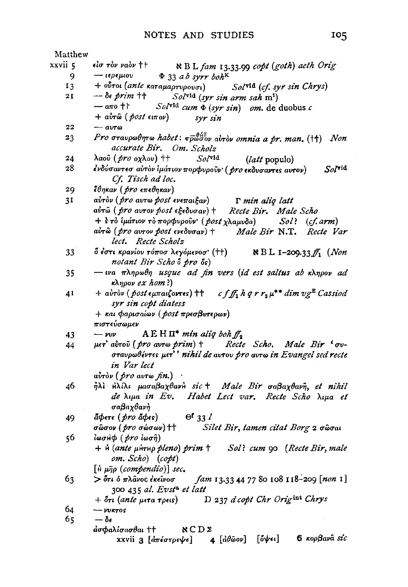| Matthew         |                                                                                                                                                                        |  |  |
|-----------------|------------------------------------------------------------------------------------------------------------------------------------------------------------------------|--|--|
| xxvii 5         | είσ τὸν ναὸν ††<br>N B L fam 13.33.99 copt (goth) aeth Orig                                                                                                            |  |  |
| 9               | $-$ ιερεμιου Φ 33 a b syrr boh <sup>K</sup>                                                                                                                            |  |  |
| 13              | + ούτοι (ante καταμαρτυρουσι) Solvid (cf. syr sin Chrys)                                                                                                               |  |  |
| 2 I             | $-\delta \epsilon$ prim $\dagger\dagger$<br>Solvid (syr sin arm sah m <sup>1</sup> )                                                                                   |  |  |
|                 | — απο †  ·<br>$Sol^{\text{vid}}$ cum $\Phi$ (syr sin) om. de duobus c                                                                                                  |  |  |
|                 | $+$ αυτῶ ( <i>post</i> ειπον)<br>syr sin                                                                                                                               |  |  |
| 22              | $ avrow$                                                                                                                                                               |  |  |
| 23              | Pro σταυρωθητω habet: $\bar{\mathbf{v}}_p^{\theta_H^{\mathcal{L}}}$ αυτον omnia a pr. man. (††) Non<br>accurate Bir. Om. Scholz                                        |  |  |
| 24              | λαοῦ ( <i>pro</i> οχλου) ††<br>$Sol$ <sup>vid</sup><br>( <i>latt</i> populo)                                                                                           |  |  |
| 28              | ένδύσαντεσ αὐτὸν ἱμάτιον πορφυροῦν ( pro εκδυσαντες αυτον)<br>$SoI^{\text{rid}}$<br>Cf. Tisch ad loc.                                                                  |  |  |
| 29              | έθηκαν (pro επεθηκαν)                                                                                                                                                  |  |  |
| 31              | αὐτὸν (pro avτω post ενεπαιξαν)<br>T min aliq latt                                                                                                                     |  |  |
|                 | αύτω (pro αυτον post εξεδυσαν) +<br>Recte Bir. Male Scho                                                                                                               |  |  |
|                 | + s το ίμάτιον το πορφυροῦν (post χλαμυδα)<br>Sol?<br>(cf. arm)                                                                                                        |  |  |
|                 | αύτῶ ( <i>pro avrov post ενεδυσαν</i> ) †<br>Male Bir N.T.<br>Recte Var<br>lect. Recte Scholz                                                                          |  |  |
| 33 <sup>2</sup> | $\delta$ έστι κρανίου τόποσ λεγόμενοσ' (++) $\qquad$ Ν Β L 1-209.33 $f_1$ (Non                                                                                         |  |  |
|                 | notant Bir Scho o pro os)                                                                                                                                              |  |  |
| 35              | - wa πληρωθη usque ad fin vers (id est saltus ab κληρον ad<br>$\kappa\lambda\eta\rho\sigma\nu$ ex hom?)                                                                |  |  |
| 41              | + avrov (post $\epsilon \mu \pi a \mu \zeta$ ovres) † $f f_1 h q r r_2 \mu^{**}$ dim $v g^E$ Cassiod                                                                   |  |  |
|                 | syr sin copt diatess                                                                                                                                                   |  |  |
|                 | + και φαρισαίων (post πρεσβυτερων)                                                                                                                                     |  |  |
|                 | πιστεύσωμεν                                                                                                                                                            |  |  |
| 43              | $A \to H \Pi^*$ min aliq boh $f_A$<br>$-w\nu$                                                                                                                          |  |  |
| 44              | $\mu$ er' avrov (pro avr $\omega$ prim) + Recte Scho. Male Bir ' $\sigma v$ -                                                                                          |  |  |
|                 | σταυρωθέντες μετ'' nihil de αυτου pro αυτω in Evangel sed recte<br>in Var lect                                                                                         |  |  |
|                 | avrov (pro avro fin.)                                                                                                                                                  |  |  |
| 46              | ήλι Ηλίλι μασαβαχθανή sic + Male Bir σαβαχθανή, et nihil                                                                                                               |  |  |
|                 | de $\lambda$ ipa in Ev. Habet Lect var. Recte Scho $\lambda$ ipa et                                                                                                    |  |  |
|                 | σαβαχθανή                                                                                                                                                              |  |  |
| 49              | ãφετε ( <i>pro</i> ãφεs)<br>$\Theta$ <sup>t</sup> 33 $\ell$                                                                                                            |  |  |
|                 | σώσον (pro σώσων) + Silet Bir, tamen citat Borg 2 σώσαι                                                                                                                |  |  |
| 56              | ίωσΗ $\phi$ (pro ίωσῆ)                                                                                                                                                 |  |  |
|                 | + н (ante μитно pleno) prim † Sol? cum 90 (Recte Bir, male                                                                                                             |  |  |
|                 | om. Scho) (copt)                                                                                                                                                       |  |  |
|                 | $\left[\hat{\mu} \mu \bar{\eta} \rho \ (compendio)\right]$ sec.                                                                                                        |  |  |
| 63              | > ότι ὁ πλâνος ἐκεῖνοσ<br>fam 13.33 44 77 80 108 118-209 [non 1]                                                                                                       |  |  |
|                 | 300 435 al. Evst <sup>a</sup> et latt                                                                                                                                  |  |  |
|                 | D 237 d copt Chr Origint Chrys<br>+ ότι ( <i>ante μ</i> ετα τρεις)                                                                                                     |  |  |
| 64              | $-$ vvktos                                                                                                                                                             |  |  |
| 65              | $-\delta$ e                                                                                                                                                            |  |  |
|                 | $d$ σφαλίσασθαι †† $NCD\Sigma$                                                                                                                                         |  |  |
|                 | 6 κορβανα sic<br>$\lbrack \mathring{\text{o}}\mathring{\text{y}}\mathring{\epsilon} \mathscr{i} \rbrack$<br>$4 [\hat{a}\theta\hat{\omega}o\nu]$<br>xxvii 3 [απέστρεψε] |  |  |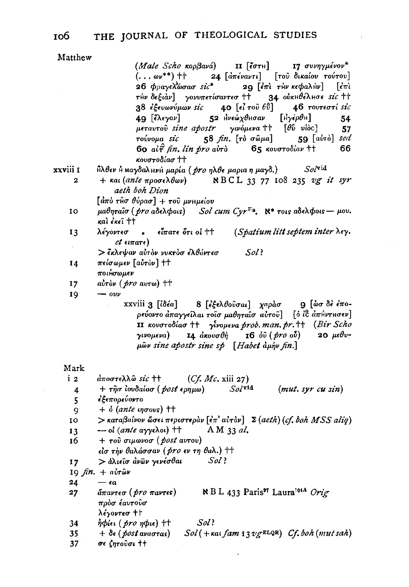#### THE JOURNAL OF THEOLOGICAL STUDIES 106

| Matthew |  |  |
|---------|--|--|
|         |  |  |

|                       | (Male Scho κορβανά) 11 [έστη] 17 συνηγμένον*                                                                                                                                                                  |
|-----------------------|---------------------------------------------------------------------------------------------------------------------------------------------------------------------------------------------------------------|
|                       | $( \ldots \omega^{**})$ + $\uparrow$ 24 $[a\pi \epsilon \nu a \nu \tau \iota]$ [του δικαίου τούτου]                                                                                                           |
|                       | 26 φραγελώσασ sic* 29 [έπι την κεφαλήν]<br>$\left  \epsilon \pi \right $                                                                                                                                      |
|                       | τΗν δεξιάν] γονυπετίσαντεσ ++ 34 ούκΗθέλΗσε sic ++                                                                                                                                                            |
|                       | $38$ έξευωνύμων sic $40$ [εί τοῦ $\ell$ ΰ] $46$ τουτεστί sic                                                                                                                                                  |
|                       | 52 Ηνεώχθησαν [Ηγέρθη]<br>49 [ἔλεγον]<br>54                                                                                                                                                                   |
|                       | μεταυτού sine apostr γινόμενα ++ [θύ νίος]<br>57                                                                                                                                                              |
|                       | τούνομα sic 58 fin. [τὸ σῶμα]<br>59 $[a\dot{v}\dot{r}\dot{\theta}]$ sed                                                                                                                                       |
|                       | 60 $a\hat{t}^2$ fin. lin pro avro 65 κουστοδίαν ++<br>66                                                                                                                                                      |
|                       | κουστοδίασ ††                                                                                                                                                                                                 |
| xxviii 1              | $So/$ vid<br>Ĥλθεν Η ΜαγδαλμνΗ μαρία ( pro ηλθε μαρια η μαγδ.)                                                                                                                                                |
| 2                     | + $\kappa a \iota$ (ante $\pi \rho o \sigma \epsilon \lambda \theta \omega \nu$ ) NBCL 33 77 108 235 vg it syr<br>aeth boh Dion                                                                               |
|                       | $[d\pi\delta\ \tau$ Ĥσ $\theta\acute{\nu}\rho$ ασ $]+$ τοῦ μνημείου                                                                                                                                           |
| IO                    | μαθηταΐσ ( $pro$ αδελφοις) Sol cum Cyr <sup>Es</sup> . N <sup>*</sup> τοις αδελφοις - μου.<br>καὶ ἐκεῖ ϯϯ                                                                                                     |
| 13                    | $\epsilon$ εἶπατε ὅτιοί † †<br>(Spatium litt septem inter $\lambda \epsilon \gamma$ .<br>λέγοντεσ                                                                                                             |
| $\bar{e}$             | $et$ $\epsilon$ ι $\pi$ ατ $\epsilon$ )                                                                                                                                                                       |
|                       | > ἔκλεψαν αὐτὸν νυκτὸσ ἐλθόντεσ<br>$Sol$ :                                                                                                                                                                    |
| 14                    | πείσωμεν [αὐτὸν] ††                                                                                                                                                                                           |
|                       | ποιήσωμεν                                                                                                                                                                                                     |
| 17                    | aύτον (pro avrω) ++                                                                                                                                                                                           |
| 19                    | $ ovv$<br>xxviii 3 [ίδέα] 8 [έξελθούσαι] χαράσ 9 [ώσδε έπο-                                                                                                                                                   |
|                       | ρεύοντο άπαγγείλαι τοΐσ μαθηταΐσ αύτου ] [ο ίδ απήντησεν]<br>II κουστοδίασ + γίνομενα prob. man. pr. + $Br$ Scho<br>γινομενα) 14 άκουσθή 16 όῦ (pro οὖ) 20 μεθυ-<br>pov sine apostr sine sp [Habet aphy fin.] |
| Mark                  |                                                                                                                                                                                                               |
| i 2                   | $d$ ποστελλω sic ++ (Cf. Mc. xiii 27)                                                                                                                                                                         |
| 4                     | + τησ ιουδαίασ (post ερημω) Solvid<br>(mut. syr cu sin)                                                                                                                                                       |
| 5                     | έξεπορεύοντο                                                                                                                                                                                                  |
| 9                     | $+$ $\delta$ (ante ingovs) ††                                                                                                                                                                                 |
| 10                    | > καταβαίνον ώσει περιστεραν [επ' αυτον] Σ (aeth) (cf. boh MSS aliq)                                                                                                                                          |
| 13                    | $-$ οί (ante αγγελοι) ††<br>A M 33 al.                                                                                                                                                                        |
| 16                    | + του σιμωνοσ (post aυτου)                                                                                                                                                                                    |
|                       | είσ την θαλάσσαν (pro εν τη θαλ.) ++                                                                                                                                                                          |
| 17                    | > άλιείσ άνων γενέσθαι Sol?                                                                                                                                                                                   |
|                       | 19 fin. + avr&v                                                                                                                                                                                               |
| 24                    | $-a$                                                                                                                                                                                                          |
| 27                    | $\aleph$ B L 433 Paris <sup>97</sup> Laura <sup>104A</sup> Orig<br>$d\pi$ avre $\sigma$ ( $\rlap/ pr\sigma$ $\pi$ av <del>r</del> es )<br>πρὸσ ἐαυτοῦσ                                                        |
|                       | λέγοντεσ ††                                                                                                                                                                                                   |
| 34                    | Sol<br>ήφίει ( <i>pro η</i> φιε) ††                                                                                                                                                                           |
| 35<br>37 <sub>2</sub> | $+ \delta \epsilon (postavaras)$ $Sol(+\kappa a \iota fam\ 13 v g^{ELQR})$ $Cf, boh(mutsah)$<br>σε ζητούσι ++                                                                                                 |

 $\sim$   $\sim$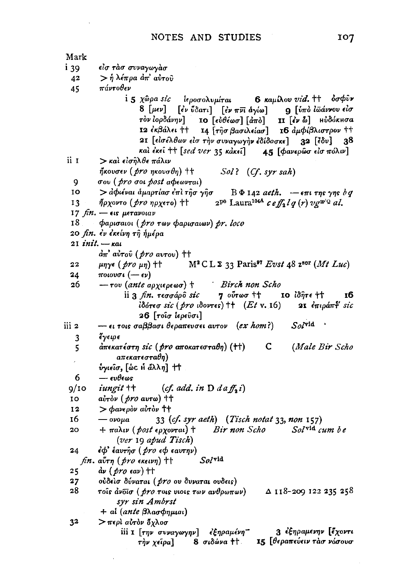Mark είσ τάσ συναγωγάσ i 39  $>$ ή λέπρα απ' αύτου 42 πάντοθεν 45 i 5 χῶρα sic ίεροσολυμίται 6 καμίλου vid. <sup>††</sup> όσφυν 8 [μεν] [έν ύδατι] [έν πνι άγίω] 9 [ύπὸ ιωάννου είσ Η [έν δ] Ηυδόκησα τὸν ἰορδάνην] IO  $[\epsilon \grave{v} \theta \acute{\epsilon} \omega \sigma]$   $[\grave{a}\pi \grave{v}]$ I2 εκβάλει  $+$ 14 [τησ βασιλείασ] 16 αμφίβλιστρον ++ 21 [είσελθων είσ την συναγωγήν έδίδασκε] 32 [έδυ] 38 καὶ ἐκεῖ †† [sed ver 35 κἀκεῖ] 45 [φανερῶσ εἰσ πόλιν] üт  $>$  και εισηλθε πάλιν ήκουσεν (*pro* ηκουσθη) ++  $Sol?$  (Cf. syr sah) σου (pro σοι post αφεωνται) 9 10 > αφιέναι άμαρτίασ έπι τησ γησ  $B\Phi$  142 aeth.  $-\epsilon\pi i$   $\tau$ ns  $\gamma$ ns  $\delta q$  $2^{pq}$  Laura<sup>104A</sup> ceff<sub>a</sub>lg(r)  $v \, g^{qp|Q}$  al.  $13$ ήρχοντο (*pro ηρχετο*) ++ 17  $\n *fin.* - ε$ ις μετανοιαν 18 φαρισαιοι (pro των φαρισαιων) pr. loco 20 *fin. ἐν ἐ*κείνη τῆ ἡμέρα  $21$  init.  $\kappa$ at  $d\pi'$  aυτου (pro aυτου) ††  $M^2 CL \Sigma$  33 Paris<sup>97</sup> Evst 48 z<sup>sor</sup> (Mt Luc)  $22$  $\mu$ nye (pro  $\mu$ n) †† ποιουσι  $(-εν)$ 24 Birch non Scho 26  $-$  του (ante αρχιερεωσ) † 7 ούτωσ †† ii 3 fin. τεσσάρο sic IO IOffre ++ тб iδότεσ sic (pro ιδοντες)  $\uparrow\uparrow$  (Et v. 16) 21 επιράπτ sic 26 [τοΐσ ἱερεῦσι]  $S_0$ /vid  $-$ ει τοις σαββασι θεραπευσει αυτον (ex hom?) iii 2 έγειοε 3 (Male Bir Scho 5 άπεκατέστη sic ( pro αποκατεσταθη) (††) C. απεκατεσταθη)  $\lambda$ ννιείσ, [ώς Η άλλη] | | 6  $-\epsilon v \theta \epsilon \omega s$  $(cf. add. in D da ff, i)$ iungit ++  $9/10$ 10  $a\dot{v}$ <sub>T</sub> $\dot{\theta}$ *y* (*pro* avr $\omega$ ) †† 12  $>$   $\phi$ ave $\rho$ ov avrov †† 16  $-$  ovo $\mu$ a 33 (cf. syr aeth) (Tisch notat 33, non 157) Bir non Scho Solvid cum be  $20$  $+$  παλιν (post ερχονται) † (ver 19 apud Tisch) έφ' έαυτησ ( pro εφ εαυτην)  $24$ fin. avrn (pro εκεινη) ++  $Sol$ vid 25  $\frac{\partial y}{\partial r}$  (*pro* eav)  $\pm\pm$ ούδεισ δύναται (pro ου δυναται ουδεις) 27 28 τοίς άνδισ (*pro* τοις νιοις των ανθρωπων) Δ 118-209 122 235 258 syr sin Ambrst + al (ante βλασφημιαι)  $3<sup>2</sup>$ > περί αύτον όχλοσ 3 εξηραμενην [έχοντι iii I [την συναγωγην] εξηραμένη-8 σιδώνα ++ 15 [θεραπεύειν τασ νόσουσ τήν χείρα]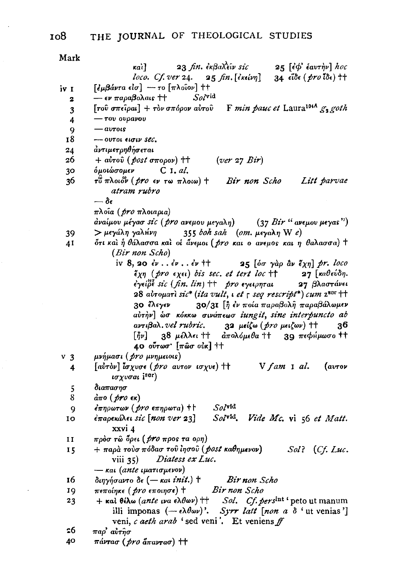Mark

|       | 23 fin. ἐκβαλεῖν sic<br>25 [ἐφ' ἑαυτὴν] hoc<br>kai]                                                                                                                                                                                                                                                                                                                                                                                                                                                                                                                                                                                                                                                  |
|-------|------------------------------------------------------------------------------------------------------------------------------------------------------------------------------------------------------------------------------------------------------------------------------------------------------------------------------------------------------------------------------------------------------------------------------------------------------------------------------------------------------------------------------------------------------------------------------------------------------------------------------------------------------------------------------------------------------|
|       | loco. Cf. ver 24. $25 \text{ fin.} [\epsilon \text{keiv} \eta]$<br>$34$ εΐδε (pro ίδε) ++                                                                                                                                                                                                                                                                                                                                                                                                                                                                                                                                                                                                            |
| iv I  | $\lceil \frac{\partial \mu}{\partial \alpha} \frac{\partial \mu}{\partial \alpha} \frac{\partial \mu}{\partial \alpha} \frac{\partial \mu}{\partial \alpha} \frac{\partial \mu}{\partial \alpha} \frac{\partial \mu}{\partial \alpha} \frac{\partial \mu}{\partial \alpha} \frac{\partial \mu}{\partial \alpha} \frac{\partial \mu}{\partial \alpha} \frac{\partial \mu}{\partial \alpha} \frac{\partial \mu}{\partial \alpha} \frac{\partial \mu}{\partial \alpha} \frac{\partial \mu}{\partial \alpha} \frac{\partial \mu}{\partial \alpha} \frac{\partial \mu}{\partial \alpha} \frac{\partial \mu}{\partial \alpha} \frac{\partial \mu}{\partial \alpha} \frac{\partial \mu}{\partial \alpha} \$ |
| 2     | $Sol^{\text{vid}}$<br>— εν παραβολαις ††                                                                                                                                                                                                                                                                                                                                                                                                                                                                                                                                                                                                                                                             |
| 3     | [του σπείραι] + τον σπόρον αύτου F min pauc et Laura <sup>1044</sup> $g_2$ goth                                                                                                                                                                                                                                                                                                                                                                                                                                                                                                                                                                                                                      |
| 4     | — του ουρανου                                                                                                                                                                                                                                                                                                                                                                                                                                                                                                                                                                                                                                                                                        |
| 9     | $ a$ $v$ $\tau$ $o$ ις                                                                                                                                                                                                                                                                                                                                                                                                                                                                                                                                                                                                                                                                               |
| 18    | - ovtoi eigiv sec.                                                                                                                                                                                                                                                                                                                                                                                                                                                                                                                                                                                                                                                                                   |
| 24    | άντιμετρηθήσεται                                                                                                                                                                                                                                                                                                                                                                                                                                                                                                                                                                                                                                                                                     |
| 26    | $+$ aυτου (post σπορον) ++ (ver 27 Bir)                                                                                                                                                                                                                                                                                                                                                                                                                                                                                                                                                                                                                                                              |
| 30    | όμοιώσομεν C I. al.                                                                                                                                                                                                                                                                                                                                                                                                                                                                                                                                                                                                                                                                                  |
| 36    | τ <sup>8</sup> πλοιον ( <i>pro</i> εν τω πλοιω) † Bir non Scho<br>Litt parvae                                                                                                                                                                                                                                                                                                                                                                                                                                                                                                                                                                                                                        |
|       | atram rubro                                                                                                                                                                                                                                                                                                                                                                                                                                                                                                                                                                                                                                                                                          |
|       | $-\delta$ e                                                                                                                                                                                                                                                                                                                                                                                                                                                                                                                                                                                                                                                                                          |
|       | πλοΐα ( <i>pro</i> πλοιαρια)                                                                                                                                                                                                                                                                                                                                                                                                                                                                                                                                                                                                                                                                         |
|       | άναίμου μέγασ sic (pro ανεμου μεγαλη) (37 Bir "ανεμου μεγας")                                                                                                                                                                                                                                                                                                                                                                                                                                                                                                                                                                                                                                        |
| 39    | > μεγάλη γαλήνη 355 boh sah (om. μεγαλη W e)                                                                                                                                                                                                                                                                                                                                                                                                                                                                                                                                                                                                                                                         |
| 41    | ότι και ή θάλασσα και οι άνεμοι (pro και ο ανεμος και η θαλασσα) +                                                                                                                                                                                                                                                                                                                                                                                                                                                                                                                                                                                                                                   |
|       | (Bir non Scho)                                                                                                                                                                                                                                                                                                                                                                                                                                                                                                                                                                                                                                                                                       |
|       | iv 8, 20 $\epsilon \nu$ $\epsilon \nu$ $\epsilon \nu$ + $\tau$ 25 $[\delta \sigma \gamma \alpha \rho \alpha \nu \epsilon \gamma \gamma]$ pr. loco                                                                                                                                                                                                                                                                                                                                                                                                                                                                                                                                                    |
|       | $\tilde{\epsilon}_{\chi\eta}$ (pro εχει) bis sec. et tert loc ++ 27 [καθεύδη.                                                                                                                                                                                                                                                                                                                                                                                                                                                                                                                                                                                                                        |
|       | εγείβε sic (fin. lin) ++ pro εγειρηται 27 βλαστάνει                                                                                                                                                                                                                                                                                                                                                                                                                                                                                                                                                                                                                                                  |
|       | 28 avrouari sic* (ita vult, i et $\frac{1}{2}$ seq rescript*) cum z <sup>8Cr</sup> ++                                                                                                                                                                                                                                                                                                                                                                                                                                                                                                                                                                                                                |
|       | 30/31 [η έν ποία παραβολή παραβάλωμεν<br>30 ἔλεγεν                                                                                                                                                                                                                                                                                                                                                                                                                                                                                                                                                                                                                                                   |
|       | αύτην] ώσ κόκκω σινάπεωσ iungit, sine interpuncto ab                                                                                                                                                                                                                                                                                                                                                                                                                                                                                                                                                                                                                                                 |
|       | $\alpha v$ ri $\beta$ a $\lambda$ . vel rubric. 32 μείζω (pro μειζων) + $\pm$ 36                                                                                                                                                                                                                                                                                                                                                                                                                                                                                                                                                                                                                     |
|       | $[\bar{j}\nu]$ 38 μέλλει + απολόμεθα + 39 πεφήμωσο ++                                                                                                                                                                                                                                                                                                                                                                                                                                                                                                                                                                                                                                                |
|       | 40 ούτωσ' [πῶσ οὐκ] ††                                                                                                                                                                                                                                                                                                                                                                                                                                                                                                                                                                                                                                                                               |
| $v_3$ | μνήμασι (pro μνημειοις)                                                                                                                                                                                                                                                                                                                                                                                                                                                                                                                                                                                                                                                                              |
| 4     | [avrov] $\int_a^b \sigma \chi v \sigma \epsilon$ (pro avrov $\iota \sigma \chi v \epsilon$ ) $\int_a^b +$ V fam 1 al.<br>$(a$ <i>v</i> $\tau$ o $\nu$                                                                                                                                                                                                                                                                                                                                                                                                                                                                                                                                                |
|       | ισχυσαι i <sup>sor</sup> )                                                                                                                                                                                                                                                                                                                                                                                                                                                                                                                                                                                                                                                                           |
| 5     | διαπασησ                                                                                                                                                                                                                                                                                                                                                                                                                                                                                                                                                                                                                                                                                             |
| 8     | άπο ( <i>pro</i> εκ)                                                                                                                                                                                                                                                                                                                                                                                                                                                                                                                                                                                                                                                                                 |
| 9     | Sol <sup>vid</sup><br>έπηρωτων ( <i>pro</i> επηρωτα) + <del> </del>                                                                                                                                                                                                                                                                                                                                                                                                                                                                                                                                                                                                                                  |
| 10    | έπαρεκάλει sic [non ver 23]<br>$Sol^{\text{rid}}$ .<br>Vide Mc. vi 56 et Matt.                                                                                                                                                                                                                                                                                                                                                                                                                                                                                                                                                                                                                       |
|       | xxvi 4                                                                                                                                                                                                                                                                                                                                                                                                                                                                                                                                                                                                                                                                                               |
| 11    | πρὸσ τῶ ὅρει ( pro προς τα ορη)                                                                                                                                                                                                                                                                                                                                                                                                                                                                                                                                                                                                                                                                      |
| 15    | + παρὰ τοὺσ πόδασ τοῦ ἶησοῦ ( post καθημενον)<br>Sol?<br>(Cf, Luc.                                                                                                                                                                                                                                                                                                                                                                                                                                                                                                                                                                                                                                   |
|       | viii 35) Diatess ex Luc.                                                                                                                                                                                                                                                                                                                                                                                                                                                                                                                                                                                                                                                                             |
|       | $-$ και (ante ιματισμενον)                                                                                                                                                                                                                                                                                                                                                                                                                                                                                                                                                                                                                                                                           |
| 16    | $\delta$ inyήσαντο δε ( - και init.) + Bir non Scho<br>$\pi$ εποίηκε ( <i>pro</i> εποιησε) + Bir non Scho                                                                                                                                                                                                                                                                                                                                                                                                                                                                                                                                                                                            |
| 19    |                                                                                                                                                                                                                                                                                                                                                                                                                                                                                                                                                                                                                                                                                                      |
| 23    | + $\kappa a$ l $\theta \& \alpha$ (ante wa $\epsilon \lambda \theta \omega \nu$ ) + Sol. Cf. pers <sup>int</sup> 'peto ut manum<br>illi imponas (- $\epsilon \lambda \theta \omega \nu$ )'. Syrr latt [non a $\delta$ ' ut venias']                                                                                                                                                                                                                                                                                                                                                                                                                                                                  |
|       |                                                                                                                                                                                                                                                                                                                                                                                                                                                                                                                                                                                                                                                                                                      |
| 26    | veni, c aeth arab 'sed veni'. Et veniens ff                                                                                                                                                                                                                                                                                                                                                                                                                                                                                                                                                                                                                                                          |
| 40    | παρ' αὐτῆσ                                                                                                                                                                                                                                                                                                                                                                                                                                                                                                                                                                                                                                                                                           |
|       | πάντασ ( <i>pro ἅπαν</i> τασ) ††                                                                                                                                                                                                                                                                                                                                                                                                                                                                                                                                                                                                                                                                     |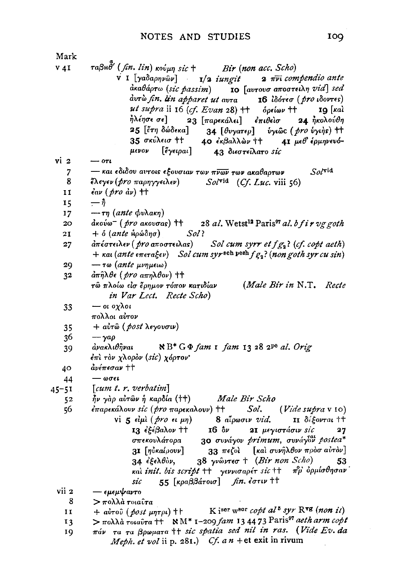| Mark      |                                                                                                                 |
|-----------|-----------------------------------------------------------------------------------------------------------------|
| $V$ 4I    | $\tau$ αβH $\ddot{\theta}'$ (fin. lin) κούμη sic $\tau$ Bir (non acc. Scho)                                     |
|           | $\mathbf{v}$ I [ya $\alpha$ a $\rho$ nv $\omega$ v] $\qquad$ 1/2 iungit 2 $\pi$ vi compendio ante               |
|           | $d$ καθάρτω (sic passim) <b>το</b> [αυτουσ αποστειλη vid] sed                                                   |
|           | $\hat{a}$ υτώ fin. Lin apparet ut αυτα 16 ίδότεσ (pro ιδοντες)                                                  |
|           | ut supra ii 16 (cf. Evan 28) ++ $\delta$ peiwv ++<br>IQ   Kaì                                                   |
|           | ήλέησε σε]<br>23 [παρεκάλει] επιθείσ<br>24 ήκολούθη                                                             |
|           | 25 [ἔτη δώδεκα]<br>34 [θυγατεμ] ύγιῶς (pro ύγιὴς) ++                                                            |
|           | 35 σκύλεισ ††<br>40 έκβαλλών ++ 41 μεθ' έρμηνευό-                                                               |
|           | μενον [ἔγειραι]<br>43 διεστείλατο sic                                                                           |
| vi 2      | $ \sigma t$                                                                                                     |
| 7         | $So/\nabla$ id<br>— και εδιδου αυτοις εξουσιαν των πνων των ακαθαρτων                                           |
| 8         | έλεγεν (pro παρηγγειλεν) Sol <sup>vid</sup> (Cf. Luc. viii 56)                                                  |
| 11        | $\epsilon$ av $(\text{pro} \text{ dv})$ ++                                                                      |
| 15        | $-\hat{\eta}$                                                                                                   |
| 17        | $-\tau\eta$ (ante $\phi v\lambda a\kappa\eta$ )                                                                 |
| 20        | $d$ κούω <sup>-</sup> (pro aκουσαs) ++ 28 al. Wetst <sup>12</sup> Paris <sup>97</sup> al. b f i r vg goth       |
|           | Sol?<br>+ δ (ante hρώδησ)                                                                                       |
| 21        | άπέστειλεν ( pro αποστειλας)<br>Sol cum syrr et $fg_3$ ? (cf. copt aeth)                                        |
| 27        | + $\kappa$ ai (ante e $\pi$ era $\xi$ ev) Sol cum syr <sup>sch pesh</sup> $fg_2$ ? (non goth syr cu sin)        |
|           | $-\tau$ ω (ante μνημειω)                                                                                        |
| 29        | <i>άπῆλθε (pro απηλθον</i> ) ††                                                                                 |
| 32        | (Male Bir in $N.T.$<br>τῶ πλοίω εἰσ ἔρημον τόπον κατιδίαν<br>Recte                                              |
|           |                                                                                                                 |
|           | in Var Lect. Recte Scho)                                                                                        |
| 33        | — οι οχλοι                                                                                                      |
|           | πολλοι αύτον                                                                                                    |
| 35        | + αύτω (post λεγουσιν)                                                                                          |
| 36        | $-\gamma a\rho$<br>άνακλιθῆναι                                                                                  |
| 39        | $R^*G\Phi$ fam 1 fam 13 28 2 <sup>pe</sup> al. Orig                                                             |
|           | έπι τον χλορον (sic) χόρτον·<br>άνέπεσαν ††                                                                     |
| 40        | $-\omega \sigma \epsilon \iota$                                                                                 |
| 44        | [cum t. $r$ , verbatim]                                                                                         |
| $45 - 51$ | ην γαρ αυτών ή καρδία (++) Male Bir Scho                                                                        |
| 52        | έπαρεκάλουν sic (pro παρεκαλουν) + $Sol.$ (Vide supra v 10)                                                     |
| 56        | vi 5 εἰμὶ (pro ει μη) 8 αἶρωσιν vid.<br>II δέξονται ††                                                          |
|           | <b>13</b> εξεβαλον + 16 δν <b>21</b> μεγιστάσιν sic<br>σπεκουλάτορα 30 συνάνων Διώτου διακουλάτορα              |
|           | 27<br>30 συνάγον primum, συνάγον postea*                                                                        |
|           | 33 πεζοί [και συνήλθον πρόσ αυτόν]                                                                              |
|           | 31 [ηὐκαίρουν]<br>$38$ γνώντεσ † (Bir non Scho)<br>53                                                           |
|           | 34 ἐξελθὸν,<br>και init. bis script ++ γεννισαρέτ sic ++ π <sup>ο</sup> υ δρμίσθησαν                            |
|           | 55 $[\kappa \rho a \beta \beta \acute{a} \tau \rho a \sigma]$ fin. $\acute{\epsilon} \sigma \tau \nu$ ++<br>sic |
| vii 2     | — εμεμψαντο                                                                                                     |
| 8         | > πολλά τοιαῦτα                                                                                                 |
| 11        | + aύτου (post $\mu$ ητρι) + K isor w <sup>sor</sup> copt al <sup>5</sup> syr R <sup>vg</sup> (non it)           |
| 13        | > πολλά τοιαύτα ++ $N M^*$ 1-209 fam 13 44 73 Paris <sup>97</sup> aeth arm copt                                 |
| 19        | πάν τα τα βρωματα ++ sic spatia sed nil in ras. (Vide Ev. da                                                    |
|           | Meph. et vol ii p. 281.) Cf. a $n +$ et exit in rivum                                                           |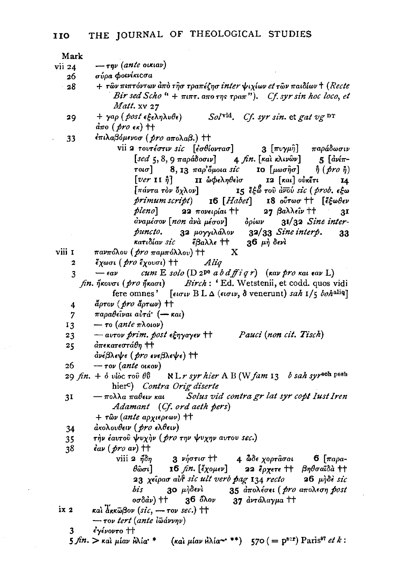| Mark                    |                                                                                                                                                                 |
|-------------------------|-----------------------------------------------------------------------------------------------------------------------------------------------------------------|
| vii 24                  | $-\tau \eta \nu$ (ante oikiav)                                                                                                                                  |
| 26                      | σύρα φοινίκιςσα                                                                                                                                                 |
| $-28$                   | + των πιπτόντων από τησ τραπέζησ inter ψιχίων et των παιδίων + (Recte                                                                                           |
|                         | Bir sed Scho $4 + \pi i \pi \tau$ , $a \pi o \tau \eta s \tau \rho a \pi$ "). Cf. syr sin hoc loco, et                                                          |
|                         | Matt. xv 27                                                                                                                                                     |
| 29                      | + $\gamma a \rho$ (post $\epsilon \xi \epsilon \lambda \eta \lambda \nu \theta \epsilon$ ) Solvid.<br>Cf. syr sin. et gat $v g$ <sup>DT</sup>                   |
|                         | άπο (pro εκ) ++                                                                                                                                                 |
| 33                      | έπιλαβόμενοσ (pro απολαβ.) ++                                                                                                                                   |
|                         | vii 2 τουτέστιν sic [εσθίοντασ] 3 [πυγμη̃] παράδωσιν                                                                                                            |
|                         | $\left[$ sed 5, 8, 9 παράδοσιν] 4 fin. [καὶ κλινῶν] 5 $\left[$ άνίπ-                                                                                            |
|                         | τοισ] 8, 13 παρ'δμοια sic 10 [μωσῆσ] ή (pro ή)                                                                                                                  |
|                         | [ver 11 ή] 11 ωφεληθείο 12 [και] ούκέτι<br>14                                                                                                                   |
|                         | 15 έξω του άνου sic (prob. εξω<br>$[\pi \acute{a} \nu \tau a \ \tau \grave{o} \nu \ \acute{o} \chi \lambda o \nu]$                                              |
|                         | $\textit{primum script}$ 16 [Habet] 18 $\textit{o}$ <sup>1</sup> row <sup>++</sup> [ $\epsilon \xi \omega \theta \epsilon \nu$                                  |
|                         | $\lbrack 2a \rbrack$ 22 πονειρίαι ++ 27 βαλλεΐν ++<br>3I                                                                                                        |
|                         | άναμέσον [non ανα μέσον] δρίων 31/32 Sine inter-                                                                                                                |
|                         | puncto.                                                                                                                                                         |
|                         | 33                                                                                                                                                              |
| viii 1                  | $\mathbf{x}$<br>πανπόλου ( <i>pro π</i> αμπόλλου) ††                                                                                                            |
| 2                       | έχωσι ( <i>pro</i> έχουσι) ++ Aliq                                                                                                                              |
|                         | $-\epsilon a\nu$ cum E solo (D 2 <sup>pe</sup> a b d ff i q r) (καν pro και εαν L)                                                                              |
| 3                       | fin. ήκουσι (pro ήκασι) Birch: 'Ed. Wetstenii, et codd. quos vidi                                                                                               |
|                         | fere omnes' [ $\epsilon u \sigma u v$ B L $\Delta$ ( $\epsilon u \sigma u v$ , $\delta$ venerunt) sah 1/5 bohaliq]                                              |
|                         |                                                                                                                                                                 |
| $\overline{\mathbf{4}}$ | <i>ἄρτον ( pro ἄρτων</i> ) ++                                                                                                                                   |
| 7                       | παραθείναι αὐτά <sup>.</sup> (— και)<br>$-$ το (ante πλοιον)                                                                                                    |
| 13                      |                                                                                                                                                                 |
| 23                      | — aυτον prim. post εξηγαγεν ++<br>Pauci (non cit. Tisch)<br>άπεκατεστάθη ++                                                                                     |
| 25                      | ανέβλεψε (pro ενεβλεψε) ++                                                                                                                                      |
| 26                      |                                                                                                                                                                 |
|                         | $ \tau$ ov (ante otrov)<br>NLr syr hier A B (W fam 13 b sah syrson pesh<br>29 <i>fin</i> . + δ νίὸς του θΰ                                                      |
|                         | hier <sup>c</sup> ) Contra Orig diserte                                                                                                                         |
|                         | $-\pi$ o $\lambda$ λα παθειν και Solus vid contra gr lat syr copt Iust Iren                                                                                     |
| 31                      | Adamant (Cf. ord aeth pers)                                                                                                                                     |
|                         | $+ \tau \hat{\omega} \nu (ante \ a\rho \chi \iota \epsilon \rho \epsilon \omega \nu)$ ++                                                                        |
|                         | άκολουθειν ( <i>pro</i> ελθειν)                                                                                                                                 |
| 34                      | τήν έαυτού ψυχήν ( <i>pro την ψυχην αυτου sec.</i> )                                                                                                            |
| 35                      |                                                                                                                                                                 |
| 38                      | $\partial$ ( $\partial$ ro av) ††                                                                                                                               |
|                         | viii 2 ήδη<br>$3\nu\eta\sigma\tau\iota\sigma$ $\dagger\dagger$<br>4 $\delta\delta\epsilon$ χορτάσαι 6 [παρα-<br>θώσι] 16 fin. [έχομεν] 22 έρχετε ++ βηθσαϊδά ++ |
|                         |                                                                                                                                                                 |
|                         | 23 χείρασ αυτό sic ult verb pag 134 recto 26 μήδε sic                                                                                                           |
|                         | 30 μήδενί 35 άπολέσει ( <i>pro α</i> πολεση post<br>bis                                                                                                         |
| ix 2                    | οσδάν) ††<br>36 ὄλον 37 άντάλαγμα ††                                                                                                                            |
|                         | και ακκώβον (sic, -- τον sec.) $\uparrow\uparrow$                                                                                                               |
|                         | $\rightarrow$ rov tert (ante $i\vec{\omega}$ ávvn $\nu$ )                                                                                                       |
| 3.                      | έγένοντο ††<br>5 fin. > και μίαν ήλία <sup>, *</sup> (και μίαν ήλία ***) 570 (= p <sup>60r</sup> ) Paris <sup>97</sup> et k:                                    |
|                         |                                                                                                                                                                 |

 $\bar{z}$ 

 $\bar{z}$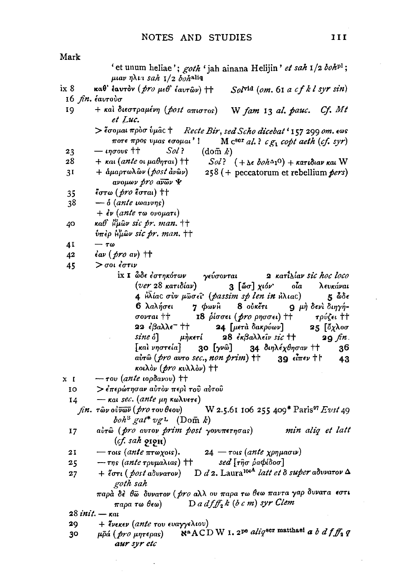$Mark$ 

|      | 'et unum heliae'; goth 'jah ainana Helijin' et sah 1/2 boh <sup>pl</sup> ;                                                                       |
|------|--------------------------------------------------------------------------------------------------------------------------------------------------|
|      | μιαν ηλια sah $1/2$ bohaliq                                                                                                                      |
| ix 8 | καθ' έαυτον ( <i>pro μεθ' έαυτ</i> ων) †† Sol <sup>vid</sup> (om. 61 a cf k l syr sin)<br>16 <i>fin.</i> έαυτούσ                                 |
| 19   | + και διεστραμένη (post απιστος) W fam 13 al. pauc. Cf. Mt                                                                                       |
|      | et Luc.                                                                                                                                          |
|      | > έσομαι προσύμας + Recte Bir, sed Scho dicebat ' 157 299 om. εως<br>ποτε προς υμας εσομαι'! Μ $c^{s\text{or}}$ al.? c $g_1$ copt aeth (cf. syr) |
| 23   | Sol<br>— ιησουs ††<br>$(\text{dom } k)$                                                                                                          |
| 28   | $+$ και ( <i>ante</i> οι μαθηται) ††<br>$Sol$ ? $(+ \Delta \epsilon \; both \Delta_1 O) + \kappa a \tau \iota \delta$ ιαν και $W$                |
| 31   | + άμαρτωλῶν (post ἀνῶν) 258 (+ peccatorum et rebellium pers)<br>avouwv pro avwv ¥                                                                |
| 35   | έστω ( <i>pro</i> έσται) ††                                                                                                                      |
| 38   | $ \delta$ (ante warrys)                                                                                                                          |
|      | $+$ έν (ante τω ονοματι)                                                                                                                         |
| 40   | καθ' Hμων sic pr. man. ++                                                                                                                        |
|      | υπέρ ήμων sic pr. man. ++                                                                                                                        |
| 4Ι   | $-\tau\omega$                                                                                                                                    |
| 42   | $\epsilon$ av ( $\rho$ ro av) ††                                                                                                                 |
| 45   | $>$ σοι έστιν                                                                                                                                    |
|      | ix I ὦδε έστηκότων γεύσονται<br>2 κατίλίαν sic hoc loco                                                                                          |
|      | (ver 28 κατιδίαν)<br>3 [ώσ] χιόν' οία λευκάναι                                                                                                   |
|      | 4 Ηλίας σύν μωσεΐ (passim sp len in Ηλιας) 5 δοδε                                                                                                |
|      | 6 λαλήσει 7 φωνη 8 ούκέτι 9 μή δενί διηγή-                                                                                                       |
|      | σονται ++ 18 ρίσσει (pro ρησσει) ++ τρύζει ++                                                                                                    |
|      | 22 έβαλλε <sup>-</sup> †† 24 [μετὰ δακρύων]<br>25 [ὄχλοσ                                                                                         |
|      | sine o] μήκετί 28 εκβαλλείν sic ++<br>$20 \text{ fm}.$                                                                                           |
|      | [και υηστεία] 30 [γνω] 34 διηλέχθησαν ++ 36                                                                                                      |
|      | aὐτῶ (pro avro sec., non prim) ++ 39 εἶπεν ++<br>-43                                                                                             |
|      | κοιλόν ( <i>pro κ</i> υλλόν) ††                                                                                                                  |
| x I  | $-$ rov (ante ιορδανου) ††                                                                                                                       |
| 10   | > έπερώτησαν αὐτὸν περὶ τοῦ αὐτοῦ                                                                                                                |
| 14   | $-$ και sec. (ante μη κωλυετε)                                                                                                                   |
|      | fin. $\tau$ ων ούνων (pro του θεου) W 2.5.61 106 255 409* Paris <sup>97</sup> Evst 49                                                            |
|      | $\mathit{boh}^{\text{B}}$ gat* $\mathit{vgt}$ (Dom k)                                                                                            |
| 17   | airo (pro avrov prim post yovvnernoas) min aliq et latt<br>$(cf.$ sah $g$ i $g$ H $)$                                                            |
| 21   |                                                                                                                                                  |
| 25   | — τοις (ante πτωχοις). 24 — τοις (ante χρημασιν)<br>— της (ante τρυμαλιας) † <i>5ed</i> [τῆσ ραφίδοσ]                                            |
| 27   | + έστι (post αδυνατον) D d 2. Laura <sup>104</sup> latt et δ super αδυνατον Δ<br>goth sah                                                        |
|      | παρά δέ θω δυνατον ( <i>pro</i> αλλ ου παρα τω θεω παντα γαρ δυνατα εστι                                                                         |
|      | παρα τω θεω) Dadf $f_2$ k (b c m) syr Clem                                                                                                       |
|      | 28 <i>init</i> . — кас                                                                                                                           |
| 29   | + ένεκεν (ante του ευαγγελιου)                                                                                                                   |
| 30   | N <sup>a</sup> ACDW I. 2 <sup>pe</sup> alig <sup>8cr</sup> matthaei a b d f $f_2$ q<br>μρά ( <i>pro μ</i> ητερας)                                |
|      | aur syr etc                                                                                                                                      |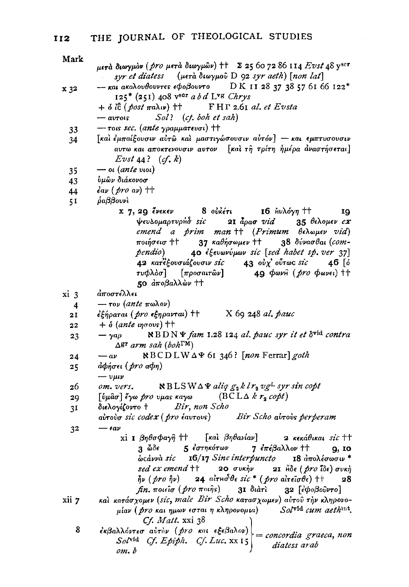Mark

| יימיי          | μετά διωγμόν (pro μετά διωγμών) ++ Σ 25 60 72 86 114 Evst 48 yscr<br>syr et diatess (μετά διωγμού D 92 syr aeth) [non lat]                               |
|----------------|----------------------------------------------------------------------------------------------------------------------------------------------------------|
| x 32           | $-$ και ακολουθουντες εφοβουντο DK 1128 37 38 57 61 66 122*                                                                                              |
|                | 125* (251) 408 vsor a b d Lvs Chrys                                                                                                                      |
|                | + $\delta$ ic (post $\pi$ a $\lambda$ u) †† FHT 2.61 al. et Evsta                                                                                        |
|                | Sol? (cf. boh et sah)<br>$-$ avrois                                                                                                                      |
| 33             | $-$ rois sec. (ante $\gamma$ paµµar $\epsilon$ voi) ††                                                                                                   |
| 34             | [και έμπαίξουσιν αύτω και μαστιγώσουσιν αυτόν] - και εμπτυσουσιν                                                                                         |
|                | αυτω και αποκτενουσιν αυτον [καὶ τῆ τρίτη ἡμέρα ἀναστήσεται]<br>Evst $44$ ? $(cf. k)$                                                                    |
| 35             | $\rightarrow$ ot (ante vioi)                                                                                                                             |
| 43             | ύμῶν διάκονοσ                                                                                                                                            |
| 44             | $\epsilon$ av $(\text{pro av})$ ††                                                                                                                       |
| 51             | ραββουνί                                                                                                                                                 |
|                | x 7, 29 ένεκεν 8 ούκέτι 16 Αυλόγη ++ 19                                                                                                                  |
|                | ψευλομαρτυρήδ sic 21 άρασ vid 35 θελομεν ex                                                                                                              |
|                | emend a prim man ++ (Primum θελωμεν vid)                                                                                                                 |
|                | 37 καθήσωμεν ++ 38 δύνασθαι (com-<br>ποιήσεισ ††                                                                                                         |
|                | 40 εξευωνύμων sic [sed habet sp. ver 37]<br>pendio)                                                                                                      |
|                | 42 κατέξουσιάζουσιν sic 43 ούχ' ούτως sic 46 [δ                                                                                                          |
|                | τυφλόσ] [προσαιτών] 49 φωνή ( <i>pro</i> φωνει) ††                                                                                                       |
|                | 50 αποβαλλών ++                                                                                                                                          |
| xi 3           | άποστέλλει                                                                                                                                               |
| 4              | — τον (ante πωλον)                                                                                                                                       |
| 21             | $\epsilon$ ξήραται ( <i>pro</i> εξηρανται) ++ X 69 248 al. pauc                                                                                          |
| 22             | $+$ $\delta$ (ante ingrous) $+$                                                                                                                          |
| 23             | $-\gamma a\rho$ $\qquad \aleph BD \aleph \Psi$ fam 1.28 124 al. pauc syr it et $\delta^{vid}$ contra<br>$\Delta$ gr arm sah (boh $\Gamma$ <sup>M</sup> ) |
| 24             | NBCDLW∆4 61 346? [non Ferrar] goth<br>$-a\nu$                                                                                                            |
| 25             | άφήσει ( <i>pro α</i> φη)                                                                                                                                |
|                | $-v\mu v$                                                                                                                                                |
| 26             | $\aleph$ BLSW $\triangle$ $\Psi$ aliq $g_2$ k l $r_2$ vg <sup>L</sup> syr sin copt<br>om. vers.                                                          |
| 29             | [ύμασ] έγω pro υμας καγω (BCLΔ k r <sub>2</sub> copt)                                                                                                    |
| 3 <sup>1</sup> | διελογίζοντο † Bir, non Scho                                                                                                                             |
|                | aύτουσ sic codex (pro έαυτους) Bir Scho αύτους perperam                                                                                                  |
| 32             | $-\epsilon a\nu$                                                                                                                                         |
|                | xi I βηθσφαγῆ †† [καὶ βηθανίαν]<br>2 κεκάθικαι sic ††                                                                                                    |
|                | 3 ὦδε - 5 ἐστηκότων - 7 ἐπέβαλλον ††<br>9, IO                                                                                                            |
|                | ω τάννα sic 16/17 Sine interpuncto 18 απολέσωσιν <sup>*</sup>                                                                                            |
|                | sed ex emend ++ 20 συκήν 21 Ηδε (pro ΐδε) συκή                                                                                                           |
|                | $\tilde{\eta}\nu$ (pro $\hat{\eta}\nu$ ) 24 airnoble sic* (pro aireiote) ++ 28                                                                           |
|                | $fn. π$ οιείσ ( $pro π$ οιής) 31 διάτι 32 [εφοβούντο]                                                                                                    |
| xii 7          | και κατάσχομεν (sic, male Bir Scho κατασχωμεν) αύτου την κληρονο-                                                                                        |
|                | μίαν ( <i>pro και ημων εσται η κληρονομια</i> ) <i>Sol</i> vid cum aethint.                                                                              |
|                | $C_f$ . <i>Matt.</i> xxi 38                                                                                                                              |
| 8              | εκβαλλόντεσ αυτόν (pro και εξεβαλον)                                                                                                                     |
|                | = concordia graeca, non<br>Solvid Cf. Epiph. Cf. Luc. xx 15                                                                                              |
|                | diatess arab<br>om. b                                                                                                                                    |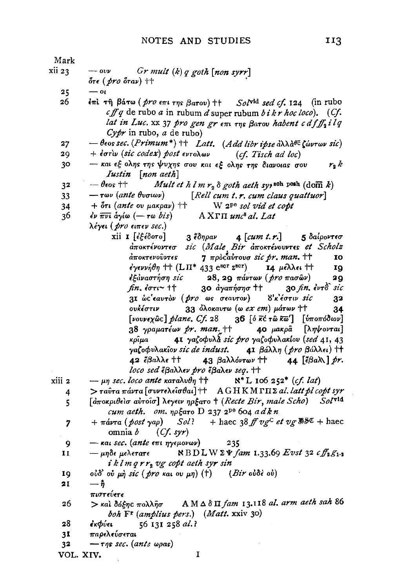| Mark             |                                                                                                                                                                                                                                                                                                                                                                                                                                                                                                                                                                                                                                                                                                                                                                                                                                                                                                                                                                                                                                                                                                                                                           |
|------------------|-----------------------------------------------------------------------------------------------------------------------------------------------------------------------------------------------------------------------------------------------------------------------------------------------------------------------------------------------------------------------------------------------------------------------------------------------------------------------------------------------------------------------------------------------------------------------------------------------------------------------------------------------------------------------------------------------------------------------------------------------------------------------------------------------------------------------------------------------------------------------------------------------------------------------------------------------------------------------------------------------------------------------------------------------------------------------------------------------------------------------------------------------------------|
| xii 23           | $-$ ovv $Gr$ mult $(k)$ q goth $[non$ syrr]<br>ότε ( <i>pro</i> όταν) ††                                                                                                                                                                                                                                                                                                                                                                                                                                                                                                                                                                                                                                                                                                                                                                                                                                                                                                                                                                                                                                                                                  |
| 25               | $-\alpha$                                                                                                                                                                                                                                                                                                                                                                                                                                                                                                                                                                                                                                                                                                                                                                                                                                                                                                                                                                                                                                                                                                                                                 |
| 26               | επί τη βάτω ( <i>pro</i> επι της βατου) + Solv <sup>id</sup> sed cf. 124 (in rubo<br>cff q de rubo a in rubum d super rubum $b$ i $k$ r hoc loco). (Cf.<br>lat in Luc. xx 37 pro gen gr $\epsilon \pi i$ $\tau \eta s$ Barov habent c df $f_2$ ilq<br>$Cypr$ in rubo, a de rubo)                                                                                                                                                                                                                                                                                                                                                                                                                                                                                                                                                                                                                                                                                                                                                                                                                                                                          |
| 27               | $-\theta$ εος sec. (Primum*) + Latt. (Add libr ipse άλλα <sup>θε</sup> ζώντων sic)                                                                                                                                                                                                                                                                                                                                                                                                                                                                                                                                                                                                                                                                                                                                                                                                                                                                                                                                                                                                                                                                        |
| 29               | + $\epsilon$ στίν (sic codex) post εντολων (cf. Tisch ad loc)                                                                                                                                                                                                                                                                                                                                                                                                                                                                                                                                                                                                                                                                                                                                                                                                                                                                                                                                                                                                                                                                                             |
| 30               | - και εξ ολης της ψυχης σου και εξ ολης της διανοιας σου<br>r, k<br>Iustin [non aeth]                                                                                                                                                                                                                                                                                                                                                                                                                                                                                                                                                                                                                                                                                                                                                                                                                                                                                                                                                                                                                                                                     |
| 32               | $-\theta$ eos ††<br>Mult et h l m $r_2$ $\delta$ goth aeth sy <sub>1</sub> soh pesh (dom k)                                                                                                                                                                                                                                                                                                                                                                                                                                                                                                                                                                                                                                                                                                                                                                                                                                                                                                                                                                                                                                                               |
| 33               | $-\tau \omega v$ (ante $\theta v \sigma \omega v$ ) [Rell cum t.r. cum claus quattuor]                                                                                                                                                                                                                                                                                                                                                                                                                                                                                                                                                                                                                                                                                                                                                                                                                                                                                                                                                                                                                                                                    |
| 34               | $+$ $\delta \tau \iota$ (ante ov $\mu$ akpav) $\dagger \uparrow$ W 2 <sup>pe</sup> sol vid et copt                                                                                                                                                                                                                                                                                                                                                                                                                                                                                                                                                                                                                                                                                                                                                                                                                                                                                                                                                                                                                                                        |
| 36               | $\epsilon$ ν πνι άγίω $(-\tau \omega bis)$<br>$A X \Gamma \Pi$ unc <sup>8</sup> al, Lat                                                                                                                                                                                                                                                                                                                                                                                                                                                                                                                                                                                                                                                                                                                                                                                                                                                                                                                                                                                                                                                                   |
|                  | λέγει ( pro ειπεν sec.)                                                                                                                                                                                                                                                                                                                                                                                                                                                                                                                                                                                                                                                                                                                                                                                                                                                                                                                                                                                                                                                                                                                                   |
| xiii 2<br>4<br>5 | xii I [εξέδοτο]<br>3 ἔδηραν <b>4</b> [cum t.r.] 5 δαίροντεσ<br>αποκτένοντεσ sic (Male Bir αποκτένουντες et Scholz<br>7 προσαύτουσ sic pr. man. ++<br>άποκτενοῦντες<br>IO<br>έγεννήθη + (LΠ* 433 escr zsor) 14 μέλλει +<br>19<br>εξάναστήση sic 28, 29 πάντων ( <i>pro</i> πασών)<br>29<br>$\mathit{fin.}$ $\mathit{for}$ $\mathsf{t}$ + $\mathsf{t}$<br>30 αγαπήσησ ++ 30 fin. εντδ sic<br>31 ως εαυτόν ( <i>pro</i> ως σεαυτον) 8'κ'έστιν sic<br>32<br>33 δλοκαυτω (ω <i>ex em</i> ) μάτων ††<br>ουκέστιν<br>34<br>[νουνεχώς] plane, Cf. 28 36 [ό κέ τω κω'] [υποπόδιον]<br>38 γραματέων pr. man. ++ <b>40</b> μακρα [ληψονται]<br>41 γαζοφυλά sic pro γαζοφυλακίου (sed 41, 43<br>κρίμα<br>γαζοφυλακίον sic de indust. 41 βάλλη (pro βάλλει) ++<br>42 έβαλλε ++ 43 βαλλόντων ++<br>44 [ $\epsilon \beta a \lambda$ ] pr.<br>loco sed έβαλλεν pro έβαλεν seq. ++<br>$-\mu\eta$ sec. loco ante καταλυθη †† $N^*$ L 106 252 <sup>*</sup> (cf. lat)<br>> ταύτα πάντα [συντελείσθαι] † AGHKMTII Σ al. latt pl copt syr<br>[αποκριθείσ αύτοισ] λεγειν ηρξατο + (Recte Bir, male Scho) Solvid<br>cum aeth. om. $np\xi a\tau o$ D 237 2 <sup>pe</sup> 604 a dkn |
| 7                | $+\pi \acute{a}v\tau a$ (post yap) $Sol?$ + haec 38 ff vg <sup>c</sup> et vg \$80 + haec<br>omnia $b$ (Cf. syr)                                                                                                                                                                                                                                                                                                                                                                                                                                                                                                                                                                                                                                                                                                                                                                                                                                                                                                                                                                                                                                           |
| 9                | — και sec. (ante επι ηγεμονων)<br>235                                                                                                                                                                                                                                                                                                                                                                                                                                                                                                                                                                                                                                                                                                                                                                                                                                                                                                                                                                                                                                                                                                                     |
| 11               | $RBDLW\Sigma\Psi$ fam 1.33.69 Evst 32 c $f_3$ $g_1$ ,<br>— μηδε μελετατε                                                                                                                                                                                                                                                                                                                                                                                                                                                                                                                                                                                                                                                                                                                                                                                                                                                                                                                                                                                                                                                                                  |
|                  | iklm q r r <sub>2</sub> vg copt aeth syr sin                                                                                                                                                                                                                                                                                                                                                                                                                                                                                                                                                                                                                                                                                                                                                                                                                                                                                                                                                                                                                                                                                                              |
| 19               | ούδ' ού μη sic (pro και ου μη) (†) (Bir ούδε ού)                                                                                                                                                                                                                                                                                                                                                                                                                                                                                                                                                                                                                                                                                                                                                                                                                                                                                                                                                                                                                                                                                                          |
| 21               | — ჩ<br>πιστεύετε                                                                                                                                                                                                                                                                                                                                                                                                                                                                                                                                                                                                                                                                                                                                                                                                                                                                                                                                                                                                                                                                                                                                          |
| 26               | > και δόξης πολλήσ AMΔδΠ fam 13.118 al. arm aeth sah 86<br>boh F <sup>r</sup> (amplius pers.) (Matt. xxiv 30)                                                                                                                                                                                                                                                                                                                                                                                                                                                                                                                                                                                                                                                                                                                                                                                                                                                                                                                                                                                                                                             |
| 28               | 56 131 258 al.?<br>έκΦύει                                                                                                                                                                                                                                                                                                                                                                                                                                                                                                                                                                                                                                                                                                                                                                                                                                                                                                                                                                                                                                                                                                                                 |
| 31               | παρελεύσεται                                                                                                                                                                                                                                                                                                                                                                                                                                                                                                                                                                                                                                                                                                                                                                                                                                                                                                                                                                                                                                                                                                                                              |
| 32               | — της sec. (ante ωρας)                                                                                                                                                                                                                                                                                                                                                                                                                                                                                                                                                                                                                                                                                                                                                                                                                                                                                                                                                                                                                                                                                                                                    |
| VOL. XIV.        | 1                                                                                                                                                                                                                                                                                                                                                                                                                                                                                                                                                                                                                                                                                                                                                                                                                                                                                                                                                                                                                                                                                                                                                         |
|                  |                                                                                                                                                                                                                                                                                                                                                                                                                                                                                                                                                                                                                                                                                                                                                                                                                                                                                                                                                                                                                                                                                                                                                           |

 $\bar{z}$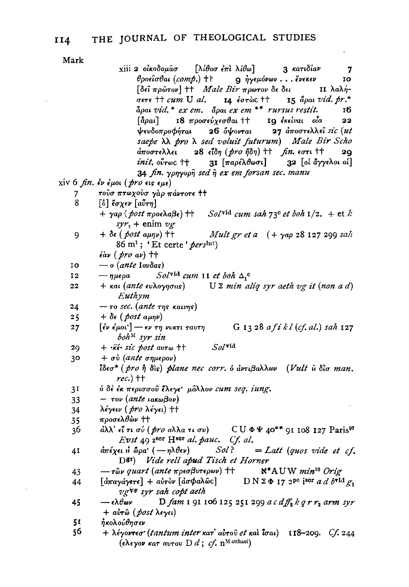$[\lambda \mathcal{i}\theta$ οσ έπι λίθω]

3 κατιδίαν

7

xiii 2 οικοδομάσ

Mark

 $θ$ ροείσθαι (comp.) †† **Q** ηγεμόνων... ένεκεν IO [δεί πρώτον] + *Male Bir* πρωτον δε δει 11 λαλή- $\sigma$  $\epsilon$ r $\epsilon$   $\uparrow$   $\uparrow$   $\alpha$ *m*  $U$   $\alpha$ *l*. ΙΔ έστὼς †† 15  $\ddot{a}$ pai vid. pr.\* apai vid.\* ex em. apai ex em \*\* rursus restit. тб 18 προσεύχεσθαι ++  $\lceil \tilde{a} \rho a \iota \rceil$ 19 εκείναι οία 22 ψευδοπροφήται  $26$   $\delta$  $\psi$ ovrat 27 αποστελλεί sic (ut saepe  $\lambda \lambda$  pro  $\lambda$  sed voluit futurum) Male Bir Scho 28 εΐδη  $(pro \ \eta \delta \eta)$  +  $fn.$  εστι + + άποστελλει  $2Q$  $init.$   $o\tilde{v}$ r $oc$  †† 31 [παρέλθωσι] 32 [οι άγγελοι οι] 34 fin. yonyoon sed n ex em forsan sec. manu xiv 6 fin.  $\epsilon \nu \epsilon \mu o \nu$  (pro  $\epsilon \nu \epsilon \mu \epsilon$ ) τούσ πτωχούσ γάρ πάντοτε ++ 7 8  $\lceil \hat{0} \rceil$  έσχεν  $\lceil a\tilde{v}\tau\eta \rceil$  $+ \gamma a \rho$  (*post*  $\pi \rho o \epsilon \lambda a \beta \epsilon$ )  $\uparrow \uparrow$ Solvid cum sah 73<sup>c</sup> et boh  $1/2$ . + et k  $syr +$  enim  $vg$ 9  $+ \delta \epsilon$  (*post aµnv*) <sup>++</sup> *Mult gr et a*  $(+ \gamma a \rho 28 127 299$  sah 86 m<sup>1</sup>; 'Et certe' pers<sup>Int</sup>)  $\partial \dot{\alpha}$ v (pro av) ††  $\overline{\phantom{m}}$  o (ante Iovõas) 10  $Sol^{\text{vid}}$  cum 11 et boh  $\Delta_1^{\text{c}}$  $\mathbf{12}$  $-\eta \mu \epsilon \rho a$  $+$  και (ante ευλογησας)  $U \Sigma$  min aliq syr aeth vg it (non a d) 22 Euthym 24  $-$  το sec. (ante της καινης)  $+ \delta \epsilon$  (post  $a \mu \eta \nu$ )  $25$  $[\dot{\epsilon}\nu \dot{\epsilon}\mu\omega \dot{\epsilon}]$  -  $\epsilon \nu \tau \eta \nu\kappa\tau \iota \tau \alpha \nu \tau \eta$  $27$ G 13 28 a fi k l (cf. al.) sah 127  $boh^M$  syr sin  $Sol$ vid 29  $+$   $\cdot\vec{k}$  sic post avro  $\dagger\uparrow$ 30  $+ \sigma \dot{v}$  (ante  $\sigma \eta \mu \epsilon \rho \sigma v$ ) *l'*δεσ<sup>\*</sup> (*pro ή δ*ίς) *plane nec corr.* o αντιβαλλων (Vult *η δίσ man.*  $rec.)$  †† ό δε έκ περισσού έλεγε<sup>.</sup> μάλλον cum seq. iung. 31 33  $-$  τον (ante ιακωβον) 34 λέγειν (*pro* λέγει) †† προσελθών †† 35  $CU \Phi \Psi$  40\*\* 91 108 127 Paris<sup>97</sup> 36 άλλ' εἶ τι σύ ( pro αλλα τι συ) Evst  $49$  z<sup>8Cr</sup> H<sup>8Cr</sup> al. pauc. Cf. al.  $d\pi$ έχει Η ώρα'  $(-\eta \lambda \theta \epsilon \nu)$ Sol?  $= Lat$  (quos vide et cf. 41 D<sup>81</sup>) Vide rell apud Tisch et Horner  $-$  τῶν quart (ante πρεσβυτερων) †† 43  $\aleph^*$ AUW min<sup>10</sup> Orie  $\lceil d\pi a\gamma d\gamma\epsilon\tau\epsilon\rceil + a\gamma\gamma\delta\nu \lceil d\sigma\phi a\lambda\hat{\omega}c\rceil$  $D N 2 \Phi 17 2^{pe}$  isor a d by  $\frac{d}{dr}$ 44 vgVF syr sah copt aeth D fam I 91 106 125 251 299 a c  $df_1$ k q r r<sub>1</sub> arm syr 45  $-\epsilon \lambda \theta \omega \nu$ + αύτω (post λεγει)  $5I$ ήκολούθησεν 56  $+$  λέγοντεσ' (tantum inter κατ' αύτοῦ et καὶ ἶσαι) 118-209. Cf. 244 (ελεγον κατ αυτου D  $d$ ; cf. n<sup>M atthaei</sup>)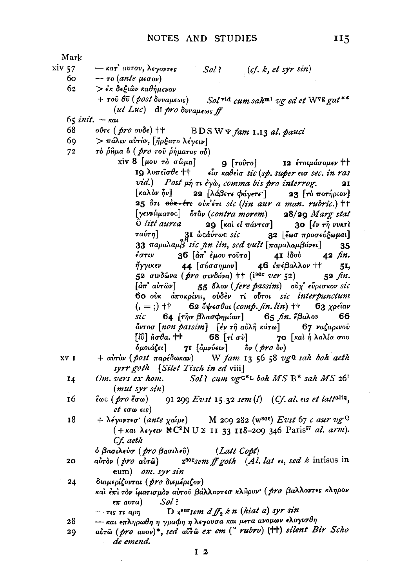115

 $\ddot{\phantom{a}}$ 

| Mark   |                                                                                                                                                  |
|--------|--------------------------------------------------------------------------------------------------------------------------------------------------|
| xiv 57 | $-\kappa$ ατ' αυτου, λεγοντες<br>(cf. k, et syr sin)<br>Sol ?                                                                                    |
| 60 I   | $-$ το (ante μεσον)                                                                                                                              |
| 62     | > έκ δεξιών καθήμενον                                                                                                                            |
|        |                                                                                                                                                  |
|        | $+$ του θυ (post δυναμεως) Solvid cum sah <sup>m1</sup> ug ed et Wvg gat**                                                                       |
|        | (ut Luc) di pro duvaue os ff                                                                                                                     |
|        | $65$ <i>init</i> . $ \kappa$ <i>at</i>                                                                                                           |
| 68     | $0$ ΰτε ( <i>pro</i> $0$ υδε) <sup>†</sup> BDSW Ψ $f$ am 1.13 al. pauci                                                                          |
| 69.    | $>$ πάλιν αυτόν, [ήρξατο λέγειν]                                                                                                                 |
| 72     | τὸ ρίθμα δ ( <i>pro</i> του ρήματος ού)                                                                                                          |
|        | xiv 8 $[\mu$ ov το σώμα]<br>9 [τοῦτο] 12 έτοιμάσομεν ††                                                                                          |
|        | 19 λυπείσθε ++ είσ καθείσ sic (sp. super εισ sec. in ras                                                                                         |
|        | vid.) Post $\mu$ <sup>2</sup> Ti $\epsilon \gamma$ <i>ò, comma bis pro interrog.</i><br>21                                                       |
|        | [καλον ήν] 22 [λάβετε φάγετε ] 23 [το ποτήριον]                                                                                                  |
|        | 25 ότι <del>ούκ-έτι</del> ούκετι sic (lin aur a man. rubric.) ++                                                                                 |
|        | [γεννήματος] όταν (contra morem) 28/29 Marg stat                                                                                                 |
|        |                                                                                                                                                  |
|        | $\hat{O}$ <i>litt aurea</i> 29 [kal el $\pi$ ávreo] 30 [év r $\tilde{\eta}$ vvkrl                                                                |
|        | ταύτη]<br>31 ω cάύτως sic 32 [έωσ προσεύξωμαι]                                                                                                   |
|        | 33 παραλαμ $\beta$ sic fin lin, sed vult $[\pi$ αραλαμβάνει]<br>35                                                                               |
|        | $36$ $\left[$ $\stackrel{\text{ }{\text{ }}{a}}{\pi}$ $\stackrel{\text{ }{\text{ }}{\text{ }}{e}}{\mu}$ ου τοῦτο]<br>4Ι ίδού<br>έστιν<br>42 fin. |
|        | 44 [σύσσημον]        46 ἐπέβαλλον ††<br>ήγγικεν<br>51,                                                                                           |
|        | 52 σινδώνα ( <i>pro</i> σινδόνα) + (i <sup>ε σ</sup> ver 52) 52 fin.                                                                             |
|        | 55 όλον (fere passim) ούχ' εύρισκον sic<br>$\lceil \vec{a}\pi \rceil$ $\vec{a} \vee \hat{r} \hat{\omega} \nu \rceil$                             |
|        | 60 ούκ αποκρίνη, ούδεν τι ούτοι sic interpunctum                                                                                                 |
|        | $(1, =;)$ + 62 δψεσθαι (comp. fin. lin) + 63 χρείαν                                                                                              |
|        | sic 64 [τησ βλασφημίασ] 65 fin. έβαλον 66                                                                                                        |
|        | όντοσ [non passim] [έν τη αύλη κάτω] 67 ναζαρινού                                                                                                |
|        | $[i\hat{v}]$ μσθα. †† 68 [τί σύ] 70 [καὶ ἡ λαλία σου                                                                                             |
|        | 71 [ομνύειν] δν (pro δν)<br>όμοιάζει]                                                                                                            |
| XV I   | + avrov (post mapédonav) W fam 13 56 58 vgQ sah boh aeth                                                                                         |
|        |                                                                                                                                                  |
|        | syrr goth [Silet Tisch in ed viii]                                                                                                               |
| 14     | Om. vers ex hom. Sol? cum vg $G^*L$ boh $MS$ B* sah $MS$ 26 <sup>1</sup>                                                                         |
|        | (mut <sub>syr</sub> sin)                                                                                                                         |
| 16     | $\tilde{\epsilon}$ ωc (pro $\tilde{\epsilon}$ σω) 91 299 Evst 15.32 sem(l) (Cf. al. εις et latt <sup>aliq</sup> ,                                |
|        | <i>et</i> εσω εις)                                                                                                                               |
| 18     | + λέγοντεσ' (ante χαΐρε) M 209 282 (w <sup>ser</sup> ) Evst 67 c aur vg <sup>Q</sup>                                                             |
|        | (+ και λεγειν NC <sup>2</sup> NU Σ 11 33 118-209 346 Paris <sup>97</sup> al. arm).                                                               |
|        | Cf. aeth                                                                                                                                         |
|        | ό βασιλεύσ ( pro βασιλεῦ)<br>(Latt Copt)                                                                                                         |
| 20     | $z^{80}$ sem ff goth (Al. lat $\epsilon$ , sed k inrisus in<br>aὖτὸν ( pro aὐτῶ)                                                                 |
|        | eum) om. syr sin                                                                                                                                 |
| 24     | διαμερίζονται (pro διεμέριζον)                                                                                                                   |
|        | καλ έπι τον ίματισμον αύτου βάλλοντεσ κληρον ( <i>pro</i> βαλλοντες κληρον                                                                       |
|        | $\epsilon \pi$ avra) Sol?                                                                                                                        |
|        | D $z^{s}$ <sup>sor</sup> sem $df_2 k n$ (hiat a) syr sin                                                                                         |
| 28     | $ \tau$ is $\tau$ i ap $\eta$<br>-- και επληρωθη η γραφη η λεγουσα και μετα ανομων ελογισθη                                                      |
|        | airô (pro avov)*, sed airo ex em ("rubro) (++) silent Bir Scho                                                                                   |
| 29     |                                                                                                                                                  |
|        | de emend.                                                                                                                                        |
|        | I <sub>2</sub>                                                                                                                                   |